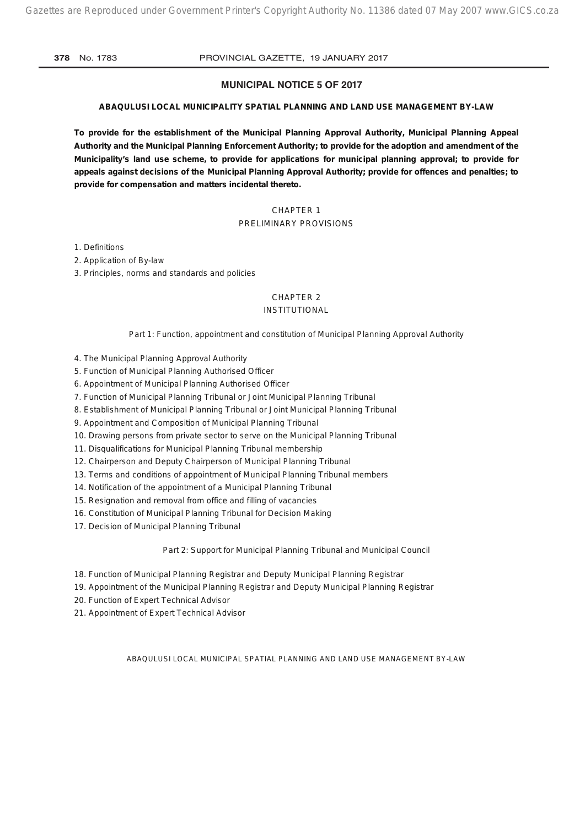#### **MUNICIPAL NOTICE 5 OF 2017**

#### **ABAQULUSI LOCAL MUNICIPALITY SPATIAL PLANNING AND LAND USE MANAGEMENT BY-LAW**

**To provide for the establishment of the Municipal Planning Approval Authority, Municipal Planning Appeal Authority and the Municipal Planning Enforcement Authority; to provide for the adoption and amendment of the Municipality's land use scheme, to provide for applications for municipal planning approval; to provide for appeals against decisions of the Municipal Planning Approval Authority; provide for offences and penalties; to provide for compensation and matters incidental thereto.**

### CHAPTER 1 PRELIMINARY PROVISIONS

1. Definitions

2. Application of By-law

3. Principles, norms and standards and policies

#### CHAPTER 2

#### INSTITUTIONAL

#### *Part 1: Function, appointment and constitution of Municipal Planning Approval Authority*

4. The Municipal Planning Approval Authority

- 5. Function of Municipal Planning Authorised Officer
- 6. Appointment of Municipal Planning Authorised Officer
- 7. Function of Municipal Planning Tribunal or Joint Municipal Planning Tribunal
- 8. Establishment of Municipal Planning Tribunal or Joint Municipal Planning Tribunal
- 9. Appointment and Composition of Municipal Planning Tribunal
- 10. Drawing persons from private sector to serve on the Municipal Planning Tribunal
- 11. Disqualifications for Municipal Planning Tribunal membership
- 12. Chairperson and Deputy Chairperson of Municipal Planning Tribunal
- 13. Terms and conditions of appointment of Municipal Planning Tribunal members
- 14. Notification of the appointment of a Municipal Planning Tribunal
- 15. Resignation and removal from office and filling of vacancies
- 16. Constitution of Municipal Planning Tribunal for Decision Making
- 17. Decision of Municipal Planning Tribunal

#### *Part 2: Support for Municipal Planning Tribunal and Municipal Council*

- 18. Function of Municipal Planning Registrar and Deputy Municipal Planning Registrar
- 19. Appointment of the Municipal Planning Registrar and Deputy Municipal Planning Registrar
- 20. Function of Expert Technical Advisor
- 21. Appointment of Expert Technical Advisor

ABAQULUSI LOCAL MUNICIPAL SPATIAL PLANNING AND LAND USE MANAGEMENT BY-LAW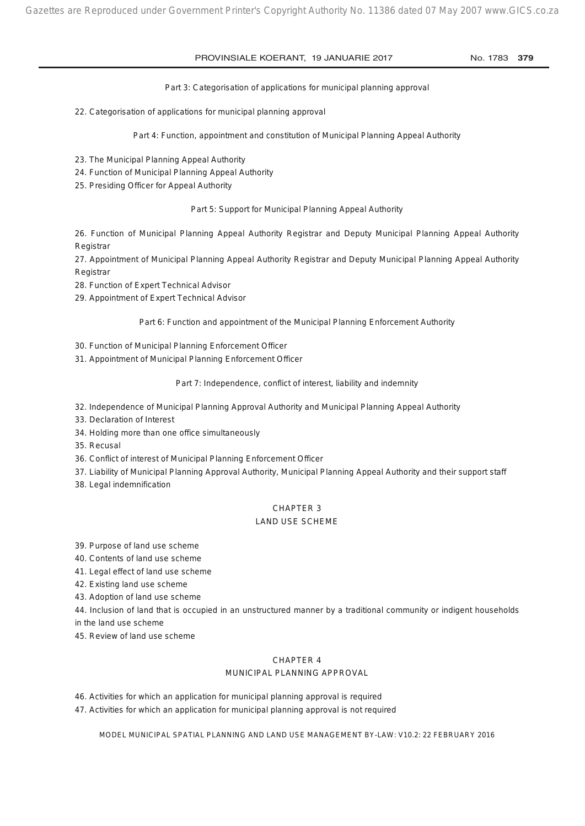#### *Part 3: Categorisation of applications for municipal planning approval*

22. Categorisation of applications for municipal planning approval

*Part 4: Function, appointment and constitution of Municipal Planning Appeal Authority*

- 23. The Municipal Planning Appeal Authority
- 24. Function of Municipal Planning Appeal Authority
- 25. Presiding Officer for Appeal Authority

*Part 5: Support for Municipal Planning Appeal Authority*

26. Function of Municipal Planning Appeal Authority Registrar and Deputy Municipal Planning Appeal Authority Registrar

27. Appointment of Municipal Planning Appeal Authority Registrar and Deputy Municipal Planning Appeal Authority Registrar

- 28. Function of Expert Technical Advisor
- 29. Appointment of Expert Technical Advisor

#### *Part 6: Function and appointment of the Municipal Planning Enforcement Authority*

- 30. Function of Municipal Planning Enforcement Officer
- 31. Appointment of Municipal Planning Enforcement Officer

#### *Part 7: Independence, conflict of interest, liability and indemnity*

- 32. Independence of Municipal Planning Approval Authority and Municipal Planning Appeal Authority
- 33. Declaration of Interest
- 34. Holding more than one office simultaneously
- 35. Recusal
- 36. Conflict of interest of Municipal Planning Enforcement Officer
- 37. Liability of Municipal Planning Approval Authority, Municipal Planning Appeal Authority and their support staff
- 38. Legal indemnification

#### CHAPTER 3

#### LAND USE SCHEME

39. Purpose of land use scheme

- 40. Contents of land use scheme
- 41. Legal effect of land use scheme
- 42. Existing land use scheme
- 43. Adoption of land use scheme

44. Inclusion of land that is occupied in an unstructured manner by a traditional community or indigent households in the land use scheme

45. Review of land use scheme

#### CHAPTER 4

#### MUNICIPAL PLANNING APPROVAL

46. Activities for which an application for municipal planning approval is required

47. Activities for which an application for municipal planning approval is not required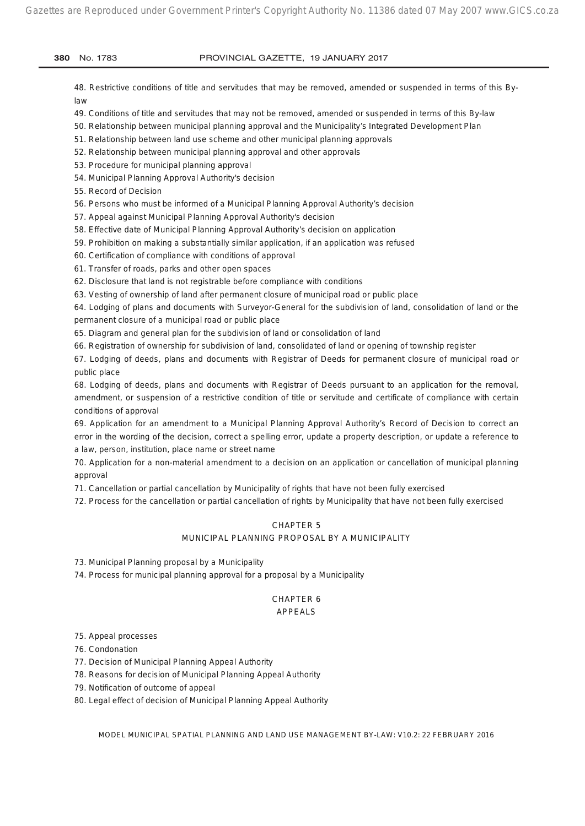48. Restrictive conditions of title and servitudes that may be removed, amended or suspended in terms of this Bylaw

49. Conditions of title and servitudes that may not be removed, amended or suspended in terms of this By-law

50. Relationship between municipal planning approval and the Municipality's Integrated Development Plan

51. Relationship between land use scheme and other municipal planning approvals

52. Relationship between municipal planning approval and other approvals

53. Procedure for municipal planning approval

54. Municipal Planning Approval Authority's decision

55. Record of Decision

56. Persons who must be informed of a Municipal Planning Approval Authority's decision

57. Appeal against Municipal Planning Approval Authority's decision

58. Effective date of Municipal Planning Approval Authority's decision on application

59. Prohibition on making a substantially similar application, if an application was refused

60. Certification of compliance with conditions of approval

61. Transfer of roads, parks and other open spaces

62. Disclosure that land is not registrable before compliance with conditions

63. Vesting of ownership of land after permanent closure of municipal road or public place

64. Lodging of plans and documents with Surveyor-General for the subdivision of land, consolidation of land or the permanent closure of a municipal road or public place

65. Diagram and general plan for the subdivision of land or consolidation of land

66. Registration of ownership for subdivision of land, consolidated of land or opening of township register

67. Lodging of deeds, plans and documents with Registrar of Deeds for permanent closure of municipal road or public place

68. Lodging of deeds, plans and documents with Registrar of Deeds pursuant to an application for the removal, amendment, or suspension of a restrictive condition of title or servitude and certificate of compliance with certain conditions of approval

69. Application for an amendment to a Municipal Planning Approval Authority's Record of Decision to correct an error in the wording of the decision, correct a spelling error, update a property description, or update a reference to a law, person, institution, place name or street name

70. Application for a non-material amendment to a decision on an application or cancellation of municipal planning approval

71. Cancellation or partial cancellation by Municipality of rights that have not been fully exercised

72. Process for the cancellation or partial cancellation of rights by Municipality that have not been fully exercised

#### CHAPTER 5

#### MUNICIPAL PLANNING PROPOSAL BY A MUNICIPALITY

73. Municipal Planning proposal by a Municipality

74. Process for municipal planning approval for a proposal by a Municipality

#### CHAPTER 6 APPEALS

75. Appeal processes

76. Condonation

77. Decision of Municipal Planning Appeal Authority

78. Reasons for decision of Municipal Planning Appeal Authority

79. Notification of outcome of appeal

80. Legal effect of decision of Municipal Planning Appeal Authority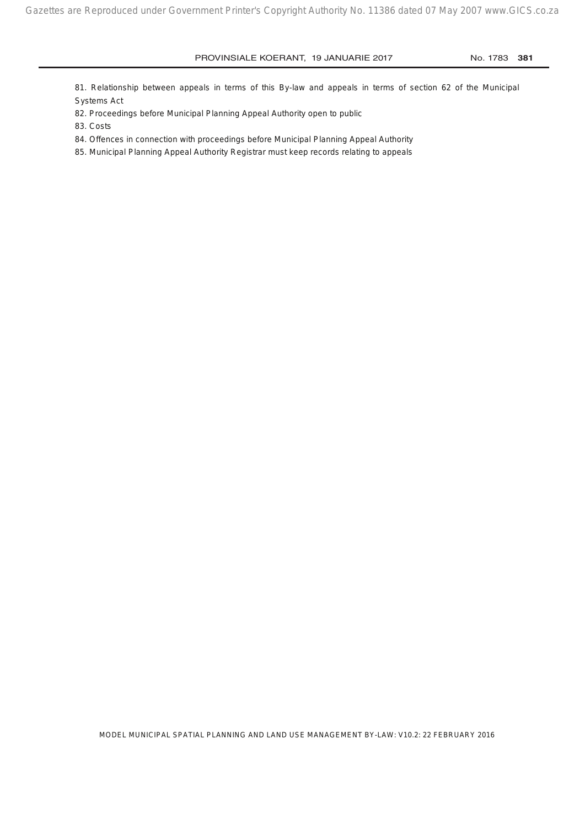81. Relationship between appeals in terms of this By-law and appeals in terms of section 62 of the Municipal Systems Act

82. Proceedings before Municipal Planning Appeal Authority open to public

83. Costs

84. Offences in connection with proceedings before Municipal Planning Appeal Authority

85. Municipal Planning Appeal Authority Registrar must keep records relating to appeals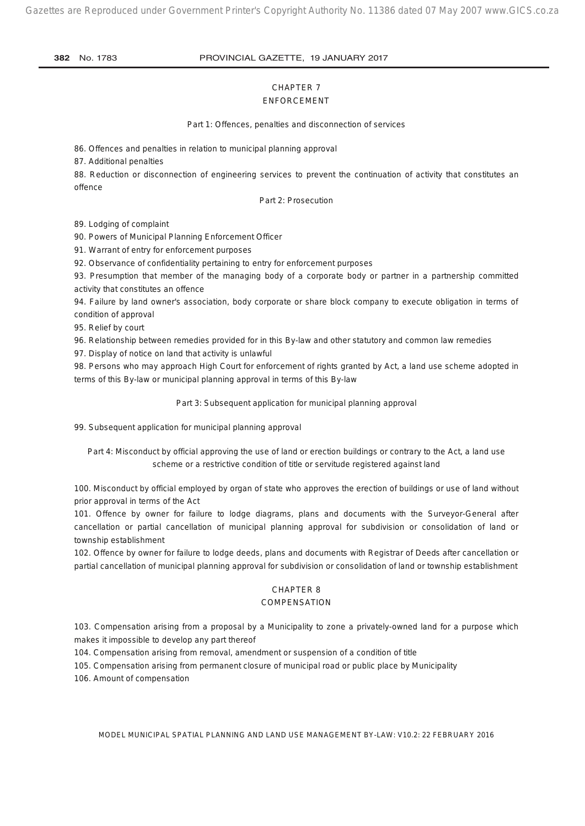Gazettes are Reproduced under Government Printer's Copyright Authority No. 11386 dated 07 May 2007 www.GICS.co.za

#### **382** No. 1783 PROVINCIAL GAZETTE, 19 JANUARY 2017

#### CHAPTER 7 ENFORCEMENT

*Part 1: Offences, penalties and disconnection of services*

86. Offences and penalties in relation to municipal planning approval

87. Additional penalties

88. Reduction or disconnection of engineering services to prevent the continuation of activity that constitutes an offence

#### *Part 2: Prosecution*

89. Lodging of complaint

90. Powers of Municipal Planning Enforcement Officer

91. Warrant of entry for enforcement purposes

92. Observance of confidentiality pertaining to entry for enforcement purposes

93. Presumption that member of the managing body of a corporate body or partner in a partnership committed activity that constitutes an offence

94. Failure by land owner's association, body corporate or share block company to execute obligation in terms of condition of approval

95. Relief by court

96. Relationship between remedies provided for in this By-law and other statutory and common law remedies

97. Display of notice on land that activity is unlawful

98. Persons who may approach High Court for enforcement of rights granted by Act, a land use scheme adopted in terms of this By-law or municipal planning approval in terms of this By-law

#### *Part 3: Subsequent application for municipal planning approval*

99. Subsequent application for municipal planning approval

#### *Part 4: Misconduct by official approving the use of land or erection buildings or contrary to the Act, a land use scheme or a restrictive condition of title or servitude registered against land*

100. Misconduct by official employed by organ of state who approves the erection of buildings or use of land without prior approval in terms of the Act

101. Offence by owner for failure to lodge diagrams, plans and documents with the Surveyor-General after cancellation or partial cancellation of municipal planning approval for subdivision or consolidation of land or township establishment

102. Offence by owner for failure to lodge deeds, plans and documents with Registrar of Deeds after cancellation or partial cancellation of municipal planning approval for subdivision or consolidation of land or township establishment

#### CHAPTER 8

#### **COMPENSATION**

103. Compensation arising from a proposal by a Municipality to zone a privately-owned land for a purpose which makes it impossible to develop any part thereof

104. Compensation arising from removal, amendment or suspension of a condition of title

105. Compensation arising from permanent closure of municipal road or public place by Municipality

106. Amount of compensation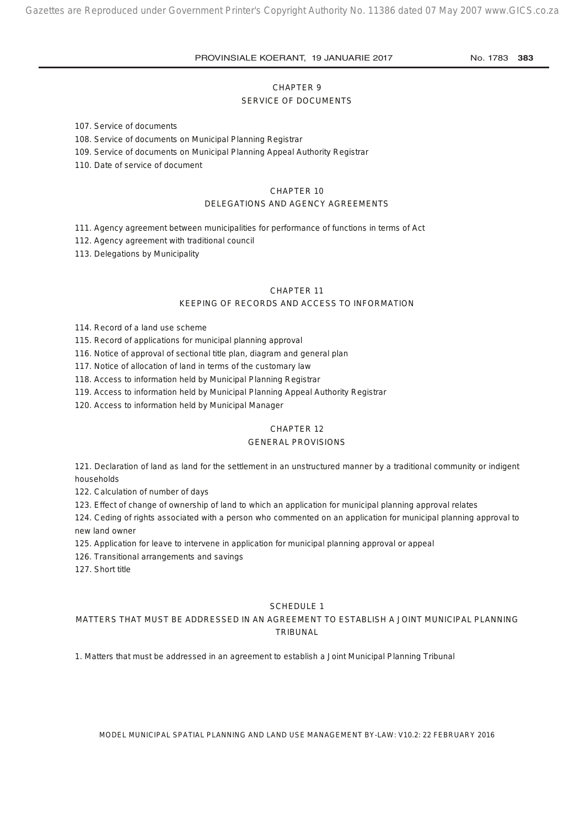#### CHAPTER 9

#### SERVICE OF DOCUMENTS

107. Service of documents

108. Service of documents on Municipal Planning Registrar

109. Service of documents on Municipal Planning Appeal Authority Registrar

110. Date of service of document

#### CHAPTER 10

#### DELEGATIONS AND AGENCY AGREEMENTS

111. Agency agreement between municipalities for performance of functions in terms of Act

112. Agency agreement with traditional council

113. Delegations by Municipality

#### CHAPTER 11

#### KEEPING OF RECORDS AND ACCESS TO INFORMATION

114. Record of a land use scheme

115. Record of applications for municipal planning approval

116. Notice of approval of sectional title plan, diagram and general plan

117. Notice of allocation of land in terms of the customary law

118. Access to information held by Municipal Planning Registrar

119. Access to information held by Municipal Planning Appeal Authority Registrar

120. Access to information held by Municipal Manager

#### CHAPTER 12

#### GENERAL PROVISIONS

121. Declaration of land as land for the settlement in an unstructured manner by a traditional community or indigent households

122. Calculation of number of days

123. Effect of change of ownership of land to which an application for municipal planning approval relates

124. Ceding of rights associated with a person who commented on an application for municipal planning approval to new land owner

125. Application for leave to intervene in application for municipal planning approval or appeal

126. Transitional arrangements and savings

127. Short title

#### SCHEDULE 1

#### MATTERS THAT MUST BE ADDRESSED IN AN AGREEMENT TO ESTABLISH A JOINT MUNICIPAL PLANNING TRIBUNAL

1. Matters that must be addressed in an agreement to establish a Joint Municipal Planning Tribunal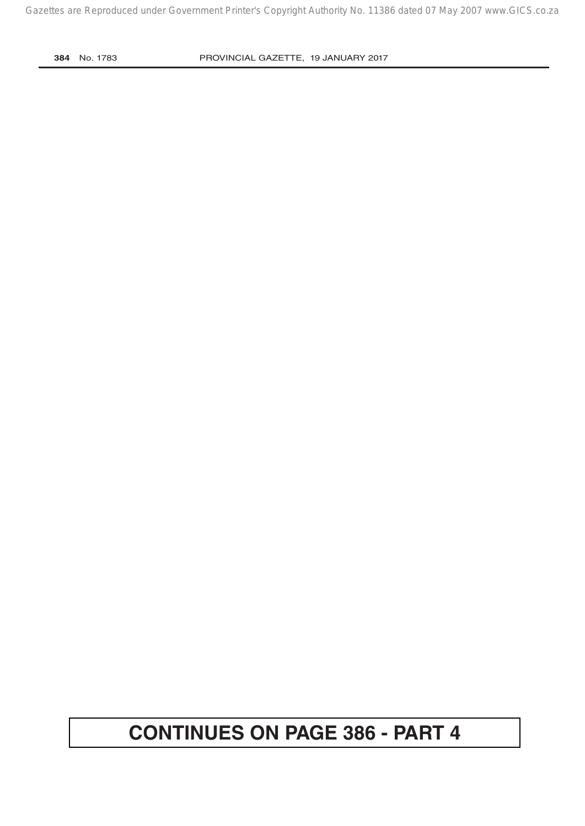# **CONTINUES ON PAGE 386 - PART 4**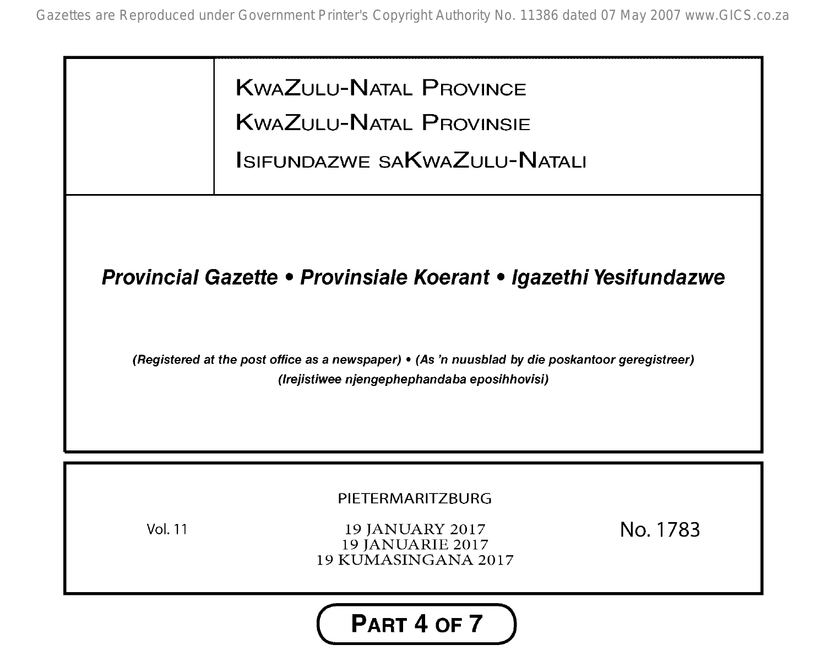KWAZULU-NATAL PROVINCE KWAZULU-NATAL PROVINSIE ISIFUNDAZWE SAKwAZULU-NATALI

## **Provincial Gazette • Provinsiale Koeranf • Igazefhi Yesifundazwe**

(Registered at the post office as a newspaper) • (As 'n nuusblad by die poskantoor geregistreer) (Irejistiwee njengephephandaba eposihhovisi)



Vol. 11

19 JANUARY 2017 19 JANUARIE 2017 19 KUMASINGANA 2017 No. 1783

**( PART 4 OF 7 )**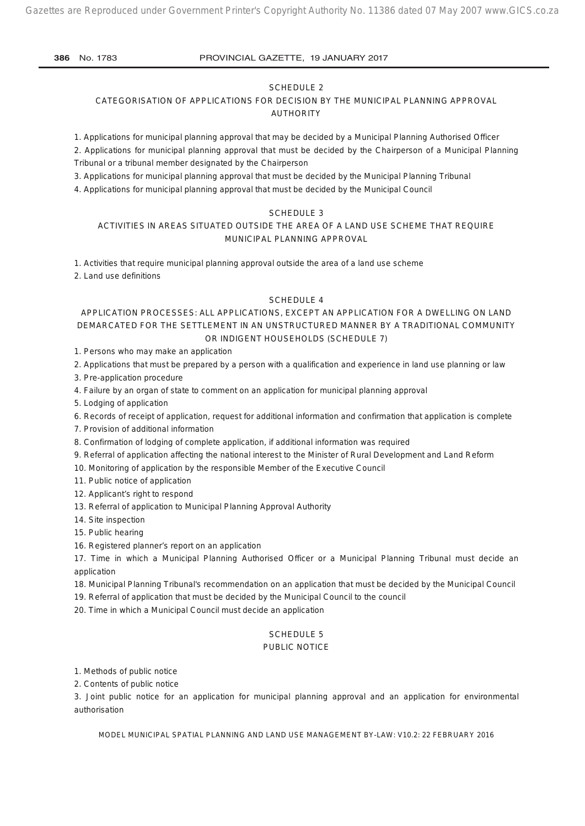#### SCHEDULE 2

CATEGORISATION OF APPLICATIONS FOR DECISION BY THE MUNICIPAL PLANNING APPROVAL AUTHORITY

1. Applications for municipal planning approval that may be decided by a Municipal Planning Authorised Officer

2. Applications for municipal planning approval that must be decided by the Chairperson of a Municipal Planning Tribunal or a tribunal member designated by the Chairperson

3. Applications for municipal planning approval that must be decided by the Municipal Planning Tribunal

4. Applications for municipal planning approval that must be decided by the Municipal Council

#### SCHEDULE 3

#### ACTIVITIES IN AREAS SITUATED OUTSIDE THE AREA OF A LAND USE SCHEME THAT REQUIRE MUNICIPAL PLANNING APPROVAL

1. Activities that require municipal planning approval outside the area of a land use scheme

2. Land use definitions

#### SCHEDULE 4

#### APPLICATION PROCESSES: ALL APPLICATIONS, EXCEPT AN APPLICATION FOR A DWELLING ON LAND DEMARCATED FOR THE SETTLEMENT IN AN UNSTRUCTURED MANNER BY A TRADITIONAL COMMUNITY OR INDIGENT HOUSEHOLDS (SCHEDULE 7)

1. Persons who may make an application

2. Applications that must be prepared by a person with a qualification and experience in land use planning or law

3. Pre-application procedure

4. Failure by an organ of state to comment on an application for municipal planning approval

5. Lodging of application

6. Records of receipt of application, request for additional information and confirmation that application is complete

7. Provision of additional information

8. Confirmation of lodging of complete application, if additional information was required

9. Referral of application affecting the national interest to the Minister of Rural Development and Land Reform

10. Monitoring of application by the responsible Member of the Executive Council

11. Public notice of application

12. Applicant's right to respond

13. Referral of application to Municipal Planning Approval Authority

14. Site inspection

15. Public hearing

16. Registered planner's report on an application

17. Time in which a Municipal Planning Authorised Officer or a Municipal Planning Tribunal must decide an application

18. Municipal Planning Tribunal's recommendation on an application that must be decided by the Municipal Council

19. Referral of application that must be decided by the Municipal Council to the council

20. Time in which a Municipal Council must decide an application

#### SCHEDULE 5

#### PUBLIC NOTICE

1. Methods of public notice

2. Contents of public notice

3. Joint public notice for an application for municipal planning approval and an application for environmental authorisation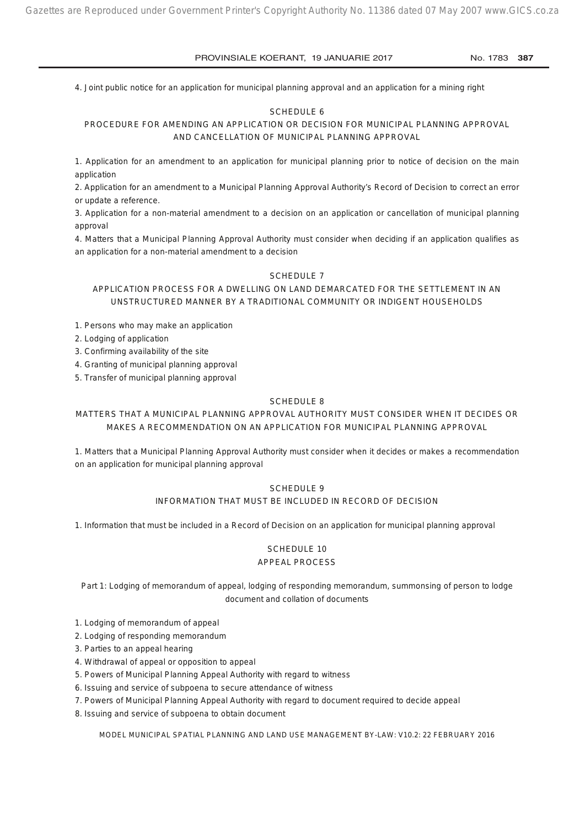4. Joint public notice for an application for municipal planning approval and an application for a mining right

#### SCHEDULE 6

PROCEDURE FOR AMENDING AN APPLICATION OR DECISION FOR MUNICIPAL PLANNING APPROVAL AND CANCELLATION OF MUNICIPAL PLANNING APPROVAL

1. Application for an amendment to an application for municipal planning prior to notice of decision on the main application

2. Application for an amendment to a Municipal Planning Approval Authority's Record of Decision to correct an error or update a reference.

3. Application for a non-material amendment to a decision on an application or cancellation of municipal planning approval

4. Matters that a Municipal Planning Approval Authority must consider when deciding if an application qualifies as an application for a non-material amendment to a decision

#### SCHEDULE 7

APPLICATION PROCESS FOR A DWELLING ON LAND DEMARCATED FOR THE SETTLEMENT IN AN UNSTRUCTURED MANNER BY A TRADITIONAL COMMUNITY OR INDIGENT HOUSEHOLDS

1. Persons who may make an application

2. Lodging of application

3. Confirming availability of the site

4. Granting of municipal planning approval

5. Transfer of municipal planning approval

#### SCHEDULE 8

MATTERS THAT A MUNICIPAL PLANNING APPROVAL AUTHORITY MUST CONSIDER WHEN IT DECIDES OR MAKES A RECOMMENDATION ON AN APPLICATION FOR MUNICIPAL PLANNING APPROVAL

1. Matters that a Municipal Planning Approval Authority must consider when it decides or makes a recommendation on an application for municipal planning approval

#### SCHEDULE 9

#### INFORMATION THAT MUST BE INCLUDED IN RECORD OF DECISION

1. Information that must be included in a Record of Decision on an application for municipal planning approval

#### SCHEDULE 10 APPEAL PROCESS

*Part 1: Lodging of memorandum of appeal, lodging of responding memorandum, summonsing of person to lodge document and collation of documents*

1. Lodging of memorandum of appeal

2. Lodging of responding memorandum

3. Parties to an appeal hearing

4. Withdrawal of appeal or opposition to appeal

5. Powers of Municipal Planning Appeal Authority with regard to witness

6. Issuing and service of subpoena to secure attendance of witness

7. Powers of Municipal Planning Appeal Authority with regard to document required to decide appeal

8. Issuing and service of subpoena to obtain document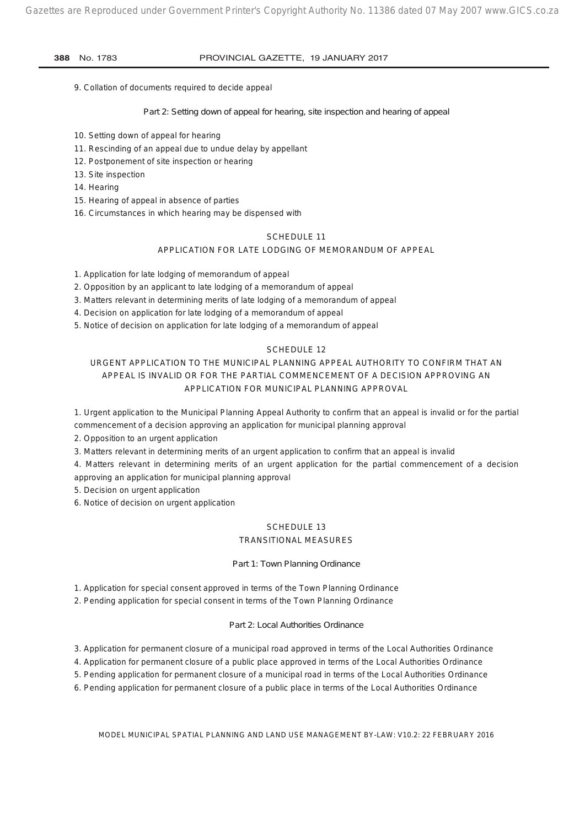9. Collation of documents required to decide appeal

*Part 2: Setting down of appeal for hearing, site inspection and hearing of appeal*

- 10. Setting down of appeal for hearing
- 11. Rescinding of an appeal due to undue delay by appellant
- 12. Postponement of site inspection or hearing
- 13. Site inspection
- 14. Hearing
- 15. Hearing of appeal in absence of parties
- 16. Circumstances in which hearing may be dispensed with

#### SCHEDULE 11

#### APPLICATION FOR LATE LODGING OF MEMORANDUM OF APPEAL

1. Application for late lodging of memorandum of appeal

- 2. Opposition by an applicant to late lodging of a memorandum of appeal
- 3. Matters relevant in determining merits of late lodging of a memorandum of appeal
- 4. Decision on application for late lodging of a memorandum of appeal
- 5. Notice of decision on application for late lodging of a memorandum of appeal

#### SCHEDULE 12

### URGENT APPLICATION TO THE MUNICIPAL PLANNING APPEAL AUTHORITY TO CONFIRM THAT AN APPEAL IS INVALID OR FOR THE PARTIAL COMMENCEMENT OF A DECISION APPROVING AN APPLICATION FOR MUNICIPAL PLANNING APPROVAL

1. Urgent application to the Municipal Planning Appeal Authority to confirm that an appeal is invalid or for the partial commencement of a decision approving an application for municipal planning approval

2. Opposition to an urgent application

3. Matters relevant in determining merits of an urgent application to confirm that an appeal is invalid

- 4. Matters relevant in determining merits of an urgent application for the partial commencement of a decision approving an application for municipal planning approval
- 5. Decision on urgent application

6. Notice of decision on urgent application

#### SCHEDULE 13 TRANSITIONAL MEASURES

#### *Part 1: Town Planning Ordinance*

1. Application for special consent approved in terms of the Town Planning Ordinance

2. Pending application for special consent in terms of the Town Planning Ordinance

#### *Part 2: Local Authorities Ordinance*

3. Application for permanent closure of a municipal road approved in terms of the Local Authorities Ordinance

4. Application for permanent closure of a public place approved in terms of the Local Authorities Ordinance

5. Pending application for permanent closure of a municipal road in terms of the Local Authorities Ordinance

6. Pending application for permanent closure of a public place in terms of the Local Authorities Ordinance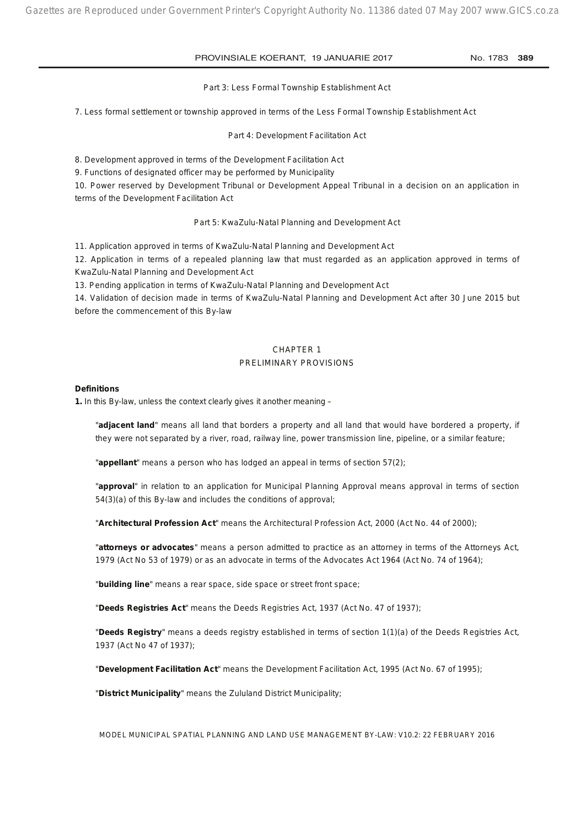#### *Part 3: Less Formal Township Establishment Act*

7. Less formal settlement or township approved in terms of the Less Formal Township Establishment Act

*Part 4: Development Facilitation Act*

8. Development approved in terms of the Development Facilitation Act

9. Functions of designated officer may be performed by Municipality

10. Power reserved by Development Tribunal or Development Appeal Tribunal in a decision on an application in terms of the Development Facilitation Act

#### *Part 5: KwaZulu-Natal Planning and Development Act*

11. Application approved in terms of KwaZulu-Natal Planning and Development Act

12. Application in terms of a repealed planning law that must regarded as an application approved in terms of KwaZulu-Natal Planning and Development Act

13. Pending application in terms of KwaZulu-Natal Planning and Development Act

14. Validation of decision made in terms of KwaZulu-Natal Planning and Development Act after 30 June 2015 but before the commencement of this By-law

#### CHAPTER 1 PRELIMINARY PROVISIONS

#### **Definitions**

**1.** In this By-law, unless the context clearly gives it another meaning –

"**adjacent land**" means all land that borders a property and all land that would have bordered a property, if they were not separated by a river, road, railway line, power transmission line, pipeline, or a similar feature;

"**appellant**" means a person who has lodged an appeal in terms of section 57(2);

"**approval**" in relation to an application for Municipal Planning Approval means approval in terms of section 54(3)(a) of this By-law and includes the conditions of approval;

"**Architectural Profession Act**" means the Architectural Profession Act, 2000 (Act No. 44 of 2000);

"**attorneys or advocates**" means a person admitted to practice as an attorney in terms of the Attorneys Act, 1979 (Act No 53 of 1979) or as an advocate in terms of the Advocates Act 1964 (Act No. 74 of 1964);

"**building line**" means a rear space, side space or street front space;

"**Deeds Registries Act**" means the Deeds Registries Act, 1937 (Act No. 47 of 1937);

"**Deeds Registry**" means a deeds registry established in terms of section 1(1)(a) of the Deeds Registries Act, 1937 (Act No 47 of 1937);

"**Development Facilitation Act**" means the Development Facilitation Act, 1995 (Act No. 67 of 1995);

"**District Municipality**" means the Zululand District Municipality;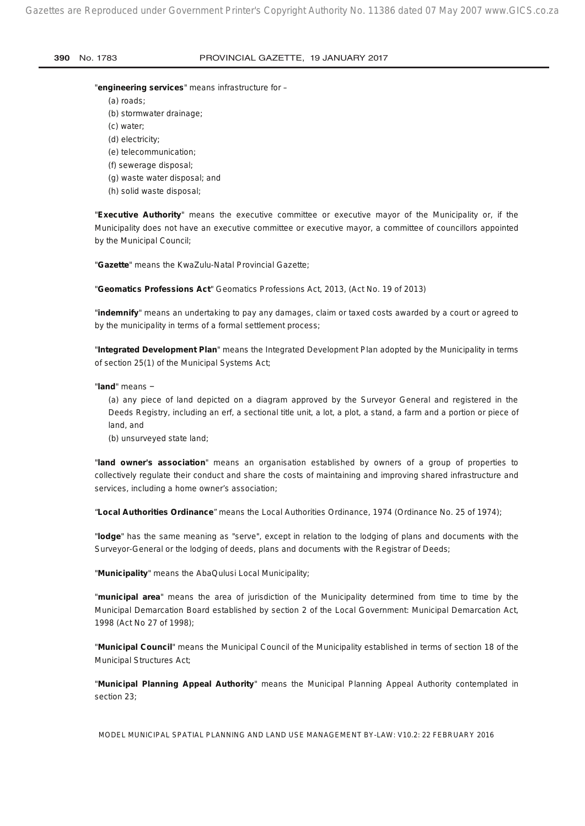#### "**engineering services**" means infrastructure for –

- (a) roads;
- (b) stormwater drainage;
- (c) water;
- (d) electricity;
- (e) telecommunication;
- (f) sewerage disposal;
- (g) waste water disposal; and
- (h) solid waste disposal;

"**Executive Authority**" means the executive committee or executive mayor of the Municipality or, if the Municipality does not have an executive committee or executive mayor, a committee of councillors appointed by the Municipal Council;

"**Gazette**" means the KwaZulu-Natal Provincial Gazette;

"**Geomatics Professions Act**" Geomatics Professions Act, 2013, (Act No. 19 of 2013)

"**indemnify**" means an undertaking to pay any damages, claim or taxed costs awarded by a court or agreed to by the municipality in terms of a formal settlement process;

"**Integrated Development Plan**" means the Integrated Development Plan adopted by the Municipality in terms of section 25(1) of the Municipal Systems Act;

"**land**" means −

(a) any piece of land depicted on a diagram approved by the Surveyor General and registered in the Deeds Registry, including an erf, a sectional title unit, a lot, a plot, a stand, a farm and a portion or piece of land, and

(b) unsurveyed state land;

"**land owner's association**" means an organisation established by owners of a group of properties to collectively regulate their conduct and share the costs of maintaining and improving shared infrastructure and services, including a home owner's association;

"**Local Authorities Ordinance**" means the Local Authorities Ordinance, 1974 (Ordinance No. 25 of 1974);

"**lodge**" has the same meaning as "serve", except in relation to the lodging of plans and documents with the Surveyor-General or the lodging of deeds, plans and documents with the Registrar of Deeds;

"**Municipality**" means the AbaQulusi Local Municipality;

"**municipal area**" means the area of jurisdiction of the Municipality determined from time to time by the Municipal Demarcation Board established by section 2 of the Local Government: Municipal Demarcation Act, 1998 (Act No 27 of 1998);

"**Municipal Council**" means the Municipal Council of the Municipality established in terms of section 18 of the Municipal Structures Act;

"**Municipal Planning Appeal Authority**" means the Municipal Planning Appeal Authority contemplated in section 23;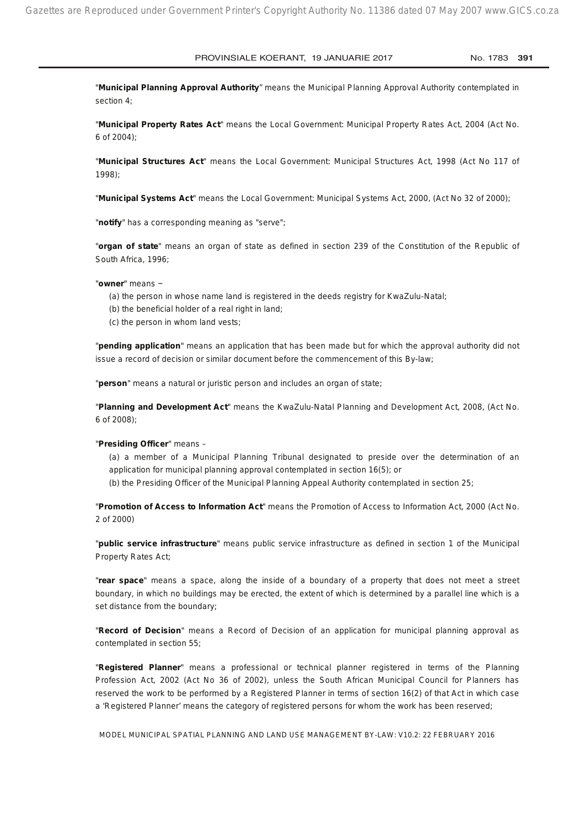"**Municipal Planning Approval Authority**" means the Municipal Planning Approval Authority contemplated in section 4;

"**Municipal Property Rates Act**" means the Local Government: Municipal Property Rates Act, 2004 (Act No. 6 of 2004);

"**Municipal Structures Act**" means the Local Government: Municipal Structures Act, 1998 (Act No 117 of 1998);

"**Municipal Systems Act**" means the Local Government: Municipal Systems Act, 2000, (Act No 32 of 2000);

"**notify**" has a corresponding meaning as "serve";

"**organ of state**" means an organ of state as defined in section 239 of the Constitution of the Republic of South Africa, 1996;

"**owner**" means −

- (a) the person in whose name land is registered in the deeds registry for KwaZulu-Natal;
- (b) the beneficial holder of a real right in land:
- (c) the person in whom land vests;

"**pending application**" means an application that has been made but for which the approval authority did not issue a record of decision or similar document before the commencement of this By-law;

"**person**" means a natural or juristic person and includes an organ of state;

"**Planning and Development Act**" means the KwaZulu-Natal Planning and Development Act, 2008, (Act No. 6 of 2008);

#### "**Presiding Officer**" means –

(a) a member of a Municipal Planning Tribunal designated to preside over the determination of an application for municipal planning approval contemplated in section 16(5); or

(b) the Presiding Officer of the Municipal Planning Appeal Authority contemplated in section 25;

"**Promotion of Access to Information Act**" means the Promotion of Access to Information Act, 2000 (Act No. 2 of 2000)

"**public service infrastructure**" means public service infrastructure as defined in section 1 of the Municipal Property Rates Act;

"**rear space**" means a space, along the inside of a boundary of a property that does not meet a street boundary, in which no buildings may be erected, the extent of which is determined by a parallel line which is a set distance from the boundary;

"**Record of Decision**" means a Record of Decision of an application for municipal planning approval as contemplated in section 55;

"**Registered Planner**" means a professional or technical planner registered in terms of the Planning Profession Act, 2002 (Act No 36 of 2002), unless the South African Municipal Council for Planners has reserved the work to be performed by a Registered Planner in terms of section 16(2) of that Act in which case a 'Registered Planner' means the category of registered persons for whom the work has been reserved;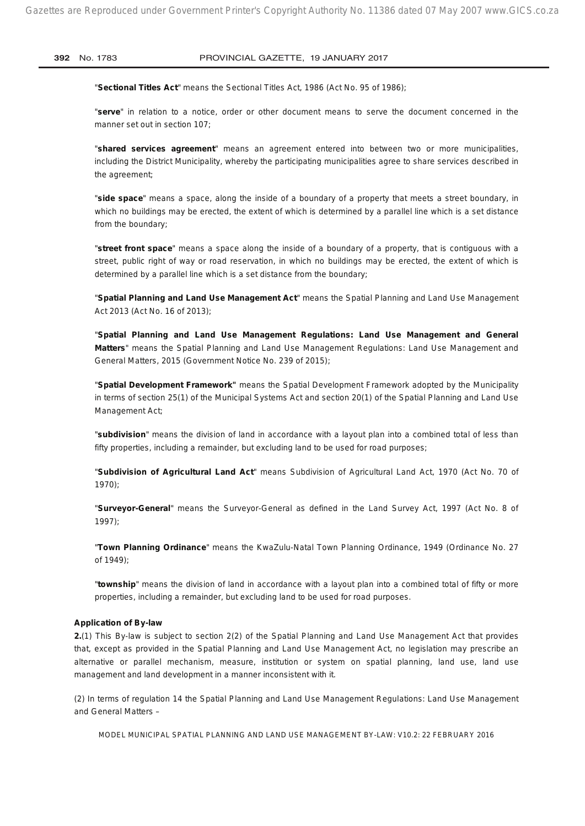"**Sectional Titles Act**" means the Sectional Titles Act, 1986 (Act No. 95 of 1986);

"**serve**" in relation to a notice, order or other document means to serve the document concerned in the manner set out in section 107;

"**shared services agreement**" means an agreement entered into between two or more municipalities, including the District Municipality, whereby the participating municipalities agree to share services described in the agreement;

"**side space**" means a space, along the inside of a boundary of a property that meets a street boundary, in which no buildings may be erected, the extent of which is determined by a parallel line which is a set distance from the boundary;

"**street front space**" means a space along the inside of a boundary of a property, that is contiguous with a street, public right of way or road reservation, in which no buildings may be erected, the extent of which is determined by a parallel line which is a set distance from the boundary;

"**Spatial Planning and Land Use Management Act**" means the Spatial Planning and Land Use Management Act 2013 (Act No. 16 of 2013);

"**Spatial Planning and Land Use Management Regulations: Land Use Management and General Matters**" means the Spatial Planning and Land Use Management Regulations: Land Use Management and General Matters, 2015 (Government Notice No. 239 of 2015);

"**Spatial Development Framework"** means the Spatial Development Framework adopted by the Municipality in terms of section 25(1) of the Municipal Systems Act and section 20(1) of the Spatial Planning and Land Use Management Act;

"**subdivision**" means the division of land in accordance with a layout plan into a combined total of less than fifty properties, including a remainder, but excluding land to be used for road purposes;

"**Subdivision of Agricultural Land Act**" means Subdivision of Agricultural Land Act, 1970 (Act No. 70 of 1970);

"**Surveyor-General**" means the Surveyor-General as defined in the Land Survey Act, 1997 (Act No. 8 of 1997);

"**Town Planning Ordinance**" means the KwaZulu-Natal Town Planning Ordinance, 1949 (Ordinance No. 27 of 1949);

"**township**" means the division of land in accordance with a layout plan into a combined total of fifty or more properties, including a remainder, but excluding land to be used for road purposes.

#### **Application of By-law**

**2.**(1) This By-law is subject to section 2(2) of the Spatial Planning and Land Use Management Act that provides that, except as provided in the Spatial Planning and Land Use Management Act, no legislation may prescribe an alternative or parallel mechanism, measure, institution or system on spatial planning, land use, land use management and land development in a manner inconsistent with it.

(2) In terms of regulation 14 the Spatial Planning and Land Use Management Regulations: Land Use Management and General Matters –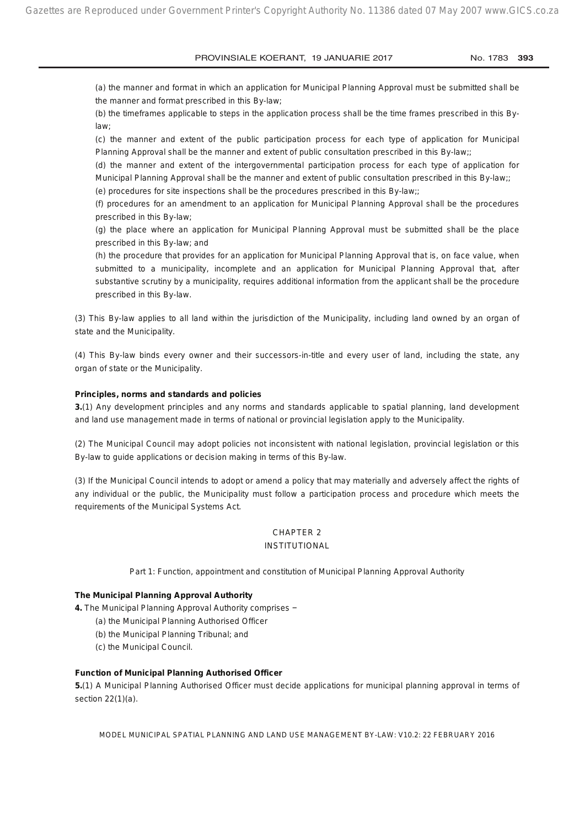(a) the manner and format in which an application for Municipal Planning Approval must be submitted shall be the manner and format prescribed in this By-law;

(b) the timeframes applicable to steps in the application process shall be the time frames prescribed in this Bylaw;

(c) the manner and extent of the public participation process for each type of application for Municipal Planning Approval shall be the manner and extent of public consultation prescribed in this By-law;;

(d) the manner and extent of the intergovernmental participation process for each type of application for Municipal Planning Approval shall be the manner and extent of public consultation prescribed in this By-law;;

(e) procedures for site inspections shall be the procedures prescribed in this By-law;;

(f) procedures for an amendment to an application for Municipal Planning Approval shall be the procedures prescribed in this By-law;

(g) the place where an application for Municipal Planning Approval must be submitted shall be the place prescribed in this By-law; and

(h) the procedure that provides for an application for Municipal Planning Approval that is, on face value, when submitted to a municipality, incomplete and an application for Municipal Planning Approval that, after substantive scrutiny by a municipality, requires additional information from the applicant shall be the procedure prescribed in this By-law.

(3) This By-law applies to all land within the jurisdiction of the Municipality, including land owned by an organ of state and the Municipality.

(4) This By-law binds every owner and their successors-in-title and every user of land, including the state, any organ of state or the Municipality.

#### **Principles, norms and standards and policies**

**3.**(1) Any development principles and any norms and standards applicable to spatial planning, land development and land use management made in terms of national or provincial legislation apply to the Municipality.

(2) The Municipal Council may adopt policies not inconsistent with national legislation, provincial legislation or this By-law to guide applications or decision making in terms of this By-law.

(3) If the Municipal Council intends to adopt or amend a policy that may materially and adversely affect the rights of any individual or the public, the Municipality must follow a participation process and procedure which meets the requirements of the Municipal Systems Act.

## CHAPTER 2

### INSTITUTIONAL

*Part 1: Function, appointment and constitution of Municipal Planning Approval Authority*

#### **The Municipal Planning Approval Authority**

**4.** The Municipal Planning Approval Authority comprises −

- (a) the Municipal Planning Authorised Officer
- (b) the Municipal Planning Tribunal; and
- (c) the Municipal Council.

#### **Function of Municipal Planning Authorised Officer**

**5.**(1) A Municipal Planning Authorised Officer must decide applications for municipal planning approval in terms of section 22(1)(a).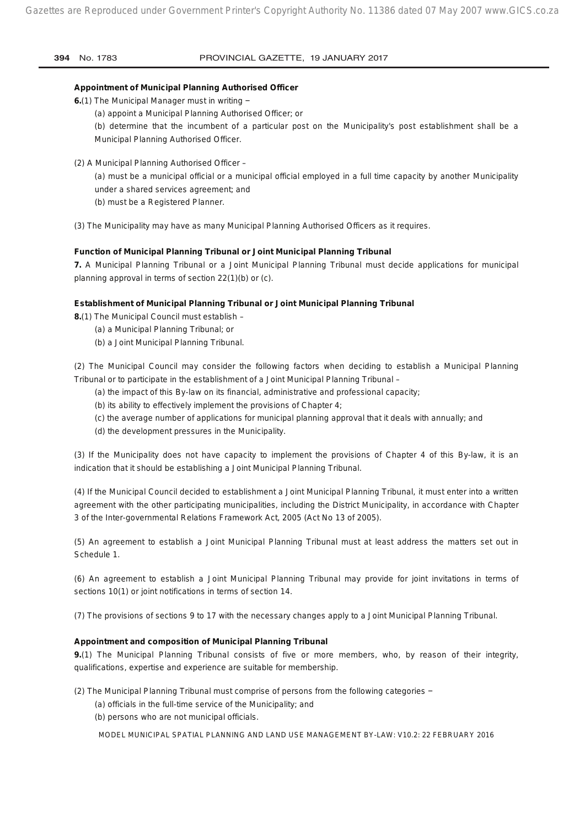#### **Appointment of Municipal Planning Authorised Officer**

- **6.**(1) The Municipal Manager must in writing −
	- (a) appoint a Municipal Planning Authorised Officer; or

(b) determine that the incumbent of a particular post on the Municipality's post establishment shall be a Municipal Planning Authorised Officer.

(2) A Municipal Planning Authorised Officer –

(a) must be a municipal official or a municipal official employed in a full time capacity by another Municipality under a shared services agreement; and

(b) must be a Registered Planner.

(3) The Municipality may have as many Municipal Planning Authorised Officers as it requires.

#### **Function of Municipal Planning Tribunal or Joint Municipal Planning Tribunal**

**7.** A Municipal Planning Tribunal or a Joint Municipal Planning Tribunal must decide applications for municipal planning approval in terms of section 22(1)(b) or (c).

#### **Establishment of Municipal Planning Tribunal or Joint Municipal Planning Tribunal**

**8.**(1) The Municipal Council must establish –

- (a) a Municipal Planning Tribunal; or
- (b) a Joint Municipal Planning Tribunal.

(2) The Municipal Council may consider the following factors when deciding to establish a Municipal Planning Tribunal or to participate in the establishment of a Joint Municipal Planning Tribunal –

- (a) the impact of this By-law on its financial, administrative and professional capacity;
- (b) its ability to effectively implement the provisions of Chapter 4;
- (c) the average number of applications for municipal planning approval that it deals with annually; and
- (d) the development pressures in the Municipality.

(3) If the Municipality does not have capacity to implement the provisions of Chapter 4 of this By-law, it is an indication that it should be establishing a Joint Municipal Planning Tribunal.

(4) If the Municipal Council decided to establishment a Joint Municipal Planning Tribunal, it must enter into a written agreement with the other participating municipalities, including the District Municipality, in accordance with Chapter 3 of the Inter-governmental Relations Framework Act, 2005 (Act No 13 of 2005).

(5) An agreement to establish a Joint Municipal Planning Tribunal must at least address the matters set out in Schedule 1.

(6) An agreement to establish a Joint Municipal Planning Tribunal may provide for joint invitations in terms of sections 10(1) or joint notifications in terms of section 14.

(7) The provisions of sections 9 to 17 with the necessary changes apply to a Joint Municipal Planning Tribunal.

#### **Appointment and composition of Municipal Planning Tribunal**

**9.**(1) The Municipal Planning Tribunal consists of five or more members, who, by reason of their integrity, qualifications, expertise and experience are suitable for membership.

(2) The Municipal Planning Tribunal must comprise of persons from the following categories −

- (a) officials in the full-time service of the Municipality; and
- (b) persons who are not municipal officials.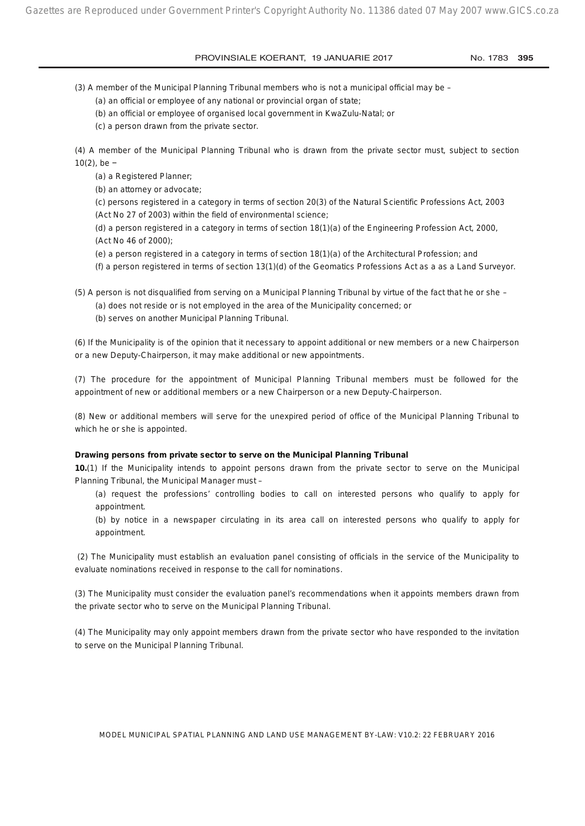(3) A member of the Municipal Planning Tribunal members who is not a municipal official may be –

(a) an official or employee of any national or provincial organ of state;

(b) an official or employee of organised local government in KwaZulu-Natal; or

(c) a person drawn from the private sector.

(4) A member of the Municipal Planning Tribunal who is drawn from the private sector must, subject to section 10(2), be −

(a) a Registered Planner;

(b) an attorney or advocate;

(c) persons registered in a category in terms of section 20(3) of the Natural Scientific Professions Act, 2003 (Act No 27 of 2003) within the field of environmental science;

(d) a person registered in a category in terms of section 18(1)(a) of the Engineering Profession Act, 2000, (Act No 46 of 2000);

(e) a person registered in a category in terms of section 18(1)(a) of the Architectural Profession; and

(f) a person registered in terms of section 13(1)(d) of the Geomatics Professions Act as a as a Land Surveyor.

(5) A person is not disqualified from serving on a Municipal Planning Tribunal by virtue of the fact that he or she –

(a) does not reside or is not employed in the area of the Municipality concerned; or

(b) serves on another Municipal Planning Tribunal.

(6) If the Municipality is of the opinion that it necessary to appoint additional or new members or a new Chairperson or a new Deputy-Chairperson, it may make additional or new appointments.

(7) The procedure for the appointment of Municipal Planning Tribunal members must be followed for the appointment of new or additional members or a new Chairperson or a new Deputy-Chairperson.

(8) New or additional members will serve for the unexpired period of office of the Municipal Planning Tribunal to which he or she is appointed.

#### **Drawing persons from private sector to serve on the Municipal Planning Tribunal**

**10.**(1) If the Municipality intends to appoint persons drawn from the private sector to serve on the Municipal Planning Tribunal, the Municipal Manager must –

(a) request the professions' controlling bodies to call on interested persons who qualify to apply for appointment.

(b) by notice in a newspaper circulating in its area call on interested persons who qualify to apply for appointment.

 (2) The Municipality must establish an evaluation panel consisting of officials in the service of the Municipality to evaluate nominations received in response to the call for nominations.

(3) The Municipality must consider the evaluation panel's recommendations when it appoints members drawn from the private sector who to serve on the Municipal Planning Tribunal.

(4) The Municipality may only appoint members drawn from the private sector who have responded to the invitation to serve on the Municipal Planning Tribunal.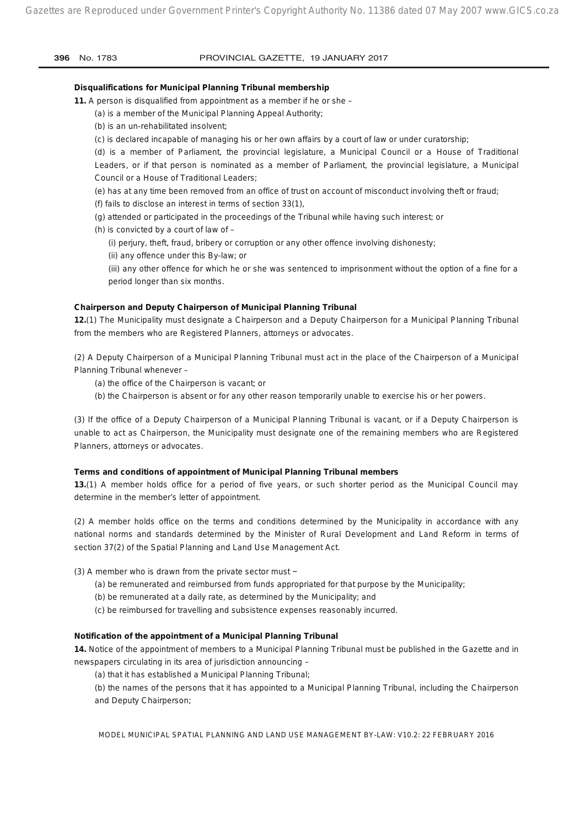| 396<br>No. 1783 |
|-----------------|
|-----------------|

#### PROVINCIAL GAZETTE, 19 JANUARY 2017

#### **Disqualifications for Municipal Planning Tribunal membership**

**11.** A person is disqualified from appointment as a member if he or she –

(a) is a member of the Municipal Planning Appeal Authority;

(b) is an un-rehabilitated insolvent;

(c) is declared incapable of managing his or her own affairs by a court of law or under curatorship;

(d) is a member of Parliament, the provincial legislature, a Municipal Council or a House of Traditional Leaders, or if that person is nominated as a member of Parliament, the provincial legislature, a Municipal Council or a House of Traditional Leaders;

(e) has at any time been removed from an office of trust on account of misconduct involving theft or fraud;

(f) fails to disclose an interest in terms of section 33(1),

- (g) attended or participated in the proceedings of the Tribunal while having such interest; or
- (h) is convicted by a court of law of –

(i) perjury, theft, fraud, bribery or corruption or any other offence involving dishonesty;

(ii) any offence under this By-law; or

(iii) any other offence for which he or she was sentenced to imprisonment without the option of a fine for a period longer than six months.

#### **Chairperson and Deputy Chairperson of Municipal Planning Tribunal**

**12.**(1) The Municipality must designate a Chairperson and a Deputy Chairperson for a Municipal Planning Tribunal from the members who are Registered Planners, attorneys or advocates.

(2) A Deputy Chairperson of a Municipal Planning Tribunal must act in the place of the Chairperson of a Municipal Planning Tribunal whenever –

- (a) the office of the Chairperson is vacant; or
- (b) the Chairperson is absent or for any other reason temporarily unable to exercise his or her powers.

(3) If the office of a Deputy Chairperson of a Municipal Planning Tribunal is vacant, or if a Deputy Chairperson is unable to act as Chairperson, the Municipality must designate one of the remaining members who are Registered Planners, attorneys or advocates.

#### **Terms and conditions of appointment of Municipal Planning Tribunal members**

**13.**(1) A member holds office for a period of five years, or such shorter period as the Municipal Council may determine in the member's letter of appointment.

(2) A member holds office on the terms and conditions determined by the Municipality in accordance with any national norms and standards determined by the Minister of Rural Development and Land Reform in terms of section 37(2) of the Spatial Planning and Land Use Management Act.

(3) A member who is drawn from the private sector must −

(a) be remunerated and reimbursed from funds appropriated for that purpose by the Municipality;

(b) be remunerated at a daily rate, as determined by the Municipality; and

(c) be reimbursed for travelling and subsistence expenses reasonably incurred.

#### **Notification of the appointment of a Municipal Planning Tribunal**

**14.** Notice of the appointment of members to a Municipal Planning Tribunal must be published in the Gazette and in newspapers circulating in its area of jurisdiction announcing –

(a) that it has established a Municipal Planning Tribunal;

(b) the names of the persons that it has appointed to a Municipal Planning Tribunal, including the Chairperson and Deputy Chairperson;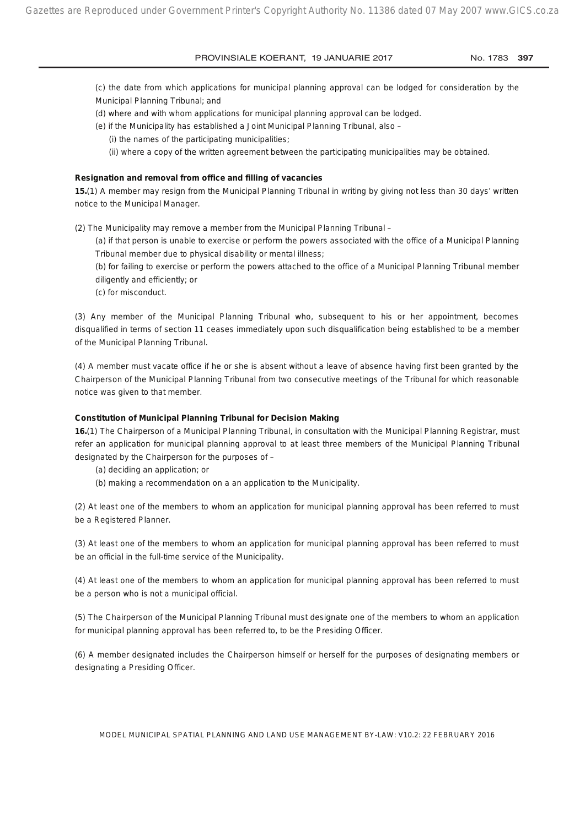(c) the date from which applications for municipal planning approval can be lodged for consideration by the Municipal Planning Tribunal; and

- (d) where and with whom applications for municipal planning approval can be lodged.
- (e) if the Municipality has established a Joint Municipal Planning Tribunal, also
	- (i) the names of the participating municipalities;
	- (ii) where a copy of the written agreement between the participating municipalities may be obtained.

#### **Resignation and removal from office and filling of vacancies**

**15.**(1) A member may resign from the Municipal Planning Tribunal in writing by giving not less than 30 days' written notice to the Municipal Manager.

(2) The Municipality may remove a member from the Municipal Planning Tribunal –

(a) if that person is unable to exercise or perform the powers associated with the office of a Municipal Planning Tribunal member due to physical disability or mental illness;

(b) for failing to exercise or perform the powers attached to the office of a Municipal Planning Tribunal member diligently and efficiently; or

(c) for misconduct.

(3) Any member of the Municipal Planning Tribunal who, subsequent to his or her appointment, becomes disqualified in terms of section 11 ceases immediately upon such disqualification being established to be a member of the Municipal Planning Tribunal.

(4) A member must vacate office if he or she is absent without a leave of absence having first been granted by the Chairperson of the Municipal Planning Tribunal from two consecutive meetings of the Tribunal for which reasonable notice was given to that member.

#### **Constitution of Municipal Planning Tribunal for Decision Making**

**16.**(1) The Chairperson of a Municipal Planning Tribunal, in consultation with the Municipal Planning Registrar, must refer an application for municipal planning approval to at least three members of the Municipal Planning Tribunal designated by the Chairperson for the purposes of –

(a) deciding an application; or

(b) making a recommendation on a an application to the Municipality.

(2) At least one of the members to whom an application for municipal planning approval has been referred to must be a Registered Planner.

(3) At least one of the members to whom an application for municipal planning approval has been referred to must be an official in the full-time service of the Municipality.

(4) At least one of the members to whom an application for municipal planning approval has been referred to must be a person who is not a municipal official.

(5) The Chairperson of the Municipal Planning Tribunal must designate one of the members to whom an application for municipal planning approval has been referred to, to be the Presiding Officer.

(6) A member designated includes the Chairperson himself or herself for the purposes of designating members or designating a Presiding Officer.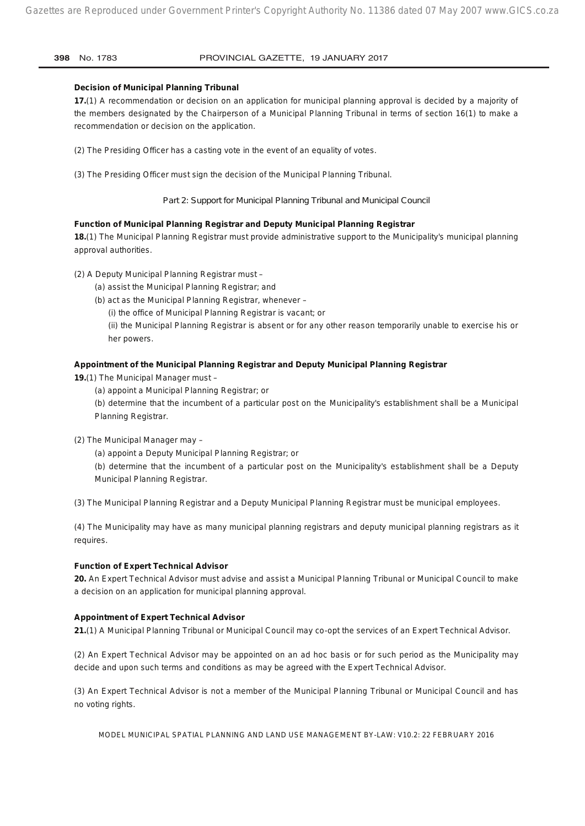#### **Decision of Municipal Planning Tribunal**

**17.**(1) A recommendation or decision on an application for municipal planning approval is decided by a majority of the members designated by the Chairperson of a Municipal Planning Tribunal in terms of section 16(1) to make a recommendation or decision on the application.

- (2) The Presiding Officer has a casting vote in the event of an equality of votes.
- (3) The Presiding Officer must sign the decision of the Municipal Planning Tribunal.

#### *Part 2: Support for Municipal Planning Tribunal and Municipal Council*

#### **Function of Municipal Planning Registrar and Deputy Municipal Planning Registrar**

**18.**(1) The Municipal Planning Registrar must provide administrative support to the Municipality's municipal planning approval authorities.

(2) A Deputy Municipal Planning Registrar must –

- (a) assist the Municipal Planning Registrar; and
- (b) act as the Municipal Planning Registrar, whenever
	- (i) the office of Municipal Planning Registrar is vacant; or

(ii) the Municipal Planning Registrar is absent or for any other reason temporarily unable to exercise his or her powers.

#### **Appointment of the Municipal Planning Registrar and Deputy Municipal Planning Registrar**

**19.**(1) The Municipal Manager must –

(a) appoint a Municipal Planning Registrar; or

(b) determine that the incumbent of a particular post on the Municipality's establishment shall be a Municipal Planning Registrar.

- (2) The Municipal Manager may
	- (a) appoint a Deputy Municipal Planning Registrar; or

(b) determine that the incumbent of a particular post on the Municipality's establishment shall be a Deputy Municipal Planning Registrar.

(3) The Municipal Planning Registrar and a Deputy Municipal Planning Registrar must be municipal employees.

(4) The Municipality may have as many municipal planning registrars and deputy municipal planning registrars as it requires.

#### **Function of Expert Technical Advisor**

**20.** An Expert Technical Advisor must advise and assist a Municipal Planning Tribunal or Municipal Council to make a decision on an application for municipal planning approval.

#### **Appointment of Expert Technical Advisor**

**21.**(1) A Municipal Planning Tribunal or Municipal Council may co-opt the services of an Expert Technical Advisor.

(2) An Expert Technical Advisor may be appointed on an ad hoc basis or for such period as the Municipality may decide and upon such terms and conditions as may be agreed with the Expert Technical Advisor.

(3) An Expert Technical Advisor is not a member of the Municipal Planning Tribunal or Municipal Council and has no voting rights.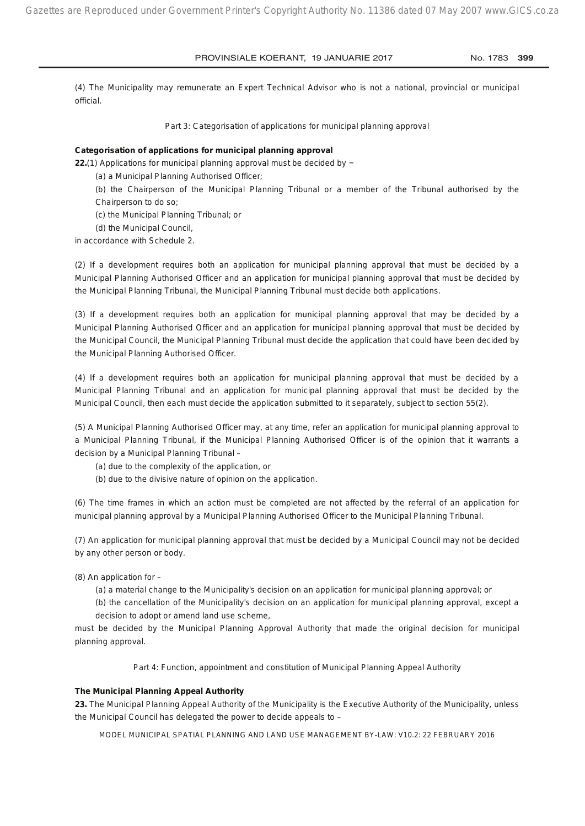(4) The Municipality may remunerate an Expert Technical Advisor who is not a national, provincial or municipal official.

#### *Part 3: Categorisation of applications for municipal planning approval*

#### **Categorisation of applications for municipal planning approval**

**22.**(1) Applications for municipal planning approval must be decided by −

- (a) a Municipal Planning Authorised Officer;
- (b) the Chairperson of the Municipal Planning Tribunal or a member of the Tribunal authorised by the Chairperson to do so;
- (c) the Municipal Planning Tribunal; or
- (d) the Municipal Council,

in accordance with Schedule 2.

(2) If a development requires both an application for municipal planning approval that must be decided by a Municipal Planning Authorised Officer and an application for municipal planning approval that must be decided by the Municipal Planning Tribunal, the Municipal Planning Tribunal must decide both applications.

(3) If a development requires both an application for municipal planning approval that may be decided by a Municipal Planning Authorised Officer and an application for municipal planning approval that must be decided by the Municipal Council, the Municipal Planning Tribunal must decide the application that could have been decided by the Municipal Planning Authorised Officer.

(4) If a development requires both an application for municipal planning approval that must be decided by a Municipal Planning Tribunal and an application for municipal planning approval that must be decided by the Municipal Council, then each must decide the application submitted to it separately, subject to section 55(2).

(5) A Municipal Planning Authorised Officer may, at any time, refer an application for municipal planning approval to a Municipal Planning Tribunal, if the Municipal Planning Authorised Officer is of the opinion that it warrants a decision by a Municipal Planning Tribunal –

(a) due to the complexity of the application, or

(b) due to the divisive nature of opinion on the application.

(6) The time frames in which an action must be completed are not affected by the referral of an application for municipal planning approval by a Municipal Planning Authorised Officer to the Municipal Planning Tribunal.

(7) An application for municipal planning approval that must be decided by a Municipal Council may not be decided by any other person or body.

- (8) An application for
	- (a) a material change to the Municipality's decision on an application for municipal planning approval; or
	- (b) the cancellation of the Municipality's decision on an application for municipal planning approval, except a decision to adopt or amend land use scheme,

must be decided by the Municipal Planning Approval Authority that made the original decision for municipal planning approval.

*Part 4: Function, appointment and constitution of Municipal Planning Appeal Authority*

#### **The Municipal Planning Appeal Authority**

**23.** The Municipal Planning Appeal Authority of the Municipality is the Executive Authority of the Municipality, unless the Municipal Council has delegated the power to decide appeals to –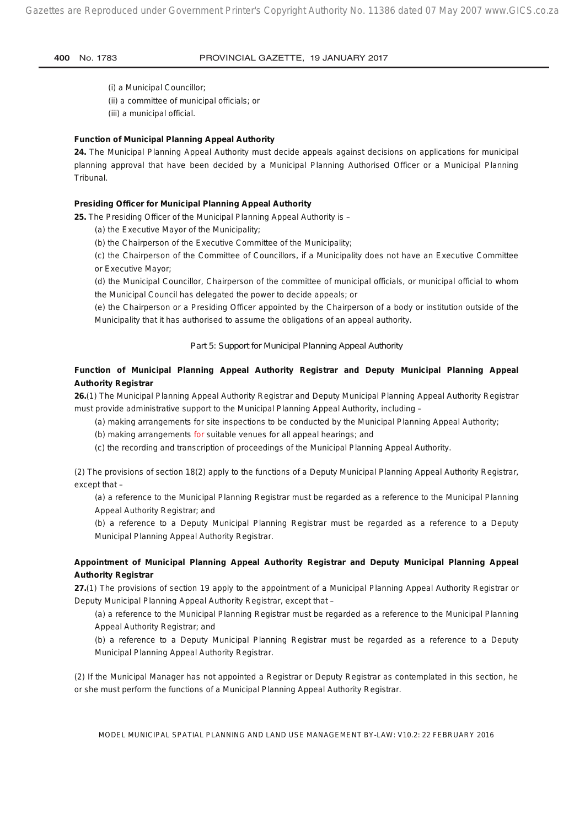(i) a Municipal Councillor; (ii) a committee of municipal officials; or

(iii) a municipal official.

#### **Function of Municipal Planning Appeal Authority**

**24.** The Municipal Planning Appeal Authority must decide appeals against decisions on applications for municipal planning approval that have been decided by a Municipal Planning Authorised Officer or a Municipal Planning Tribunal.

#### **Presiding Officer for Municipal Planning Appeal Authority**

**25.** The Presiding Officer of the Municipal Planning Appeal Authority is –

(a) the Executive Mayor of the Municipality;

(b) the Chairperson of the Executive Committee of the Municipality;

(c) the Chairperson of the Committee of Councillors, if a Municipality does not have an Executive Committee or Executive Mayor;

(d) the Municipal Councillor, Chairperson of the committee of municipal officials, or municipal official to whom the Municipal Council has delegated the power to decide appeals; or

(e) the Chairperson or a Presiding Officer appointed by the Chairperson of a body or institution outside of the Municipality that it has authorised to assume the obligations of an appeal authority.

#### *Part 5: Support for Municipal Planning Appeal Authority*

#### **Function of Municipal Planning Appeal Authority Registrar and Deputy Municipal Planning Appeal Authority Registrar**

**26.**(1) The Municipal Planning Appeal Authority Registrar and Deputy Municipal Planning Appeal Authority Registrar must provide administrative support to the Municipal Planning Appeal Authority, including –

(a) making arrangements for site inspections to be conducted by the Municipal Planning Appeal Authority;

(b) making arrangements for suitable venues for all appeal hearings; and

(c) the recording and transcription of proceedings of the Municipal Planning Appeal Authority.

(2) The provisions of section 18(2) apply to the functions of a Deputy Municipal Planning Appeal Authority Registrar, except that –

(a) a reference to the Municipal Planning Registrar must be regarded as a reference to the Municipal Planning Appeal Authority Registrar; and

(b) a reference to a Deputy Municipal Planning Registrar must be regarded as a reference to a Deputy Municipal Planning Appeal Authority Registrar.

#### **Appointment of Municipal Planning Appeal Authority Registrar and Deputy Municipal Planning Appeal Authority Registrar**

**27.**(1) The provisions of section 19 apply to the appointment of a Municipal Planning Appeal Authority Registrar or Deputy Municipal Planning Appeal Authority Registrar, except that –

(a) a reference to the Municipal Planning Registrar must be regarded as a reference to the Municipal Planning Appeal Authority Registrar; and

(b) a reference to a Deputy Municipal Planning Registrar must be regarded as a reference to a Deputy Municipal Planning Appeal Authority Registrar.

(2) If the Municipal Manager has not appointed a Registrar or Deputy Registrar as contemplated in this section, he or she must perform the functions of a Municipal Planning Appeal Authority Registrar.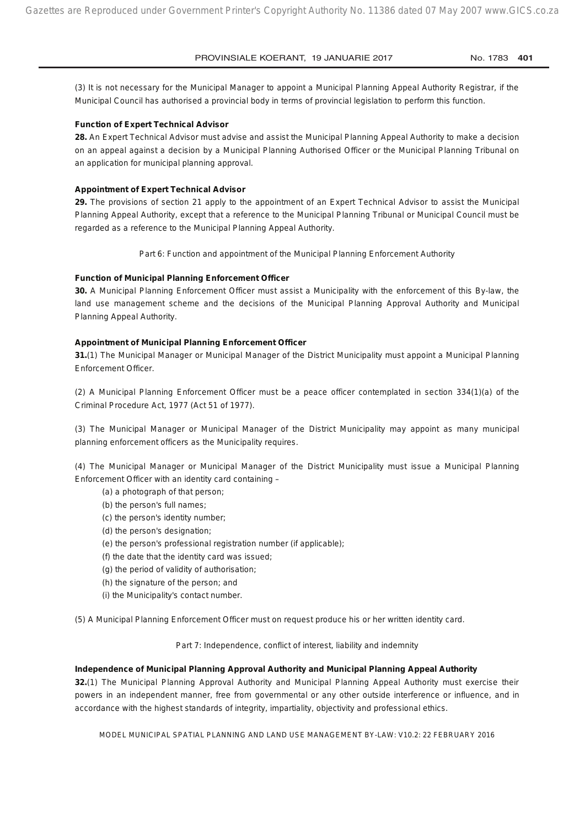(3) It is not necessary for the Municipal Manager to appoint a Municipal Planning Appeal Authority Registrar, if the Municipal Council has authorised a provincial body in terms of provincial legislation to perform this function.

#### **Function of Expert Technical Advisor**

**28.** An Expert Technical Advisor must advise and assist the Municipal Planning Appeal Authority to make a decision on an appeal against a decision by a Municipal Planning Authorised Officer or the Municipal Planning Tribunal on an application for municipal planning approval.

#### **Appointment of Expert Technical Advisor**

**29.** The provisions of section 21 apply to the appointment of an Expert Technical Advisor to assist the Municipal Planning Appeal Authority, except that a reference to the Municipal Planning Tribunal or Municipal Council must be regarded as a reference to the Municipal Planning Appeal Authority.

*Part 6: Function and appointment of the Municipal Planning Enforcement Authority*

#### **Function of Municipal Planning Enforcement Officer**

**30.** A Municipal Planning Enforcement Officer must assist a Municipality with the enforcement of this By-law, the land use management scheme and the decisions of the Municipal Planning Approval Authority and Municipal Planning Appeal Authority.

#### **Appointment of Municipal Planning Enforcement Officer**

**31.**(1) The Municipal Manager or Municipal Manager of the District Municipality must appoint a Municipal Planning Enforcement Officer.

(2) A Municipal Planning Enforcement Officer must be a peace officer contemplated in section 334(1)(a) of the Criminal Procedure Act, 1977 (Act 51 of 1977).

(3) The Municipal Manager or Municipal Manager of the District Municipality may appoint as many municipal planning enforcement officers as the Municipality requires.

(4) The Municipal Manager or Municipal Manager of the District Municipality must issue a Municipal Planning Enforcement Officer with an identity card containing –

- (a) a photograph of that person;
- (b) the person's full names;
- (c) the person's identity number;
- (d) the person's designation;
- (e) the person's professional registration number (if applicable);
- (f) the date that the identity card was issued;
- (g) the period of validity of authorisation;
- (h) the signature of the person; and
- (i) the Municipality's contact number.

(5) A Municipal Planning Enforcement Officer must on request produce his or her written identity card.

*Part 7: Independence, conflict of interest, liability and indemnity*

#### **Independence of Municipal Planning Approval Authority and Municipal Planning Appeal Authority**

**32.**(1) The Municipal Planning Approval Authority and Municipal Planning Appeal Authority must exercise their powers in an independent manner, free from governmental or any other outside interference or influence, and in accordance with the highest standards of integrity, impartiality, objectivity and professional ethics.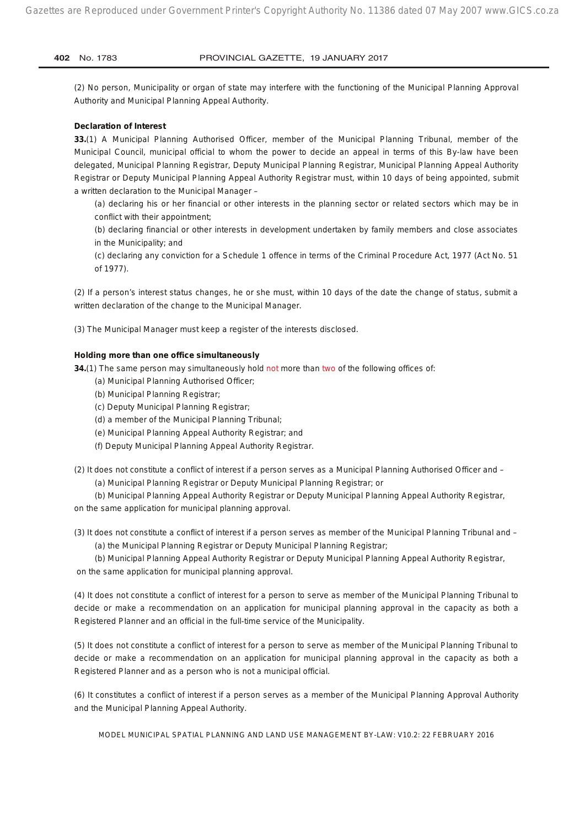(2) No person, Municipality or organ of state may interfere with the functioning of the Municipal Planning Approval Authority and Municipal Planning Appeal Authority.

#### **Declaration of Interest**

**33.**(1) A Municipal Planning Authorised Officer, member of the Municipal Planning Tribunal, member of the Municipal Council, municipal official to whom the power to decide an appeal in terms of this By-law have been delegated, Municipal Planning Registrar, Deputy Municipal Planning Registrar, Municipal Planning Appeal Authority Registrar or Deputy Municipal Planning Appeal Authority Registrar must, within 10 days of being appointed, submit a written declaration to the Municipal Manager –

(a) declaring his or her financial or other interests in the planning sector or related sectors which may be in conflict with their appointment;

(b) declaring financial or other interests in development undertaken by family members and close associates in the Municipality; and

(c) declaring any conviction for a Schedule 1 offence in terms of the Criminal Procedure Act, 1977 (Act No. 51 of 1977).

(2) If a person's interest status changes, he or she must, within 10 days of the date the change of status, submit a written declaration of the change to the Municipal Manager.

(3) The Municipal Manager must keep a register of the interests disclosed.

#### **Holding more than one office simultaneously**

**34.**(1) The same person may simultaneously hold not more than two of the following offices of:

- (a) Municipal Planning Authorised Officer;
- (b) Municipal Planning Registrar;
- (c) Deputy Municipal Planning Registrar;
- (d) a member of the Municipal Planning Tribunal;
- (e) Municipal Planning Appeal Authority Registrar; and
- (f) Deputy Municipal Planning Appeal Authority Registrar.
- (2) It does not constitute a conflict of interest if a person serves as a Municipal Planning Authorised Officer and (a) Municipal Planning Registrar or Deputy Municipal Planning Registrar; or

(b) Municipal Planning Appeal Authority Registrar or Deputy Municipal Planning Appeal Authority Registrar, on the same application for municipal planning approval.

(3) It does not constitute a conflict of interest if a person serves as member of the Municipal Planning Tribunal and – (a) the Municipal Planning Registrar or Deputy Municipal Planning Registrar;

(b) Municipal Planning Appeal Authority Registrar or Deputy Municipal Planning Appeal Authority Registrar, on the same application for municipal planning approval.

(4) It does not constitute a conflict of interest for a person to serve as member of the Municipal Planning Tribunal to decide or make a recommendation on an application for municipal planning approval in the capacity as both a Registered Planner and an official in the full-time service of the Municipality.

(5) It does not constitute a conflict of interest for a person to serve as member of the Municipal Planning Tribunal to decide or make a recommendation on an application for municipal planning approval in the capacity as both a Registered Planner and as a person who is not a municipal official.

(6) It constitutes a conflict of interest if a person serves as a member of the Municipal Planning Approval Authority and the Municipal Planning Appeal Authority.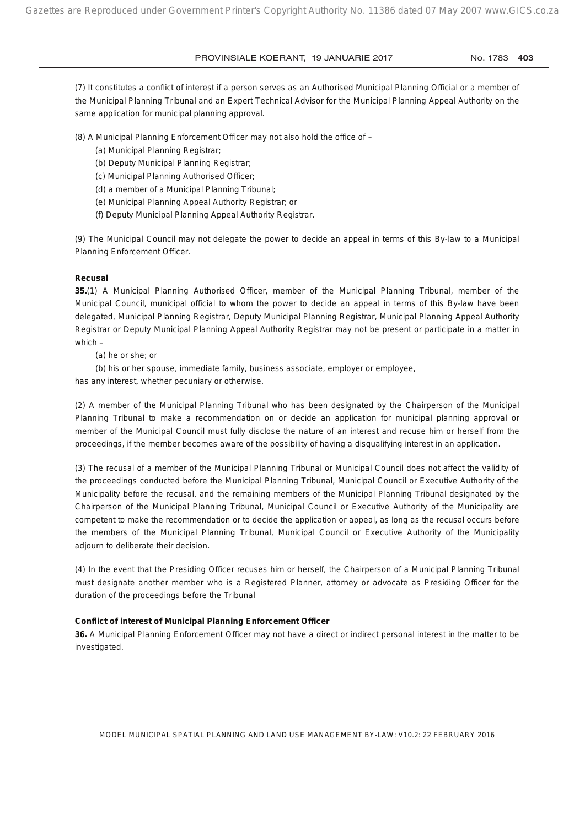(7) It constitutes a conflict of interest if a person serves as an Authorised Municipal Planning Official or a member of the Municipal Planning Tribunal and an Expert Technical Advisor for the Municipal Planning Appeal Authority on the same application for municipal planning approval.

(8) A Municipal Planning Enforcement Officer may not also hold the office of –

- (a) Municipal Planning Registrar;
- (b) Deputy Municipal Planning Registrar;
- (c) Municipal Planning Authorised Officer;
- (d) a member of a Municipal Planning Tribunal;
- (e) Municipal Planning Appeal Authority Registrar; or
- (f) Deputy Municipal Planning Appeal Authority Registrar.

(9) The Municipal Council may not delegate the power to decide an appeal in terms of this By-law to a Municipal Planning Enforcement Officer.

#### **Recusal**

**35.**(1) A Municipal Planning Authorised Officer, member of the Municipal Planning Tribunal, member of the Municipal Council, municipal official to whom the power to decide an appeal in terms of this By-law have been delegated, Municipal Planning Registrar, Deputy Municipal Planning Registrar, Municipal Planning Appeal Authority Registrar or Deputy Municipal Planning Appeal Authority Registrar may not be present or participate in a matter in which –

(a) he or she; or

(b) his or her spouse, immediate family, business associate, employer or employee,

has any interest, whether pecuniary or otherwise.

(2) A member of the Municipal Planning Tribunal who has been designated by the Chairperson of the Municipal Planning Tribunal to make a recommendation on or decide an application for municipal planning approval or member of the Municipal Council must fully disclose the nature of an interest and recuse him or herself from the proceedings, if the member becomes aware of the possibility of having a disqualifying interest in an application.

(3) The recusal of a member of the Municipal Planning Tribunal or Municipal Council does not affect the validity of the proceedings conducted before the Municipal Planning Tribunal, Municipal Council or Executive Authority of the Municipality before the recusal, and the remaining members of the Municipal Planning Tribunal designated by the Chairperson of the Municipal Planning Tribunal, Municipal Council or Executive Authority of the Municipality are competent to make the recommendation or to decide the application or appeal, as long as the recusal occurs before the members of the Municipal Planning Tribunal, Municipal Council or Executive Authority of the Municipality adjourn to deliberate their decision.

(4) In the event that the Presiding Officer recuses him or herself, the Chairperson of a Municipal Planning Tribunal must designate another member who is a Registered Planner, attorney or advocate as Presiding Officer for the duration of the proceedings before the Tribunal

#### **Conflict of interest of Municipal Planning Enforcement Officer**

**36.** A Municipal Planning Enforcement Officer may not have a direct or indirect personal interest in the matter to be investigated.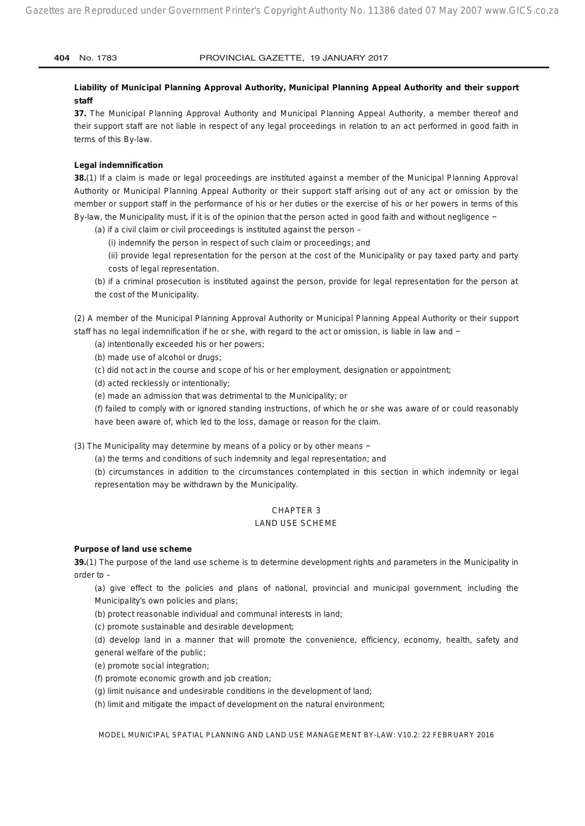**Liability of Municipal Planning Approval Authority, Municipal Planning Appeal Authority and their support staff**

**37.** The Municipal Planning Approval Authority and Municipal Planning Appeal Authority, a member thereof and their support staff are not liable in respect of any legal proceedings in relation to an act performed in good faith in terms of this By-law.

#### **Legal indemnification**

**38.**(1) If a claim is made or legal proceedings are instituted against a member of the Municipal Planning Approval Authority or Municipal Planning Appeal Authority or their support staff arising out of any act or omission by the member or support staff in the performance of his or her duties or the exercise of his or her powers in terms of this By-law, the Municipality must, if it is of the opinion that the person acted in good faith and without negligence −

(a) if a civil claim or civil proceedings is instituted against the person –

(i) indemnify the person in respect of such claim or proceedings; and

(ii) provide legal representation for the person at the cost of the Municipality or pay taxed party and party costs of legal representation.

(b) if a criminal prosecution is instituted against the person, provide for legal representation for the person at the cost of the Municipality.

(2) A member of the Municipal Planning Approval Authority or Municipal Planning Appeal Authority or their support staff has no legal indemnification if he or she, with regard to the act or omission, is liable in law and −

(a) intentionally exceeded his or her powers;

(b) made use of alcohol or drugs;

(c) did not act in the course and scope of his or her employment, designation or appointment;

(d) acted recklessly or intentionally;

(e) made an admission that was detrimental to the Municipality; or

(f) failed to comply with or ignored standing instructions, of which he or she was aware of or could reasonably have been aware of, which led to the loss, damage or reason for the claim.

(3) The Municipality may determine by means of a policy or by other means −

(a) the terms and conditions of such indemnity and legal representation; and

(b) circumstances in addition to the circumstances contemplated in this section in which indemnity or legal representation may be withdrawn by the Municipality.

#### CHAPTER 3

#### LAND USE SCHEME

#### **Purpose of land use scheme**

**39.**(1) The purpose of the land use scheme is to determine development rights and parameters in the Municipality in order to –

(a) give effect to the policies and plans of national, provincial and municipal government, including the Municipality's own policies and plans;

(b) protect reasonable individual and communal interests in land;

(c) promote sustainable and desirable development;

(d) develop land in a manner that will promote the convenience, efficiency, economy, health, safety and general welfare of the public;

(e) promote social integration;

- (f) promote economic growth and job creation;
- (g) limit nuisance and undesirable conditions in the development of land;

(h) limit and mitigate the impact of development on the natural environment;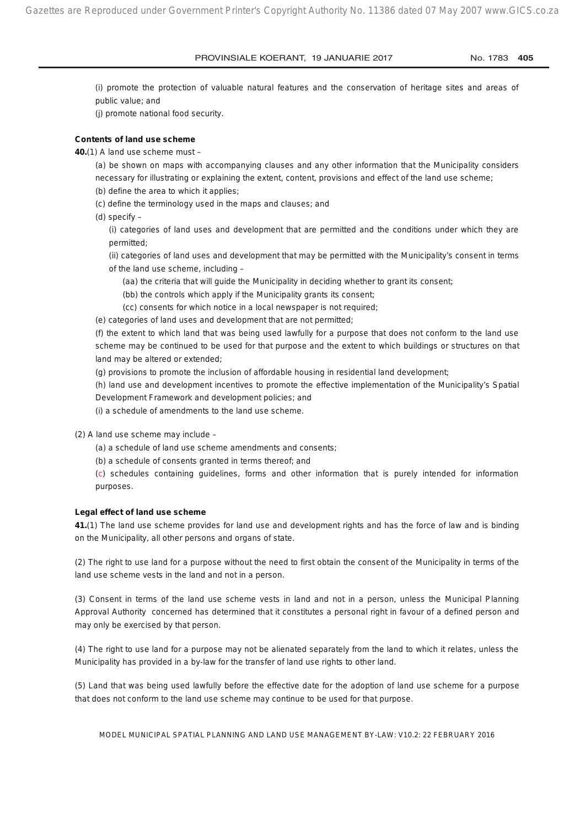(i) promote the protection of valuable natural features and the conservation of heritage sites and areas of public value; and

(j) promote national food security.

#### **Contents of land use scheme**

**40.**(1) A land use scheme must –

(a) be shown on maps with accompanying clauses and any other information that the Municipality considers necessary for illustrating or explaining the extent, content, provisions and effect of the land use scheme;

- (b) define the area to which it applies;
- (c) define the terminology used in the maps and clauses; and
- (d) specify –

(i) categories of land uses and development that are permitted and the conditions under which they are permitted;

(ii) categories of land uses and development that may be permitted with the Municipality's consent in terms of the land use scheme, including –

- (aa) the criteria that will guide the Municipality in deciding whether to grant its consent;
- (bb) the controls which apply if the Municipality grants its consent;
- (cc) consents for which notice in a local newspaper is not required;

(e) categories of land uses and development that are not permitted;

(f) the extent to which land that was being used lawfully for a purpose that does not conform to the land use scheme may be continued to be used for that purpose and the extent to which buildings or structures on that land may be altered or extended;

(g) provisions to promote the inclusion of affordable housing in residential land development;

(h) land use and development incentives to promote the effective implementation of the Municipality's Spatial Development Framework and development policies; and

(i) a schedule of amendments to the land use scheme.

(2) A land use scheme may include –

- (a) a schedule of land use scheme amendments and consents;
- (b) a schedule of consents granted in terms thereof; and

(c) schedules containing guidelines, forms and other information that is purely intended for information purposes.

#### **Legal effect of land use scheme**

**41.**(1) The land use scheme provides for land use and development rights and has the force of law and is binding on the Municipality, all other persons and organs of state.

(2) The right to use land for a purpose without the need to first obtain the consent of the Municipality in terms of the land use scheme vests in the land and not in a person.

(3) Consent in terms of the land use scheme vests in land and not in a person, unless the Municipal Planning Approval Authority concerned has determined that it constitutes a personal right in favour of a defined person and may only be exercised by that person.

(4) The right to use land for a purpose may not be alienated separately from the land to which it relates, unless the Municipality has provided in a by-law for the transfer of land use rights to other land.

(5) Land that was being used lawfully before the effective date for the adoption of land use scheme for a purpose that does not conform to the land use scheme may continue to be used for that purpose.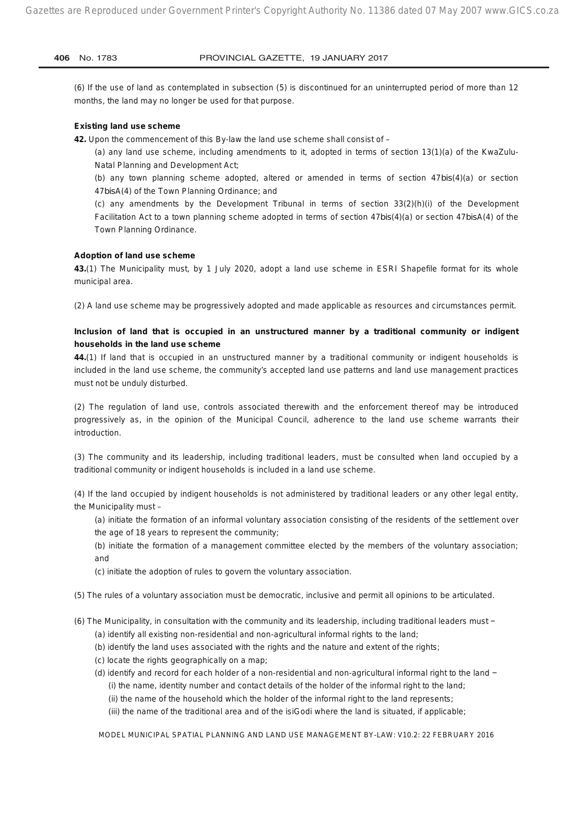(6) If the use of land as contemplated in subsection (5) is discontinued for an uninterrupted period of more than 12 months, the land may no longer be used for that purpose.

#### **Existing land use scheme**

**42.** Upon the commencement of this By-law the land use scheme shall consist of –

(a) any land use scheme, including amendments to it, adopted in terms of section 13(1)(a) of the KwaZulu-Natal Planning and Development Act;

(b) any town planning scheme adopted, altered or amended in terms of section 47*bis*(4)(a) or section 47*bis*A(4) of the Town Planning Ordinance; and

(c) any amendments by the Development Tribunal in terms of section 33(2)(h)(i) of the Development Facilitation Act to a town planning scheme adopted in terms of section 47*bis*(4)(a) or section 47*bis*A(4) of the Town Planning Ordinance.

#### **Adoption of land use scheme**

**43.**(1) The Municipality must, by 1 July 2020, adopt a land use scheme in ESRI Shapefile format for its whole municipal area.

(2) A land use scheme may be progressively adopted and made applicable as resources and circumstances permit.

#### **Inclusion of land that is occupied in an unstructured manner by a traditional community or indigent households in the land use scheme**

**44.**(1) If land that is occupied in an unstructured manner by a traditional community or indigent households is included in the land use scheme, the community's accepted land use patterns and land use management practices must not be unduly disturbed.

(2) The regulation of land use, controls associated therewith and the enforcement thereof may be introduced progressively as, in the opinion of the Municipal Council, adherence to the land use scheme warrants their introduction.

(3) The community and its leadership, including traditional leaders, must be consulted when land occupied by a traditional community or indigent households is included in a land use scheme.

(4) If the land occupied by indigent households is not administered by traditional leaders or any other legal entity, the Municipality must –

(a) initiate the formation of an informal voluntary association consisting of the residents of the settlement over the age of 18 years to represent the community;

- (b) initiate the formation of a management committee elected by the members of the voluntary association; and
- (c) initiate the adoption of rules to govern the voluntary association.
- (5) The rules of a voluntary association must be democratic, inclusive and permit all opinions to be articulated.
- (6) The Municipality, in consultation with the community and its leadership, including traditional leaders must −
	- (a) identify all existing non-residential and non-agricultural informal rights to the land;
	- (b) identify the land uses associated with the rights and the nature and extent of the rights;
	- (c) locate the rights geographically on a map;
	- (d) identify and record for each holder of a non-residential and non-agricultural informal right to the land − (i) the name, identity number and contact details of the holder of the informal right to the land;
		- (ii) the name of the household which the holder of the informal right to the land represents;
		- (iii) the name of the traditional area and of the isiGodi where the land is situated, if applicable;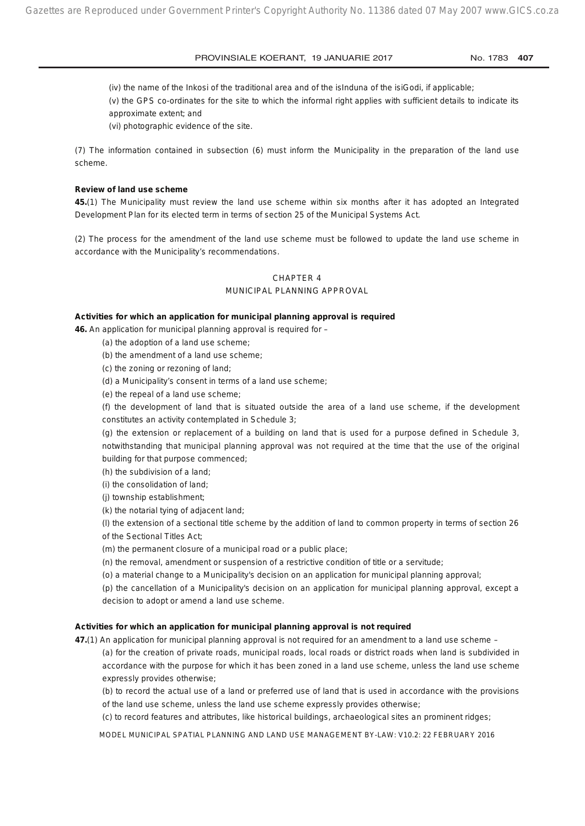(iv) the name of the Inkosi of the traditional area and of the isInduna of the isiGodi, if applicable;

(v) the GPS co-ordinates for the site to which the informal right applies with sufficient details to indicate its approximate extent; and

(vi) photographic evidence of the site.

(7) The information contained in subsection (6) must inform the Municipality in the preparation of the land use scheme.

#### **Review of land use scheme**

**45.**(1) The Municipality must review the land use scheme within six months after it has adopted an Integrated Development Plan for its elected term in terms of section 25 of the Municipal Systems Act.

(2) The process for the amendment of the land use scheme must be followed to update the land use scheme in accordance with the Municipality's recommendations.

#### CHAPTER 4

#### MUNICIPAL PLANNING APPROVAL

#### **Activities for which an application for municipal planning approval is required**

**46.** An application for municipal planning approval is required for –

- (a) the adoption of a land use scheme;
- (b) the amendment of a land use scheme;
- (c) the zoning or rezoning of land;
- (d) a Municipality's consent in terms of a land use scheme;
- (e) the repeal of a land use scheme;

(f) the development of land that is situated outside the area of a land use scheme, if the development constitutes an activity contemplated in Schedule 3;

(g) the extension or replacement of a building on land that is used for a purpose defined in Schedule 3, notwithstanding that municipal planning approval was not required at the time that the use of the original building for that purpose commenced;

- (h) the subdivision of a land;
- (i) the consolidation of land;
- (j) township establishment;

(k) the notarial tying of adjacent land;

(l) the extension of a sectional title scheme by the addition of land to common property in terms of section 26 of the Sectional Titles Act;

(m) the permanent closure of a municipal road or a public place;

(n) the removal, amendment or suspension of a restrictive condition of title or a servitude;

(o) a material change to a Municipality's decision on an application for municipal planning approval;

(p) the cancellation of a Municipality's decision on an application for municipal planning approval, except a decision to adopt or amend a land use scheme.

#### **Activities for which an application for municipal planning approval is not required**

**47.**(1) An application for municipal planning approval is not required for an amendment to a land use scheme –

(a) for the creation of private roads, municipal roads, local roads or district roads when land is subdivided in accordance with the purpose for which it has been zoned in a land use scheme, unless the land use scheme expressly provides otherwise;

(b) to record the actual use of a land or preferred use of land that is used in accordance with the provisions of the land use scheme, unless the land use scheme expressly provides otherwise;

(c) to record features and attributes, like historical buildings, archaeological sites an prominent ridges;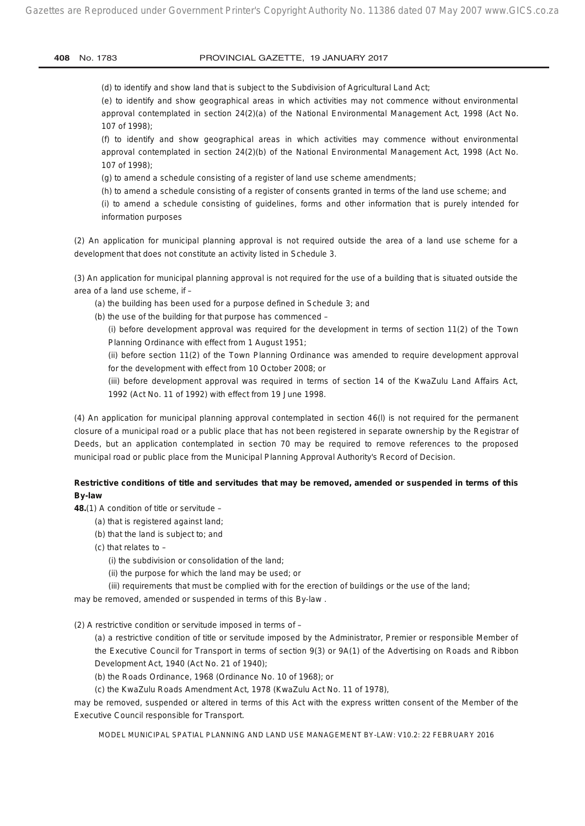(d) to identify and show land that is subject to the Subdivision of Agricultural Land Act;

(e) to identify and show geographical areas in which activities may not commence without environmental approval contemplated in section 24(2)(a) of the National Environmental Management Act, 1998 (Act No. 107 of 1998);

(f) to identify and show geographical areas in which activities may commence without environmental approval contemplated in section 24(2)(b) of the National Environmental Management Act, 1998 (Act No. 107 of 1998);

(g) to amend a schedule consisting of a register of land use scheme amendments;

(h) to amend a schedule consisting of a register of consents granted in terms of the land use scheme; and

(i) to amend a schedule consisting of guidelines, forms and other information that is purely intended for information purposes

(2) An application for municipal planning approval is not required outside the area of a land use scheme for a development that does not constitute an activity listed in Schedule 3.

(3) An application for municipal planning approval is not required for the use of a building that is situated outside the area of a land use scheme, if –

(a) the building has been used for a purpose defined in Schedule 3; and

(b) the use of the building for that purpose has commenced –

(i) before development approval was required for the development in terms of section 11(2) of the Town Planning Ordinance with effect from 1 August 1951;

(ii) before section 11(2) of the Town Planning Ordinance was amended to require development approval for the development with effect from 10 October 2008; or

(iii) before development approval was required in terms of section 14 of the KwaZulu Land Affairs Act, 1992 (Act No. 11 of 1992) with effect from 19 June 1998.

(4) An application for municipal planning approval contemplated in section 46(l) is not required for the permanent closure of a municipal road or a public place that has not been registered in separate ownership by the Registrar of Deeds, but an application contemplated in section 70 may be required to remove references to the proposed municipal road or public place from the Municipal Planning Approval Authority's Record of Decision.

#### **Restrictive conditions of title and servitudes that may be removed, amended or suspended in terms of this By-law**

**48.**(1) A condition of title or servitude –

(a) that is registered against land;

(b) that the land is subject to; and

(c) that relates to –

(i) the subdivision or consolidation of the land;

(ii) the purpose for which the land may be used; or

(iii) requirements that must be complied with for the erection of buildings or the use of the land;

may be removed, amended or suspended in terms of this By-law .

(2) A restrictive condition or servitude imposed in terms of –

(a) a restrictive condition of title or servitude imposed by the Administrator, Premier or responsible Member of the Executive Council for Transport in terms of section 9(3) or 9A(1) of the Advertising on Roads and Ribbon Development Act, 1940 (Act No. 21 of 1940);

(b) the Roads Ordinance, 1968 (Ordinance No. 10 of 1968); or

(c) the KwaZulu Roads Amendment Act, 1978 (KwaZulu Act No. 11 of 1978),

may be removed, suspended or altered in terms of this Act with the express written consent of the Member of the Executive Council responsible for Transport.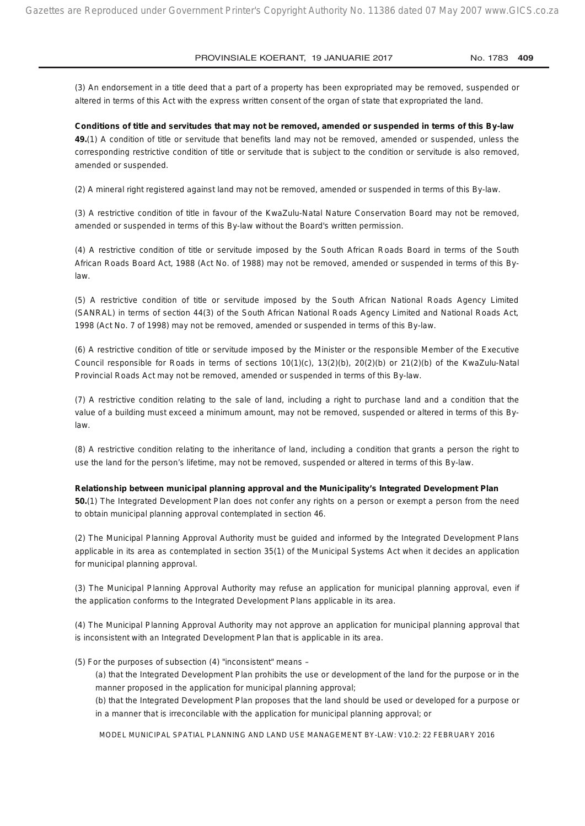(3) An endorsement in a title deed that a part of a property has been expropriated may be removed, suspended or altered in terms of this Act with the express written consent of the organ of state that expropriated the land.

**Conditions of title and servitudes that may not be removed, amended or suspended in terms of this By-law 49.**(1) A condition of title or servitude that benefits land may not be removed, amended or suspended, unless the corresponding restrictive condition of title or servitude that is subject to the condition or servitude is also removed, amended or suspended.

(2) A mineral right registered against land may not be removed, amended or suspended in terms of this By-law.

(3) A restrictive condition of title in favour of the KwaZulu-Natal Nature Conservation Board may not be removed, amended or suspended in terms of this By-law without the Board's written permission.

(4) A restrictive condition of title or servitude imposed by the South African Roads Board in terms of the South African Roads Board Act, 1988 (Act No. of 1988) may not be removed, amended or suspended in terms of this Bylaw.

(5) A restrictive condition of title or servitude imposed by the South African National Roads Agency Limited (SANRAL) in terms of section 44(3) of the South African National Roads Agency Limited and National Roads Act, 1998 (Act No. 7 of 1998) may not be removed, amended or suspended in terms of this By-law.

(6) A restrictive condition of title or servitude imposed by the Minister or the responsible Member of the Executive Council responsible for Roads in terms of sections 10(1)(c), 13(2)(b), 20(2)(b) or 21(2)(b) of the KwaZulu-Natal Provincial Roads Act may not be removed, amended or suspended in terms of this By-law.

(7) A restrictive condition relating to the sale of land, including a right to purchase land and a condition that the value of a building must exceed a minimum amount, may not be removed, suspended or altered in terms of this Bylaw.

(8) A restrictive condition relating to the inheritance of land, including a condition that grants a person the right to use the land for the person's lifetime, may not be removed, suspended or altered in terms of this By-law.

#### **Relationship between municipal planning approval and the Municipality's Integrated Development Plan**

**50.**(1) The Integrated Development Plan does not confer any rights on a person or exempt a person from the need to obtain municipal planning approval contemplated in section 46.

(2) The Municipal Planning Approval Authority must be guided and informed by the Integrated Development Plans applicable in its area as contemplated in section 35(1) of the Municipal Systems Act when it decides an application for municipal planning approval.

(3) The Municipal Planning Approval Authority may refuse an application for municipal planning approval, even if the application conforms to the Integrated Development Plans applicable in its area.

(4) The Municipal Planning Approval Authority may not approve an application for municipal planning approval that is inconsistent with an Integrated Development Plan that is applicable in its area.

#### (5) For the purposes of subsection (4) "inconsistent" means –

(a) that the Integrated Development Plan prohibits the use or development of the land for the purpose or in the manner proposed in the application for municipal planning approval;

(b) that the Integrated Development Plan proposes that the land should be used or developed for a purpose or in a manner that is irreconcilable with the application for municipal planning approval; or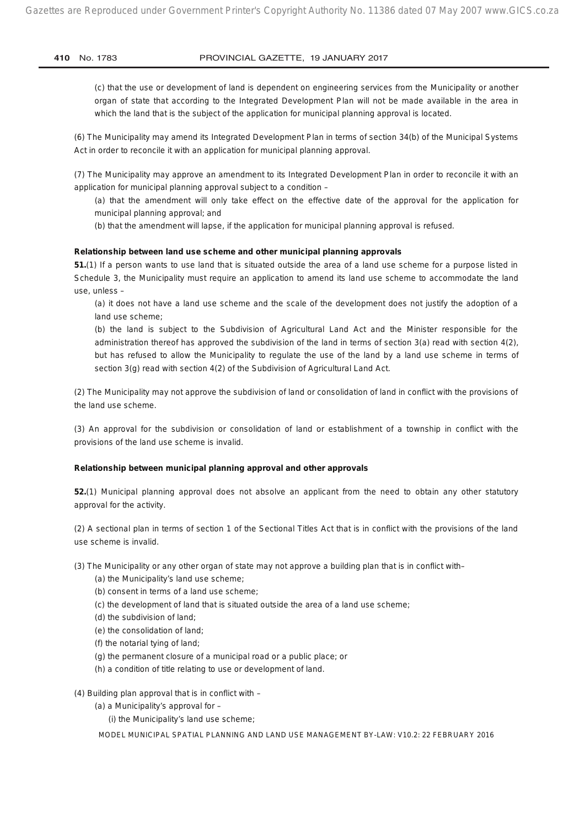(c) that the use or development of land is dependent on engineering services from the Municipality or another organ of state that according to the Integrated Development Plan will not be made available in the area in which the land that is the subject of the application for municipal planning approval is located.

(6) The Municipality may amend its Integrated Development Plan in terms of section 34(b) of the Municipal Systems Act in order to reconcile it with an application for municipal planning approval.

(7) The Municipality may approve an amendment to its Integrated Development Plan in order to reconcile it with an application for municipal planning approval subject to a condition –

(a) that the amendment will only take effect on the effective date of the approval for the application for municipal planning approval; and

(b) that the amendment will lapse, if the application for municipal planning approval is refused.

#### **Relationship between land use scheme and other municipal planning approvals**

**51.**(1) If a person wants to use land that is situated outside the area of a land use scheme for a purpose listed in Schedule 3, the Municipality must require an application to amend its land use scheme to accommodate the land use, unless –

(a) it does not have a land use scheme and the scale of the development does not justify the adoption of a land use scheme;

(b) the land is subject to the Subdivision of Agricultural Land Act and the Minister responsible for the administration thereof has approved the subdivision of the land in terms of section 3(a) read with section 4(2), but has refused to allow the Municipality to regulate the use of the land by a land use scheme in terms of section 3(g) read with section 4(2) of the Subdivision of Agricultural Land Act.

(2) The Municipality may not approve the subdivision of land or consolidation of land in conflict with the provisions of the land use scheme.

(3) An approval for the subdivision or consolidation of land or establishment of a township in conflict with the provisions of the land use scheme is invalid.

#### **Relationship between municipal planning approval and other approvals**

**52.**(1) Municipal planning approval does not absolve an applicant from the need to obtain any other statutory approval for the activity.

(2) A sectional plan in terms of section 1 of the Sectional Titles Act that is in conflict with the provisions of the land use scheme is invalid.

(3) The Municipality or any other organ of state may not approve a building plan that is in conflict with–

- (a) the Municipality's land use scheme;
- (b) consent in terms of a land use scheme;
- (c) the development of land that is situated outside the area of a land use scheme;
- (d) the subdivision of land;
- (e) the consolidation of land;
- (f) the notarial tying of land;
- (g) the permanent closure of a municipal road or a public place; or
- (h) a condition of title relating to use or development of land.

(4) Building plan approval that is in conflict with –

(a) a Municipality's approval for –

(i) the Municipality's land use scheme;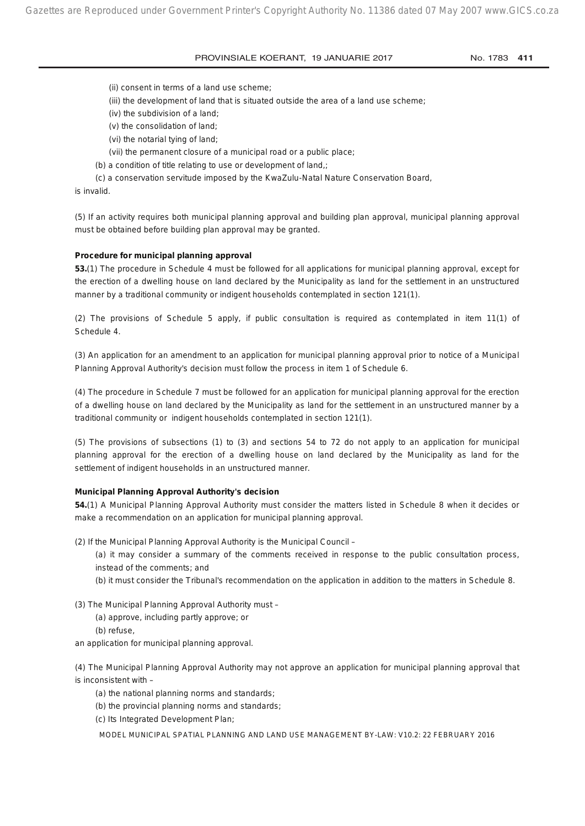- (ii) consent in terms of a land use scheme;
- (iii) the development of land that is situated outside the area of a land use scheme;
- (iv) the subdivision of a land;
- (v) the consolidation of land;
- (vi) the notarial tying of land;
- (vii) the permanent closure of a municipal road or a public place;
- (b) a condition of title relating to use or development of land,;
- (c) a conservation servitude imposed by the KwaZulu-Natal Nature Conservation Board,

is invalid.

(5) If an activity requires both municipal planning approval and building plan approval, municipal planning approval must be obtained before building plan approval may be granted.

#### **Procedure for municipal planning approval**

**53.**(1) The procedure in Schedule 4 must be followed for all applications for municipal planning approval, except for the erection of a dwelling house on land declared by the Municipality as land for the settlement in an unstructured manner by a traditional community or indigent households contemplated in section 121(1).

(2) The provisions of Schedule 5 apply, if public consultation is required as contemplated in item 11(1) of Schedule 4.

(3) An application for an amendment to an application for municipal planning approval prior to notice of a Municipal Planning Approval Authority's decision must follow the process in item 1 of Schedule 6.

(4) The procedure in Schedule 7 must be followed for an application for municipal planning approval for the erection of a dwelling house on land declared by the Municipality as land for the settlement in an unstructured manner by a traditional community or indigent households contemplated in section 121(1).

(5) The provisions of subsections (1) to (3) and sections 54 to 72 do not apply to an application for municipal planning approval for the erection of a dwelling house on land declared by the Municipality as land for the settlement of indigent households in an unstructured manner.

#### **Municipal Planning Approval Authority's decision**

**54.**(1) A Municipal Planning Approval Authority must consider the matters listed in Schedule 8 when it decides or make a recommendation on an application for municipal planning approval.

(2) If the Municipal Planning Approval Authority is the Municipal Council –

(a) it may consider a summary of the comments received in response to the public consultation process, instead of the comments; and

(b) it must consider the Tribunal's recommendation on the application in addition to the matters in Schedule 8.

(3) The Municipal Planning Approval Authority must –

- (a) approve, including partly approve; or
- (b) refuse,

an application for municipal planning approval.

(4) The Municipal Planning Approval Authority may not approve an application for municipal planning approval that is inconsistent with –

- (a) the national planning norms and standards;
- (b) the provincial planning norms and standards;
- (c) Its Integrated Development Plan;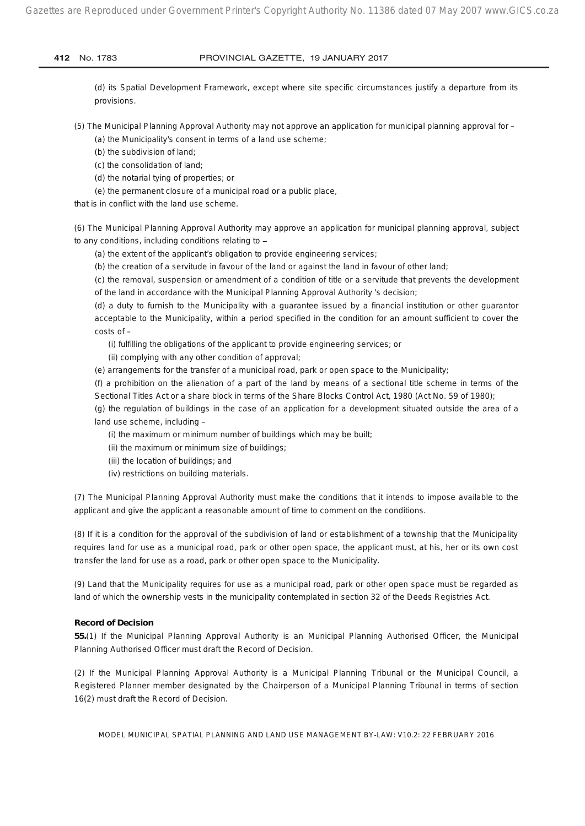(d) its Spatial Development Framework, except where site specific circumstances justify a departure from its provisions.

- (5) The Municipal Planning Approval Authority may not approve an application for municipal planning approval for
	- (a) the Municipality's consent in terms of a land use scheme;
	- (b) the subdivision of land;
	- (c) the consolidation of land;
	- (d) the notarial tying of properties; or
	- (e) the permanent closure of a municipal road or a public place,
- that is in conflict with the land use scheme.

(6) The Municipal Planning Approval Authority may approve an application for municipal planning approval, subject to any conditions, including conditions relating to -

- (a) the extent of the applicant's obligation to provide engineering services;
- (b) the creation of a servitude in favour of the land or against the land in favour of other land;

(c) the removal, suspension or amendment of a condition of title or a servitude that prevents the development of the land in accordance with the Municipal Planning Approval Authority 's decision;

(d) a duty to furnish to the Municipality with a guarantee issued by a financial institution or other guarantor acceptable to the Municipality, within a period specified in the condition for an amount sufficient to cover the costs of –

- (i) fulfilling the obligations of the applicant to provide engineering services; or
- (ii) complying with any other condition of approval;
- (e) arrangements for the transfer of a municipal road, park or open space to the Municipality;

(f) a prohibition on the alienation of a part of the land by means of a sectional title scheme in terms of the Sectional Titles Act or a share block in terms of the Share Blocks Control Act, 1980 (Act No. 59 of 1980);

(g) the regulation of buildings in the case of an application for a development situated outside the area of a land use scheme, including –

(i) the maximum or minimum number of buildings which may be built;

- (ii) the maximum or minimum size of buildings;
- (iii) the location of buildings; and
- (iv) restrictions on building materials.

(7) The Municipal Planning Approval Authority must make the conditions that it intends to impose available to the applicant and give the applicant a reasonable amount of time to comment on the conditions.

(8) If it is a condition for the approval of the subdivision of land or establishment of a township that the Municipality requires land for use as a municipal road, park or other open space, the applicant must, at his, her or its own cost transfer the land for use as a road, park or other open space to the Municipality.

(9) Land that the Municipality requires for use as a municipal road, park or other open space must be regarded as land of which the ownership vests in the municipality contemplated in section 32 of the Deeds Registries Act.

#### **Record of Decision**

**55.**(1) If the Municipal Planning Approval Authority is an Municipal Planning Authorised Officer, the Municipal Planning Authorised Officer must draft the Record of Decision.

(2) If the Municipal Planning Approval Authority is a Municipal Planning Tribunal or the Municipal Council, a Registered Planner member designated by the Chairperson of a Municipal Planning Tribunal in terms of section 16(2) must draft the Record of Decision.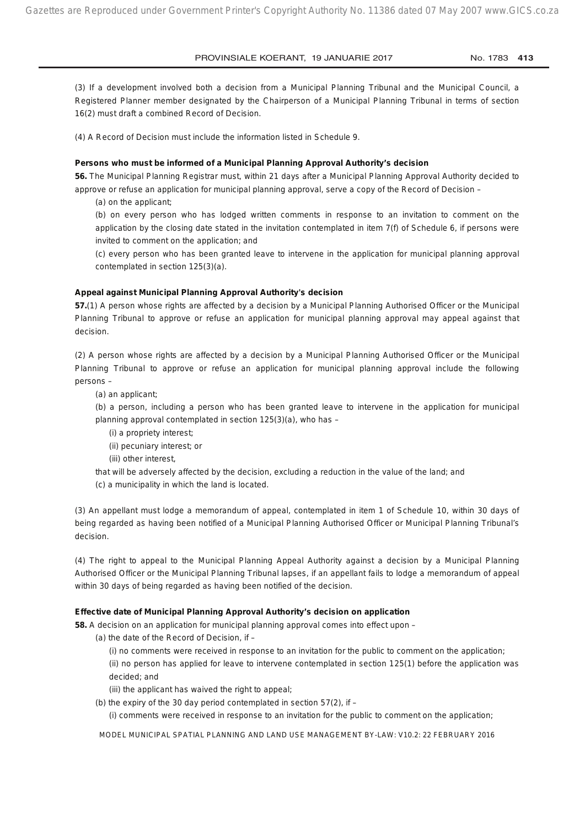(3) If a development involved both a decision from a Municipal Planning Tribunal and the Municipal Council, a Registered Planner member designated by the Chairperson of a Municipal Planning Tribunal in terms of section 16(2) must draft a combined Record of Decision.

(4) A Record of Decision must include the information listed in Schedule 9.

#### **Persons who must be informed of a Municipal Planning Approval Authority's decision**

**56.** The Municipal Planning Registrar must, within 21 days after a Municipal Planning Approval Authority decided to approve or refuse an application for municipal planning approval, serve a copy of the Record of Decision –

(a) on the applicant;

(b) on every person who has lodged written comments in response to an invitation to comment on the application by the closing date stated in the invitation contemplated in item 7(f) of Schedule 6, if persons were invited to comment on the application; and

(c) every person who has been granted leave to intervene in the application for municipal planning approval contemplated in section 125(3)(a).

#### **Appeal against Municipal Planning Approval Authority's decision**

**57.**(1) A person whose rights are affected by a decision by a Municipal Planning Authorised Officer or the Municipal Planning Tribunal to approve or refuse an application for municipal planning approval may appeal against that decision.

(2) A person whose rights are affected by a decision by a Municipal Planning Authorised Officer or the Municipal Planning Tribunal to approve or refuse an application for municipal planning approval include the following persons –

(a) an applicant;

(b) a person, including a person who has been granted leave to intervene in the application for municipal planning approval contemplated in section 125(3)(a), who has –

(i) a propriety interest;

(ii) pecuniary interest; or

(iii) other interest,

that will be adversely affected by the decision, excluding a reduction in the value of the land; and

(c) a municipality in which the land is located.

(3) An appellant must lodge a memorandum of appeal, contemplated in item 1 of Schedule 10, within 30 days of being regarded as having been notified of a Municipal Planning Authorised Officer or Municipal Planning Tribunal's decision.

(4) The right to appeal to the Municipal Planning Appeal Authority against a decision by a Municipal Planning Authorised Officer or the Municipal Planning Tribunal lapses, if an appellant fails to lodge a memorandum of appeal within 30 days of being regarded as having been notified of the decision.

#### **Effective date of Municipal Planning Approval Authority's decision on application**

**58.** A decision on an application for municipal planning approval comes into effect upon –

- (a) the date of the Record of Decision, if
	- (i) no comments were received in response to an invitation for the public to comment on the application;

(ii) no person has applied for leave to intervene contemplated in section 125(1) before the application was decided; and

- (iii) the applicant has waived the right to appeal;
- (b) the expiry of the 30 day period contemplated in section  $57(2)$ , if –

(i) comments were received in response to an invitation for the public to comment on the application;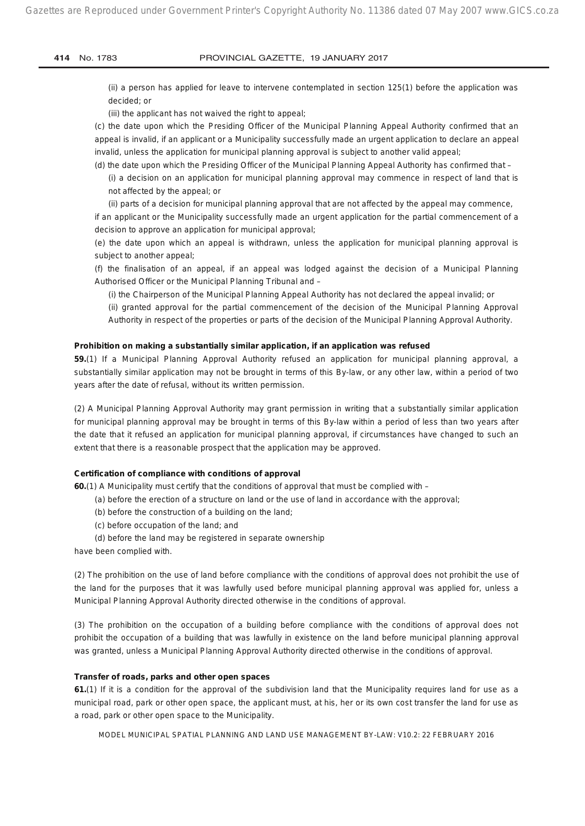(ii) a person has applied for leave to intervene contemplated in section 125(1) before the application was decided; or

(iii) the applicant has not waived the right to appeal;

(c) the date upon which the Presiding Officer of the Municipal Planning Appeal Authority confirmed that an appeal is invalid, if an applicant or a Municipality successfully made an urgent application to declare an appeal invalid, unless the application for municipal planning approval is subject to another valid appeal;

(d) the date upon which the Presiding Officer of the Municipal Planning Appeal Authority has confirmed that –

(i) a decision on an application for municipal planning approval may commence in respect of land that is not affected by the appeal; or

(ii) parts of a decision for municipal planning approval that are not affected by the appeal may commence,

if an applicant or the Municipality successfully made an urgent application for the partial commencement of a decision to approve an application for municipal approval;

(e) the date upon which an appeal is withdrawn, unless the application for municipal planning approval is subject to another appeal;

(f) the finalisation of an appeal, if an appeal was lodged against the decision of a Municipal Planning Authorised Officer or the Municipal Planning Tribunal and –

(i) the Chairperson of the Municipal Planning Appeal Authority has not declared the appeal invalid; or

(ii) granted approval for the partial commencement of the decision of the Municipal Planning Approval Authority in respect of the properties or parts of the decision of the Municipal Planning Approval Authority.

#### **Prohibition on making a substantially similar application, if an application was refused**

**59.**(1) If a Municipal Planning Approval Authority refused an application for municipal planning approval, a substantially similar application may not be brought in terms of this By-law, or any other law, within a period of two years after the date of refusal, without its written permission.

(2) A Municipal Planning Approval Authority may grant permission in writing that a substantially similar application for municipal planning approval may be brought in terms of this By-law within a period of less than two years after the date that it refused an application for municipal planning approval, if circumstances have changed to such an extent that there is a reasonable prospect that the application may be approved.

#### **Certification of compliance with conditions of approval**

**60.**(1) A Municipality must certify that the conditions of approval that must be complied with –

- (a) before the erection of a structure on land or the use of land in accordance with the approval;
- (b) before the construction of a building on the land;
- (c) before occupation of the land; and
- (d) before the land may be registered in separate ownership

have been complied with.

(2) The prohibition on the use of land before compliance with the conditions of approval does not prohibit the use of the land for the purposes that it was lawfully used before municipal planning approval was applied for, unless a Municipal Planning Approval Authority directed otherwise in the conditions of approval.

(3) The prohibition on the occupation of a building before compliance with the conditions of approval does not prohibit the occupation of a building that was lawfully in existence on the land before municipal planning approval was granted, unless a Municipal Planning Approval Authority directed otherwise in the conditions of approval.

#### **Transfer of roads, parks and other open spaces**

**61.**(1) If it is a condition for the approval of the subdivision land that the Municipality requires land for use as a municipal road, park or other open space, the applicant must, at his, her or its own cost transfer the land for use as a road, park or other open space to the Municipality.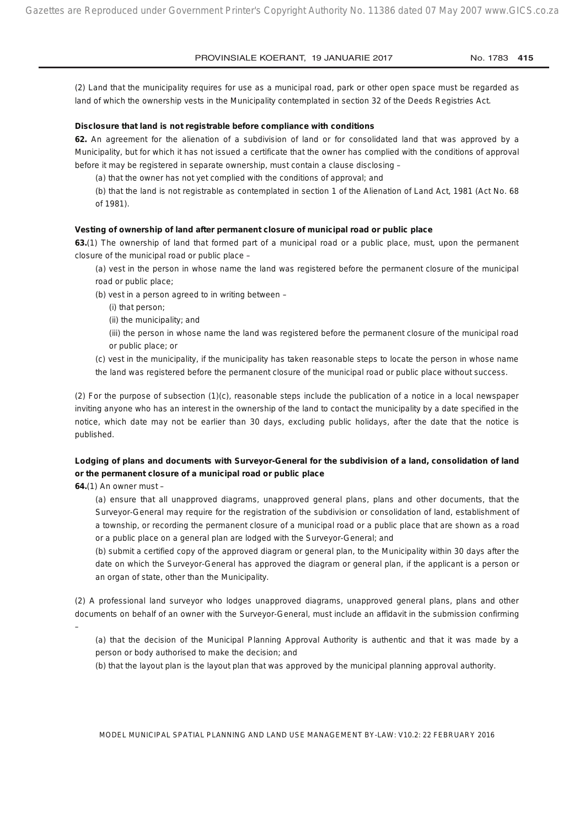(2) Land that the municipality requires for use as a municipal road, park or other open space must be regarded as land of which the ownership vests in the Municipality contemplated in section 32 of the Deeds Registries Act.

#### **Disclosure that land is not registrable before compliance with conditions**

**62.** An agreement for the alienation of a subdivision of land or for consolidated land that was approved by a Municipality, but for which it has not issued a certificate that the owner has complied with the conditions of approval before it may be registered in separate ownership, must contain a clause disclosing –

(a) that the owner has not yet complied with the conditions of approval; and

(b) that the land is not registrable as contemplated in section 1 of the Alienation of Land Act, 1981 (Act No. 68 of 1981).

#### **Vesting of ownership of land after permanent closure of municipal road or public place**

**63.**(1) The ownership of land that formed part of a municipal road or a public place, must, upon the permanent closure of the municipal road or public place –

(a) vest in the person in whose name the land was registered before the permanent closure of the municipal road or public place;

- (b) vest in a person agreed to in writing between
	- (i) that person;
	- (ii) the municipality; and
	- (iii) the person in whose name the land was registered before the permanent closure of the municipal road or public place; or
- (c) vest in the municipality, if the municipality has taken reasonable steps to locate the person in whose name the land was registered before the permanent closure of the municipal road or public place without success.

(2) For the purpose of subsection (1)(c), reasonable steps include the publication of a notice in a local newspaper inviting anyone who has an interest in the ownership of the land to contact the municipality by a date specified in the notice, which date may not be earlier than 30 days, excluding public holidays, after the date that the notice is published.

## **Lodging of plans and documents with Surveyor-General for the subdivision of a land, consolidation of land or the permanent closure of a municipal road or public place**

**64.**(1) An owner must –

(a) ensure that all unapproved diagrams, unapproved general plans, plans and other documents, that the Surveyor-General may require for the registration of the subdivision or consolidation of land, establishment of a township, or recording the permanent closure of a municipal road or a public place that are shown as a road or a public place on a general plan are lodged with the Surveyor-General; and

(b) submit a certified copy of the approved diagram or general plan, to the Municipality within 30 days after the date on which the Surveyor-General has approved the diagram or general plan, if the applicant is a person or an organ of state, other than the Municipality.

(2) A professional land surveyor who lodges unapproved diagrams, unapproved general plans, plans and other documents on behalf of an owner with the Surveyor-General, must include an affidavit in the submission confirming

–

(a) that the decision of the Municipal Planning Approval Authority is authentic and that it was made by a person or body authorised to make the decision; and

(b) that the layout plan is the layout plan that was approved by the municipal planning approval authority.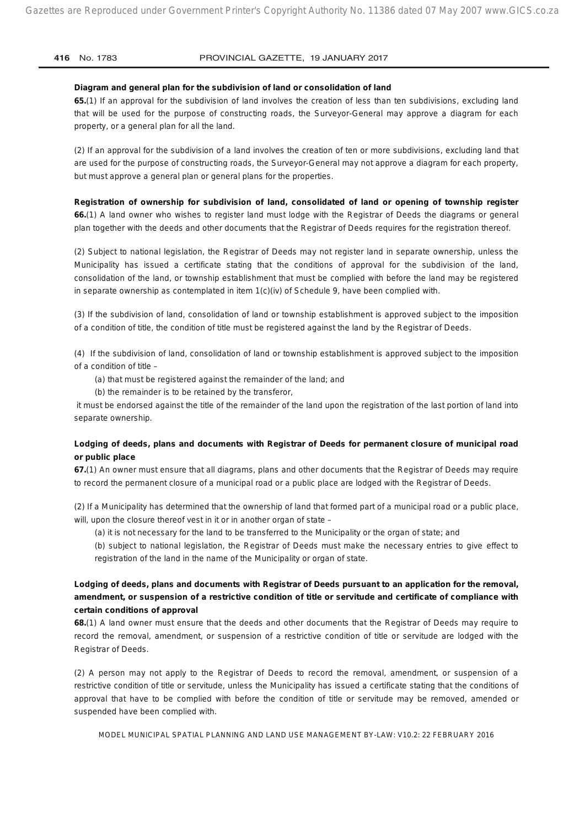#### **Diagram and general plan for the subdivision of land or consolidation of land**

**65.**(1) If an approval for the subdivision of land involves the creation of less than ten subdivisions, excluding land that will be used for the purpose of constructing roads, the Surveyor-General may approve a diagram for each property, or a general plan for all the land.

(2) If an approval for the subdivision of a land involves the creation of ten or more subdivisions, excluding land that are used for the purpose of constructing roads, the Surveyor-General may not approve a diagram for each property, but must approve a general plan or general plans for the properties.

**Registration of ownership for subdivision of land, consolidated of land or opening of township register 66.**(1) A land owner who wishes to register land must lodge with the Registrar of Deeds the diagrams or general plan together with the deeds and other documents that the Registrar of Deeds requires for the registration thereof.

(2) Subject to national legislation, the Registrar of Deeds may not register land in separate ownership, unless the Municipality has issued a certificate stating that the conditions of approval for the subdivision of the land, consolidation of the land, or township establishment that must be complied with before the land may be registered in separate ownership as contemplated in item 1(c)(iv) of Schedule 9, have been complied with.

(3) If the subdivision of land, consolidation of land or township establishment is approved subject to the imposition of a condition of title, the condition of title must be registered against the land by the Registrar of Deeds.

(4) If the subdivision of land, consolidation of land or township establishment is approved subject to the imposition of a condition of title –

(a) that must be registered against the remainder of the land; and

(b) the remainder is to be retained by the transferor,

 it must be endorsed against the title of the remainder of the land upon the registration of the last portion of land into separate ownership.

## **Lodging of deeds, plans and documents with Registrar of Deeds for permanent closure of municipal road or public place**

**67.**(1) An owner must ensure that all diagrams, plans and other documents that the Registrar of Deeds may require to record the permanent closure of a municipal road or a public place are lodged with the Registrar of Deeds.

(2) If a Municipality has determined that the ownership of land that formed part of a municipal road or a public place, will, upon the closure thereof vest in it or in another organ of state –

(a) it is not necessary for the land to be transferred to the Municipality or the organ of state; and

(b) subject to national legislation, the Registrar of Deeds must make the necessary entries to give effect to registration of the land in the name of the Municipality or organ of state.

## **Lodging of deeds, plans and documents with Registrar of Deeds pursuant to an application for the removal, amendment, or suspension of a restrictive condition of title or servitude and certificate of compliance with certain conditions of approval**

**68.**(1) A land owner must ensure that the deeds and other documents that the Registrar of Deeds may require to record the removal, amendment, or suspension of a restrictive condition of title or servitude are lodged with the Registrar of Deeds.

(2) A person may not apply to the Registrar of Deeds to record the removal, amendment, or suspension of a restrictive condition of title or servitude, unless the Municipality has issued a certificate stating that the conditions of approval that have to be complied with before the condition of title or servitude may be removed, amended or suspended have been complied with.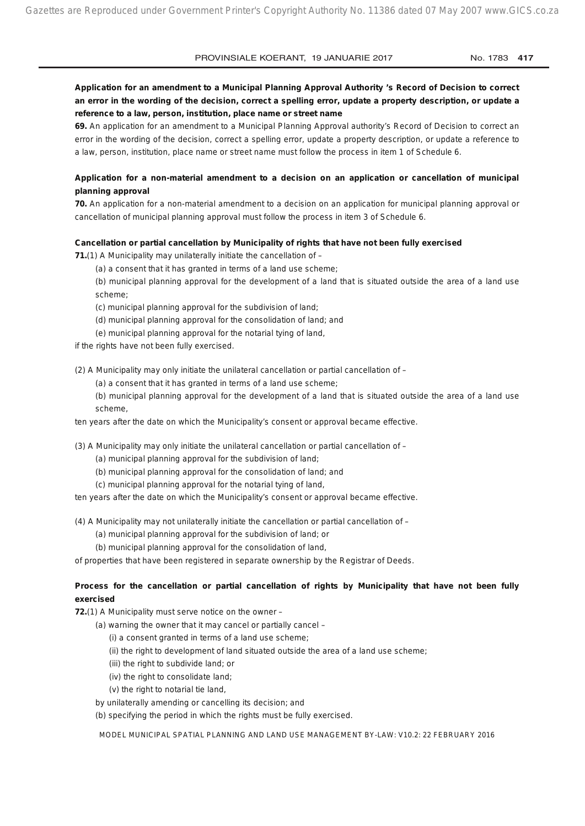## **Application for an amendment to a Municipal Planning Approval Authority 's Record of Decision to correct an error in the wording of the decision, correct a spelling error, update a property description, or update a reference to a law, person, institution, place name or street name**

**69.** An application for an amendment to a Municipal Planning Approval authority's Record of Decision to correct an error in the wording of the decision, correct a spelling error, update a property description, or update a reference to a law, person, institution, place name or street name must follow the process in item 1 of Schedule 6.

## **Application for a non-material amendment to a decision on an application or cancellation of municipal planning approval**

**70.** An application for a non-material amendment to a decision on an application for municipal planning approval or cancellation of municipal planning approval must follow the process in item 3 of Schedule 6.

#### **Cancellation or partial cancellation by Municipality of rights that have not been fully exercised**

**71.**(1) A Municipality may unilaterally initiate the cancellation of –

(a) a consent that it has granted in terms of a land use scheme;

(b) municipal planning approval for the development of a land that is situated outside the area of a land use scheme;

(c) municipal planning approval for the subdivision of land;

- (d) municipal planning approval for the consolidation of land; and
- (e) municipal planning approval for the notarial tying of land,

if the rights have not been fully exercised.

(2) A Municipality may only initiate the unilateral cancellation or partial cancellation of –

(a) a consent that it has granted in terms of a land use scheme;

(b) municipal planning approval for the development of a land that is situated outside the area of a land use scheme,

ten years after the date on which the Municipality's consent or approval became effective.

(3) A Municipality may only initiate the unilateral cancellation or partial cancellation of  $-$ 

- (a) municipal planning approval for the subdivision of land;
- (b) municipal planning approval for the consolidation of land; and
- (c) municipal planning approval for the notarial tying of land,

ten years after the date on which the Municipality's consent or approval became effective.

(4) A Municipality may not unilaterally initiate the cancellation or partial cancellation of –

(a) municipal planning approval for the subdivision of land; or

(b) municipal planning approval for the consolidation of land,

of properties that have been registered in separate ownership by the Registrar of Deeds.

## **Process for the cancellation or partial cancellation of rights by Municipality that have not been fully exercised**

**72.**(1) A Municipality must serve notice on the owner –

- (a) warning the owner that it may cancel or partially cancel
	- (i) a consent granted in terms of a land use scheme;
	- (ii) the right to development of land situated outside the area of a land use scheme;
	- (iii) the right to subdivide land; or
	- (iv) the right to consolidate land;
	- (v) the right to notarial tie land,
- by unilaterally amending or cancelling its decision; and

(b) specifying the period in which the rights must be fully exercised.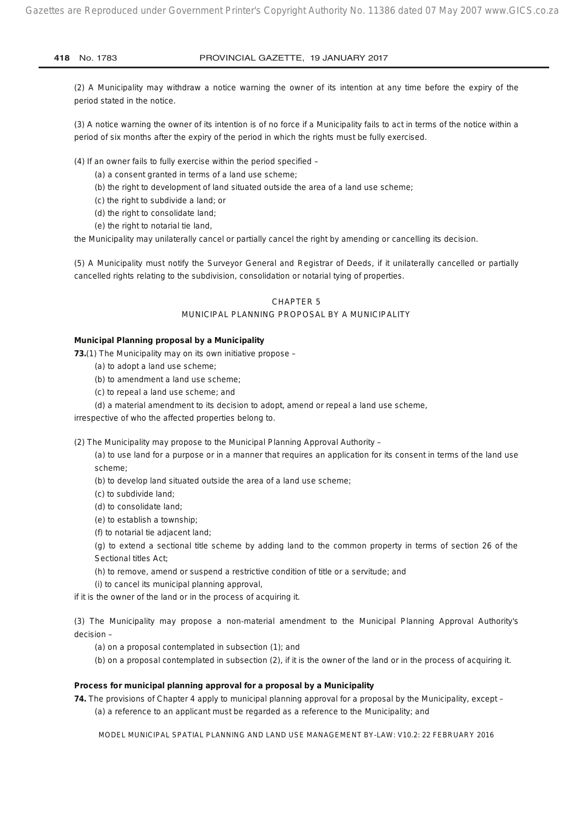(2) A Municipality may withdraw a notice warning the owner of its intention at any time before the expiry of the period stated in the notice.

(3) A notice warning the owner of its intention is of no force if a Municipality fails to act in terms of the notice within a period of six months after the expiry of the period in which the rights must be fully exercised.

(4) If an owner fails to fully exercise within the period specified –

- (a) a consent granted in terms of a land use scheme;
- (b) the right to development of land situated outside the area of a land use scheme;
- (c) the right to subdivide a land; or
- (d) the right to consolidate land;
- (e) the right to notarial tie land,

the Municipality may unilaterally cancel or partially cancel the right by amending or cancelling its decision.

(5) A Municipality must notify the Surveyor General and Registrar of Deeds, if it unilaterally cancelled or partially cancelled rights relating to the subdivision, consolidation or notarial tying of properties.

#### CHAPTER 5

## MUNICIPAL PLANNING PROPOSAL BY A MUNICIPALITY

#### **Municipal Planning proposal by a Municipality**

**73.**(1) The Municipality may on its own initiative propose –

- (a) to adopt a land use scheme;
- (b) to amendment a land use scheme;
- (c) to repeal a land use scheme; and
- (d) a material amendment to its decision to adopt, amend or repeal a land use scheme,

irrespective of who the affected properties belong to.

(2) The Municipality may propose to the Municipal Planning Approval Authority –

(a) to use land for a purpose or in a manner that requires an application for its consent in terms of the land use scheme;

(b) to develop land situated outside the area of a land use scheme;

(c) to subdivide land;

(d) to consolidate land;

- (e) to establish a township;
- (f) to notarial tie adjacent land;

(g) to extend a sectional title scheme by adding land to the common property in terms of section 26 of the Sectional titles Act;

- (h) to remove, amend or suspend a restrictive condition of title or a servitude; and
- (i) to cancel its municipal planning approval,

if it is the owner of the land or in the process of acquiring it.

(3) The Municipality may propose a non-material amendment to the Municipal Planning Approval Authority's decision –

(a) on a proposal contemplated in subsection (1); and

(b) on a proposal contemplated in subsection (2), if it is the owner of the land or in the process of acquiring it.

## **Process for municipal planning approval for a proposal by a Municipality**

**74.** The provisions of Chapter 4 apply to municipal planning approval for a proposal by the Municipality, except –

(a) a reference to an applicant must be regarded as a reference to the Municipality; and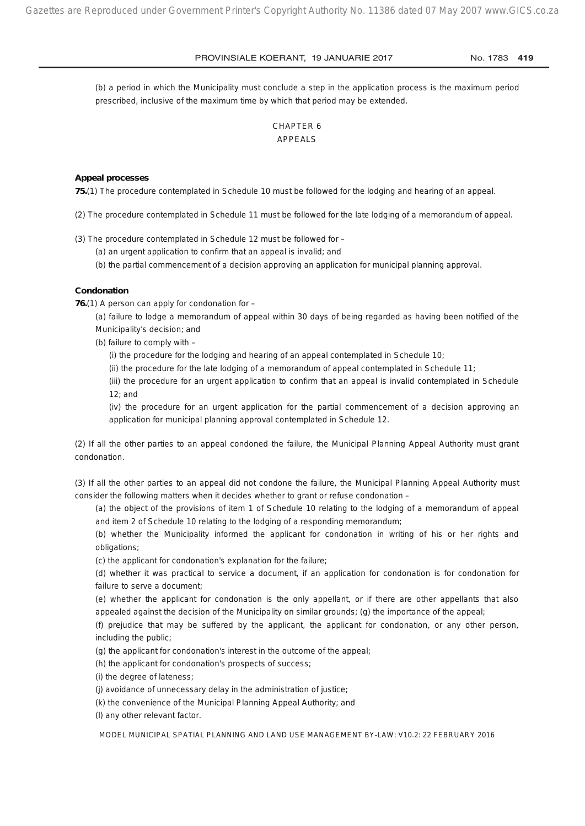(b) a period in which the Municipality must conclude a step in the application process is the maximum period prescribed, inclusive of the maximum time by which that period may be extended.

## CHAPTER 6 APPEALS

#### **Appeal processes**

**75.**(1) The procedure contemplated in Schedule 10 must be followed for the lodging and hearing of an appeal.

(2) The procedure contemplated in Schedule 11 must be followed for the late lodging of a memorandum of appeal.

(3) The procedure contemplated in Schedule 12 must be followed for –

(a) an urgent application to confirm that an appeal is invalid; and

(b) the partial commencement of a decision approving an application for municipal planning approval.

#### **Condonation**

**76.**(1) A person can apply for condonation for –

(a) failure to lodge a memorandum of appeal within 30 days of being regarded as having been notified of the Municipality's decision; and

(b) failure to comply with –

(i) the procedure for the lodging and hearing of an appeal contemplated in Schedule 10;

(ii) the procedure for the late lodging of a memorandum of appeal contemplated in Schedule 11;

(iii) the procedure for an urgent application to confirm that an appeal is invalid contemplated in Schedule 12; and

(iv) the procedure for an urgent application for the partial commencement of a decision approving an application for municipal planning approval contemplated in Schedule 12.

(2) If all the other parties to an appeal condoned the failure, the Municipal Planning Appeal Authority must grant condonation.

(3) If all the other parties to an appeal did not condone the failure, the Municipal Planning Appeal Authority must consider the following matters when it decides whether to grant or refuse condonation –

(a) the object of the provisions of item 1 of Schedule 10 relating to the lodging of a memorandum of appeal and item 2 of Schedule 10 relating to the lodging of a responding memorandum;

(b) whether the Municipality informed the applicant for condonation in writing of his or her rights and obligations;

(c) the applicant for condonation's explanation for the failure;

(d) whether it was practical to service a document, if an application for condonation is for condonation for failure to serve a document;

(e) whether the applicant for condonation is the only appellant, or if there are other appellants that also appealed against the decision of the Municipality on similar grounds; (g) the importance of the appeal;

(f) prejudice that may be suffered by the applicant, the applicant for condonation, or any other person, including the public;

(g) the applicant for condonation's interest in the outcome of the appeal;

(h) the applicant for condonation's prospects of success;

(i) the degree of lateness;

(j) avoidance of unnecessary delay in the administration of justice;

(k) the convenience of the Municipal Planning Appeal Authority; and

(l) any other relevant factor.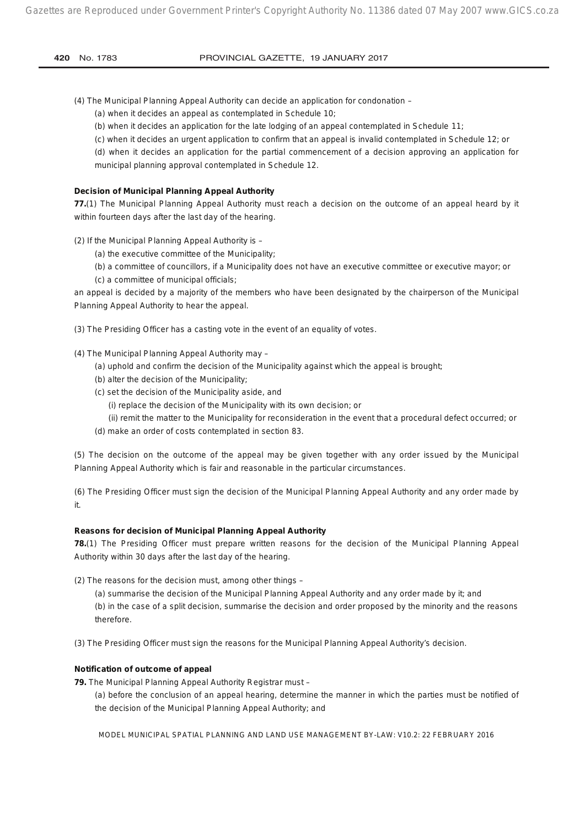(4) The Municipal Planning Appeal Authority can decide an application for condonation –

(a) when it decides an appeal as contemplated in Schedule 10;

- (b) when it decides an application for the late lodging of an appeal contemplated in Schedule 11;
- (c) when it decides an urgent application to confirm that an appeal is invalid contemplated in Schedule 12; or

(d) when it decides an application for the partial commencement of a decision approving an application for municipal planning approval contemplated in Schedule 12.

## **Decision of Municipal Planning Appeal Authority**

**77.**(1) The Municipal Planning Appeal Authority must reach a decision on the outcome of an appeal heard by it within fourteen days after the last day of the hearing.

(2) If the Municipal Planning Appeal Authority is –

- (a) the executive committee of the Municipality;
- (b) a committee of councillors, if a Municipality does not have an executive committee or executive mayor; or (c) a committee of municipal officials;

an appeal is decided by a majority of the members who have been designated by the chairperson of the Municipal Planning Appeal Authority to hear the appeal.

(3) The Presiding Officer has a casting vote in the event of an equality of votes.

- (4) The Municipal Planning Appeal Authority may
	- (a) uphold and confirm the decision of the Municipality against which the appeal is brought;
	- (b) alter the decision of the Municipality;
	- (c) set the decision of the Municipality aside, and
		- (i) replace the decision of the Municipality with its own decision; or
		- (ii) remit the matter to the Municipality for reconsideration in the event that a procedural defect occurred; or
	- (d) make an order of costs contemplated in section 83.

(5) The decision on the outcome of the appeal may be given together with any order issued by the Municipal Planning Appeal Authority which is fair and reasonable in the particular circumstances.

(6) The Presiding Officer must sign the decision of the Municipal Planning Appeal Authority and any order made by it.

#### **Reasons for decision of Municipal Planning Appeal Authority**

**78.**(1) The Presiding Officer must prepare written reasons for the decision of the Municipal Planning Appeal Authority within 30 days after the last day of the hearing.

(2) The reasons for the decision must, among other things –

(a) summarise the decision of the Municipal Planning Appeal Authority and any order made by it; and (b) in the case of a split decision, summarise the decision and order proposed by the minority and the reasons therefore.

(3) The Presiding Officer must sign the reasons for the Municipal Planning Appeal Authority's decision.

#### **Notification of outcome of appeal**

**79.** The Municipal Planning Appeal Authority Registrar must –

(a) before the conclusion of an appeal hearing, determine the manner in which the parties must be notified of the decision of the Municipal Planning Appeal Authority; and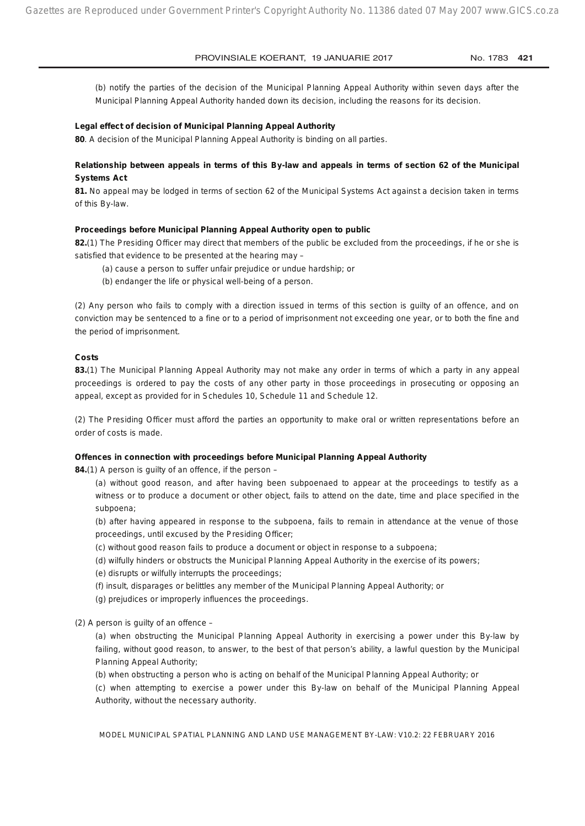(b) notify the parties of the decision of the Municipal Planning Appeal Authority within seven days after the Municipal Planning Appeal Authority handed down its decision, including the reasons for its decision.

#### **Legal effect of decision of Municipal Planning Appeal Authority**

**80**. A decision of the Municipal Planning Appeal Authority is binding on all parties.

## **Relationship between appeals in terms of this By-law and appeals in terms of section 62 of the Municipal Systems Act**

**81.** No appeal may be lodged in terms of section 62 of the Municipal Systems Act against a decision taken in terms of this By-law.

#### **Proceedings before Municipal Planning Appeal Authority open to public**

**82.**(1) The Presiding Officer may direct that members of the public be excluded from the proceedings, if he or she is satisfied that evidence to be presented at the hearing may –

- (a) cause a person to suffer unfair prejudice or undue hardship; or
- (b) endanger the life or physical well-being of a person.

(2) Any person who fails to comply with a direction issued in terms of this section is guilty of an offence, and on conviction may be sentenced to a fine or to a period of imprisonment not exceeding one year, or to both the fine and the period of imprisonment.

#### **Costs**

**83.**(1) The Municipal Planning Appeal Authority may not make any order in terms of which a party in any appeal proceedings is ordered to pay the costs of any other party in those proceedings in prosecuting or opposing an appeal, except as provided for in Schedules 10, Schedule 11 and Schedule 12.

(2) The Presiding Officer must afford the parties an opportunity to make oral or written representations before an order of costs is made.

#### **Offences in connection with proceedings before Municipal Planning Appeal Authority**

**84.**(1) A person is guilty of an offence, if the person –

(a) without good reason, and after having been subpoenaed to appear at the proceedings to testify as a witness or to produce a document or other object, fails to attend on the date, time and place specified in the subpoena;

(b) after having appeared in response to the subpoena, fails to remain in attendance at the venue of those proceedings, until excused by the Presiding Officer;

(c) without good reason fails to produce a document or object in response to a subpoena;

- (d) wilfully hinders or obstructs the Municipal Planning Appeal Authority in the exercise of its powers;
- (e) disrupts or wilfully interrupts the proceedings;
- (f) insult, disparages or belittles any member of the Municipal Planning Appeal Authority; or
- (g) prejudices or improperly influences the proceedings.
- (2) A person is guilty of an offence –

(a) when obstructing the Municipal Planning Appeal Authority in exercising a power under this By-law by failing, without good reason, to answer, to the best of that person's ability, a lawful question by the Municipal Planning Appeal Authority;

(b) when obstructing a person who is acting on behalf of the Municipal Planning Appeal Authority; or

(c) when attempting to exercise a power under this By-law on behalf of the Municipal Planning Appeal Authority, without the necessary authority.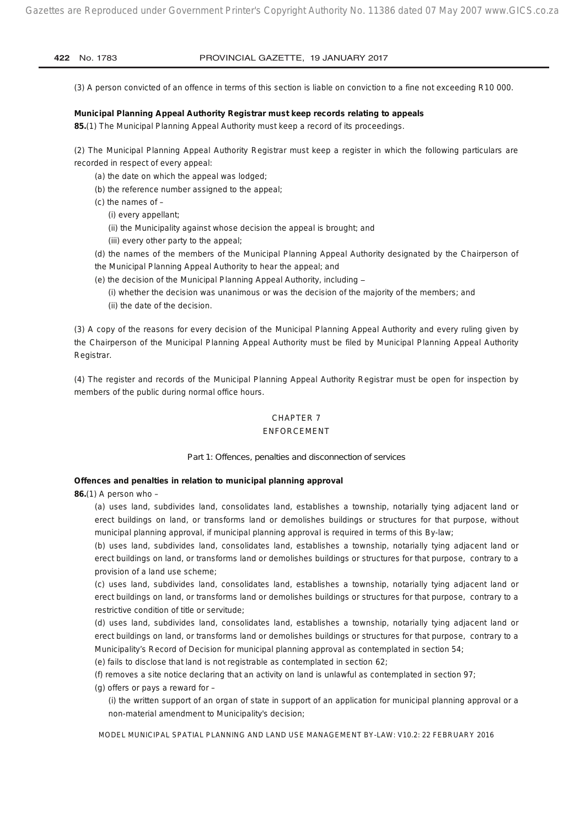(3) A person convicted of an offence in terms of this section is liable on conviction to a fine not exceeding R10 000.

#### **Municipal Planning Appeal Authority Registrar must keep records relating to appeals**

**85.**(1) The Municipal Planning Appeal Authority must keep a record of its proceedings.

(2) The Municipal Planning Appeal Authority Registrar must keep a register in which the following particulars are recorded in respect of every appeal:

- (a) the date on which the appeal was lodged;
- (b) the reference number assigned to the appeal;
- (c) the names of  $-$ 
	- (i) every appellant;
	- (ii) the Municipality against whose decision the appeal is brought; and
	- (iii) every other party to the appeal;
- (d) the names of the members of the Municipal Planning Appeal Authority designated by the Chairperson of
- the Municipal Planning Appeal Authority to hear the appeal; and
- (e) the decision of the Municipal Planning Appeal Authority, including
	- (i) whether the decision was unanimous or was the decision of the majority of the members; and (ii) the date of the decision.

(3) A copy of the reasons for every decision of the Municipal Planning Appeal Authority and every ruling given by the Chairperson of the Municipal Planning Appeal Authority must be filed by Municipal Planning Appeal Authority Registrar.

(4) The register and records of the Municipal Planning Appeal Authority Registrar must be open for inspection by members of the public during normal office hours.

## CHAPTER 7

#### ENFORCEMENT

#### *Part 1: Offences, penalties and disconnection of services*

#### **Offences and penalties in relation to municipal planning approval**

**86.**(1) A person who –

(a) uses land, subdivides land, consolidates land, establishes a township, notarially tying adjacent land or erect buildings on land, or transforms land or demolishes buildings or structures for that purpose, without municipal planning approval, if municipal planning approval is required in terms of this By-law;

(b) uses land, subdivides land, consolidates land, establishes a township, notarially tying adjacent land or erect buildings on land, or transforms land or demolishes buildings or structures for that purpose, contrary to a provision of a land use scheme;

(c) uses land, subdivides land, consolidates land, establishes a township, notarially tying adjacent land or erect buildings on land, or transforms land or demolishes buildings or structures for that purpose, contrary to a restrictive condition of title or servitude;

(d) uses land, subdivides land, consolidates land, establishes a township, notarially tying adjacent land or erect buildings on land, or transforms land or demolishes buildings or structures for that purpose, contrary to a Municipality's Record of Decision for municipal planning approval as contemplated in section 54;

(e) fails to disclose that land is not registrable as contemplated in section 62;

(f) removes a site notice declaring that an activity on land is unlawful as contemplated in section 97;

(g) offers or pays a reward for –

(i) the written support of an organ of state in support of an application for municipal planning approval or a non-material amendment to Municipality's decision;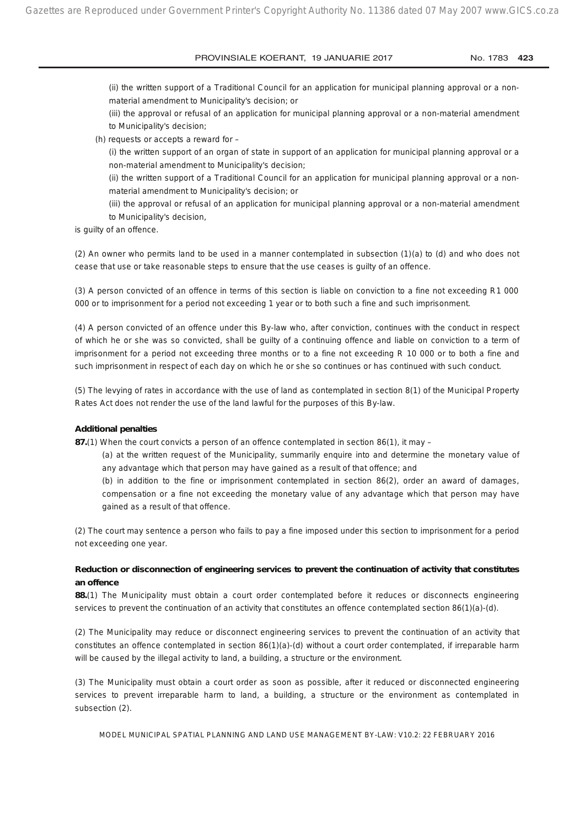(ii) the written support of a Traditional Council for an application for municipal planning approval or a nonmaterial amendment to Municipality's decision; or

(iii) the approval or refusal of an application for municipal planning approval or a non-material amendment to Municipality's decision;

(h) requests or accepts a reward for –

(i) the written support of an organ of state in support of an application for municipal planning approval or a non-material amendment to Municipality's decision;

(ii) the written support of a Traditional Council for an application for municipal planning approval or a nonmaterial amendment to Municipality's decision; or

(iii) the approval or refusal of an application for municipal planning approval or a non-material amendment to Municipality's decision,

is guilty of an offence.

(2) An owner who permits land to be used in a manner contemplated in subsection (1)(a) to (d) and who does not cease that use or take reasonable steps to ensure that the use ceases is guilty of an offence.

(3) A person convicted of an offence in terms of this section is liable on conviction to a fine not exceeding R1 000 000 or to imprisonment for a period not exceeding 1 year or to both such a fine and such imprisonment.

(4) A person convicted of an offence under this By-law who, after conviction, continues with the conduct in respect of which he or she was so convicted, shall be guilty of a continuing offence and liable on conviction to a term of imprisonment for a period not exceeding three months or to a fine not exceeding R 10 000 or to both a fine and such imprisonment in respect of each day on which he or she so continues or has continued with such conduct.

(5) The levying of rates in accordance with the use of land as contemplated in section 8(1) of the Municipal Property Rates Act does not render the use of the land lawful for the purposes of this By-law.

#### **Additional penalties**

**87.**(1) When the court convicts a person of an offence contemplated in section 86(1), it may –

(a) at the written request of the Municipality, summarily enquire into and determine the monetary value of any advantage which that person may have gained as a result of that offence; and

(b) in addition to the fine or imprisonment contemplated in section 86(2), order an award of damages, compensation or a fine not exceeding the monetary value of any advantage which that person may have gained as a result of that offence.

(2) The court may sentence a person who fails to pay a fine imposed under this section to imprisonment for a period not exceeding one year.

### **Reduction or disconnection of engineering services to prevent the continuation of activity that constitutes an offence**

**88.**(1) The Municipality must obtain a court order contemplated before it reduces or disconnects engineering services to prevent the continuation of an activity that constitutes an offence contemplated section 86(1)(a)-(d).

(2) The Municipality may reduce or disconnect engineering services to prevent the continuation of an activity that constitutes an offence contemplated in section 86(1)(a)-(d) without a court order contemplated, if irreparable harm will be caused by the illegal activity to land, a building, a structure or the environment.

(3) The Municipality must obtain a court order as soon as possible, after it reduced or disconnected engineering services to prevent irreparable harm to land, a building, a structure or the environment as contemplated in subsection (2).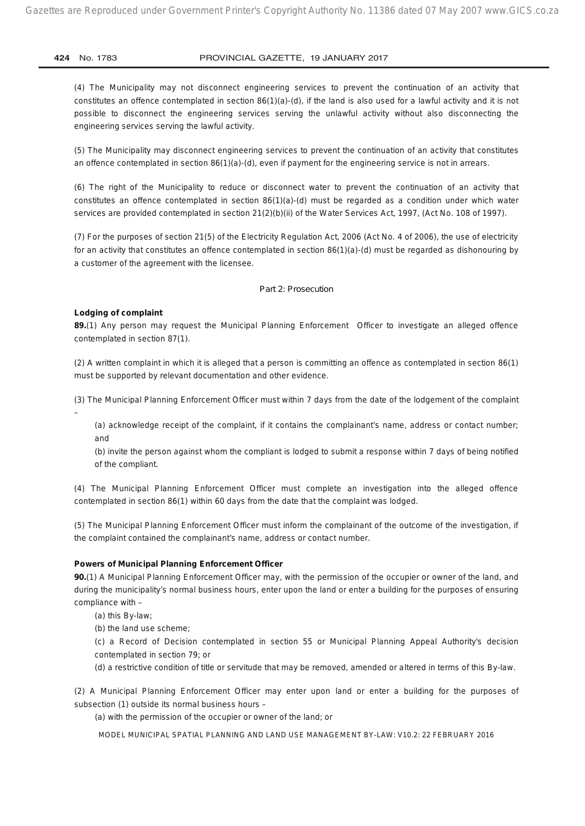(4) The Municipality may not disconnect engineering services to prevent the continuation of an activity that constitutes an offence contemplated in section  $86(1)(a)-(d)$ , if the land is also used for a lawful activity and it is not possible to disconnect the engineering services serving the unlawful activity without also disconnecting the engineering services serving the lawful activity.

(5) The Municipality may disconnect engineering services to prevent the continuation of an activity that constitutes an offence contemplated in section 86(1)(a)-(d), even if payment for the engineering service is not in arrears.

(6) The right of the Municipality to reduce or disconnect water to prevent the continuation of an activity that constitutes an offence contemplated in section 86(1)(a)-(d) must be regarded as a condition under which water services are provided contemplated in section 21(2)(b)(ii) of the Water Services Act, 1997, (Act No. 108 of 1997).

(7) For the purposes of section 21(5) of the Electricity Regulation Act, 2006 (Act No. 4 of 2006), the use of electricity for an activity that constitutes an offence contemplated in section 86(1)(a)-(d) must be regarded as dishonouring by a customer of the agreement with the licensee.

#### *Part 2: Prosecution*

#### **Lodging of complaint**

**89.**(1) Any person may request the Municipal Planning Enforcement Officer to investigate an alleged offence contemplated in section 87(1).

(2) A written complaint in which it is alleged that a person is committing an offence as contemplated in section 86(1) must be supported by relevant documentation and other evidence.

(3) The Municipal Planning Enforcement Officer must within 7 days from the date of the lodgement of the complaint –

(a) acknowledge receipt of the complaint, if it contains the complainant's name, address or contact number; and

(b) invite the person against whom the compliant is lodged to submit a response within 7 days of being notified of the compliant.

(4) The Municipal Planning Enforcement Officer must complete an investigation into the alleged offence contemplated in section 86(1) within 60 days from the date that the complaint was lodged.

(5) The Municipal Planning Enforcement Officer must inform the complainant of the outcome of the investigation, if the complaint contained the complainant's name, address or contact number.

#### **Powers of Municipal Planning Enforcement Officer**

**90.**(1) A Municipal Planning Enforcement Officer may, with the permission of the occupier or owner of the land, and during the municipality's normal business hours, enter upon the land or enter a building for the purposes of ensuring compliance with –

(a) this By-law;

(b) the land use scheme;

(c) a Record of Decision contemplated in section 55 or Municipal Planning Appeal Authority's decision contemplated in section 79; or

(d) a restrictive condition of title or servitude that may be removed, amended or altered in terms of this By-law.

(2) A Municipal Planning Enforcement Officer may enter upon land or enter a building for the purposes of subsection (1) outside its normal business hours –

(a) with the permission of the occupier or owner of the land; or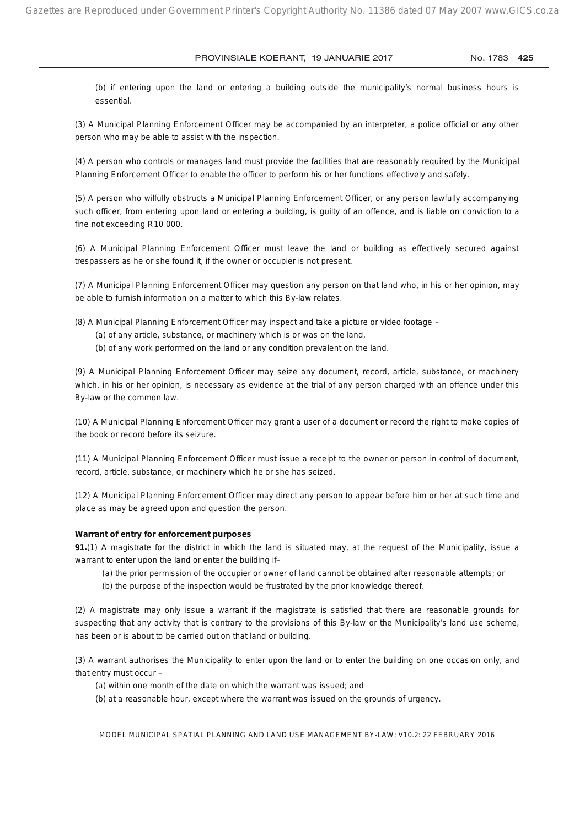(b) if entering upon the land or entering a building outside the municipality's normal business hours is essential.

(3) A Municipal Planning Enforcement Officer may be accompanied by an interpreter, a police official or any other person who may be able to assist with the inspection.

(4) A person who controls or manages land must provide the facilities that are reasonably required by the Municipal Planning Enforcement Officer to enable the officer to perform his or her functions effectively and safely.

(5) A person who wilfully obstructs a Municipal Planning Enforcement Officer, or any person lawfully accompanying such officer, from entering upon land or entering a building, is guilty of an offence, and is liable on conviction to a fine not exceeding R10 000.

(6) A Municipal Planning Enforcement Officer must leave the land or building as effectively secured against trespassers as he or she found it, if the owner or occupier is not present.

(7) A Municipal Planning Enforcement Officer may question any person on that land who, in his or her opinion, may be able to furnish information on a matter to which this By-law relates.

(8) A Municipal Planning Enforcement Officer may inspect and take a picture or video footage –

- (a) of any article, substance, or machinery which is or was on the land,
- (b) of any work performed on the land or any condition prevalent on the land.

(9) A Municipal Planning Enforcement Officer may seize any document, record, article, substance, or machinery which, in his or her opinion, is necessary as evidence at the trial of any person charged with an offence under this By-law or the common law.

(10) A Municipal Planning Enforcement Officer may grant a user of a document or record the right to make copies of the book or record before its seizure.

(11) A Municipal Planning Enforcement Officer must issue a receipt to the owner or person in control of document, record, article, substance, or machinery which he or she has seized.

(12) A Municipal Planning Enforcement Officer may direct any person to appear before him or her at such time and place as may be agreed upon and question the person.

#### **Warrant of entry for enforcement purposes**

**91.**(1) A magistrate for the district in which the land is situated may, at the request of the Municipality, issue a warrant to enter upon the land or enter the building if–

- (a) the prior permission of the occupier or owner of land cannot be obtained after reasonable attempts; or
- (b) the purpose of the inspection would be frustrated by the prior knowledge thereof.

(2) A magistrate may only issue a warrant if the magistrate is satisfied that there are reasonable grounds for suspecting that any activity that is contrary to the provisions of this By-law or the Municipality's land use scheme, has been or is about to be carried out on that land or building.

(3) A warrant authorises the Municipality to enter upon the land or to enter the building on one occasion only, and that entry must occur –

(a) within one month of the date on which the warrant was issued; and

(b) at a reasonable hour, except where the warrant was issued on the grounds of urgency.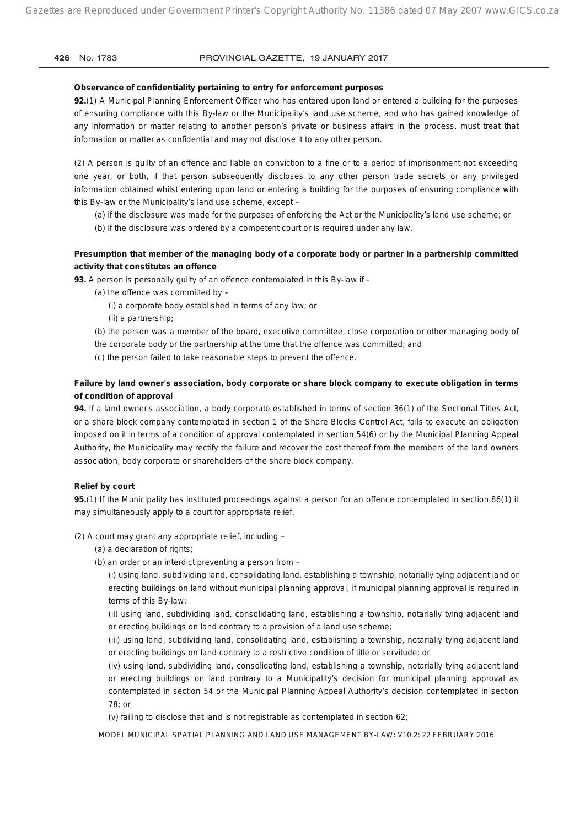#### **Observance of confidentiality pertaining to entry for enforcement purposes**

**92.**(1) A Municipal Planning Enforcement Officer who has entered upon land or entered a building for the purposes of ensuring compliance with this By-law or the Municipality's land use scheme, and who has gained knowledge of any information or matter relating to another person's private or business affairs in the process, must treat that information or matter as confidential and may not disclose it to any other person.

(2) A person is guilty of an offence and liable on conviction to a fine or to a period of imprisonment not exceeding one year, or both, if that person subsequently discloses to any other person trade secrets or any privileged information obtained whilst entering upon land or entering a building for the purposes of ensuring compliance with this By-law or the Municipality's land use scheme, except –

(a) if the disclosure was made for the purposes of enforcing the Act or the Municipality's land use scheme; or

(b) if the disclosure was ordered by a competent court or is required under any law.

## **Presumption that member of the managing body of a corporate body or partner in a partnership committed activity that constitutes an offence**

**93.** A person is personally guilty of an offence contemplated in this By-law if –

- (a) the offence was committed by
	- (i) a corporate body established in terms of any law; or
	- (ii) a partnership;
- (b) the person was a member of the board, executive committee, close corporation or other managing body of
- the corporate body or the partnership at the time that the offence was committed; and
- (c) the person failed to take reasonable steps to prevent the offence.

## **Failure by land owner's association, body corporate or share block company to execute obligation in terms of condition of approval**

**94.** If a land owner's association, a body corporate established in terms of section 36(1) of the Sectional Titles Act, or a share block company contemplated in section 1 of the Share Blocks Control Act, fails to execute an obligation imposed on it in terms of a condition of approval contemplated in section 54(6) or by the Municipal Planning Appeal Authority, the Municipality may rectify the failure and recover the cost thereof from the members of the land owners association, body corporate or shareholders of the share block company.

#### **Relief by court**

**95.**(1) If the Municipality has instituted proceedings against a person for an offence contemplated in section 86(1) it may simultaneously apply to a court for appropriate relief.

(2) A court may grant any appropriate relief, including –

- (a) a declaration of rights;
- (b) an order or an interdict preventing a person from –

(i) using land, subdividing land, consolidating land, establishing a township, notarially tying adjacent land or erecting buildings on land without municipal planning approval, if municipal planning approval is required in terms of this By-law;

(ii) using land, subdividing land, consolidating land, establishing a township, notarially tying adjacent land or erecting buildings on land contrary to a provision of a land use scheme;

(iii) using land, subdividing land, consolidating land, establishing a township, notarially tying adjacent land or erecting buildings on land contrary to a restrictive condition of title or servitude; or

(iv) using land, subdividing land, consolidating land, establishing a township, notarially tying adjacent land or erecting buildings on land contrary to a Municipality's decision for municipal planning approval as contemplated in section 54 or the Municipal Planning Appeal Authority's decision contemplated in section 78; or

(v) failing to disclose that land is not registrable as contemplated in section 62;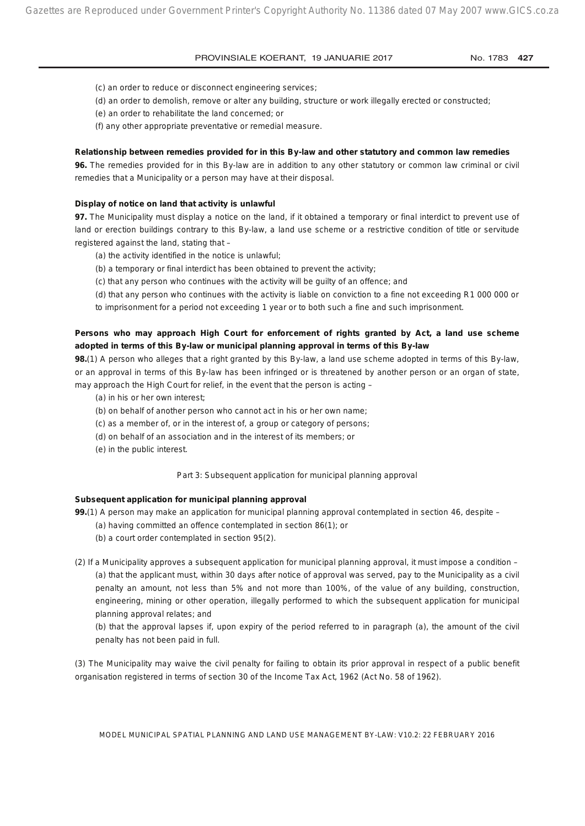(c) an order to reduce or disconnect engineering services;

- (d) an order to demolish, remove or alter any building, structure or work illegally erected or constructed;
- (e) an order to rehabilitate the land concerned; or
- (f) any other appropriate preventative or remedial measure.

#### **Relationship between remedies provided for in this By-law and other statutory and common law remedies**

**96.** The remedies provided for in this By-law are in addition to any other statutory or common law criminal or civil remedies that a Municipality or a person may have at their disposal.

#### **Display of notice on land that activity is unlawful**

**97.** The Municipality must display a notice on the land, if it obtained a temporary or final interdict to prevent use of land or erection buildings contrary to this By-law, a land use scheme or a restrictive condition of title or servitude registered against the land, stating that –

- (a) the activity identified in the notice is unlawful;
- (b) a temporary or final interdict has been obtained to prevent the activity;
- (c) that any person who continues with the activity will be guilty of an offence; and
- (d) that any person who continues with the activity is liable on conviction to a fine not exceeding R1 000 000 or

to imprisonment for a period not exceeding 1 year or to both such a fine and such imprisonment.

## **Persons who may approach High Court for enforcement of rights granted by Act, a land use scheme adopted in terms of this By-law or municipal planning approval in terms of this By-law**

**98.**(1) A person who alleges that a right granted by this By-law, a land use scheme adopted in terms of this By-law, or an approval in terms of this By-law has been infringed or is threatened by another person or an organ of state, may approach the High Court for relief, in the event that the person is acting –

- (a) in his or her own interest;
- (b) on behalf of another person who cannot act in his or her own name;
- (c) as a member of, or in the interest of, a group or category of persons;
- (d) on behalf of an association and in the interest of its members; or
- (e) in the public interest.

#### *Part 3: Subsequent application for municipal planning approval*

#### **Subsequent application for municipal planning approval**

**99.**(1) A person may make an application for municipal planning approval contemplated in section 46, despite –

- (a) having committed an offence contemplated in section 86(1); or
- (b) a court order contemplated in section 95(2).
- (2) If a Municipality approves a subsequent application for municipal planning approval, it must impose a condition (a) that the applicant must, within 30 days after notice of approval was served, pay to the Municipality as a civil penalty an amount, not less than 5% and not more than 100%, of the value of any building, construction, engineering, mining or other operation, illegally performed to which the subsequent application for municipal planning approval relates; and

(b) that the approval lapses if, upon expiry of the period referred to in paragraph (a), the amount of the civil penalty has not been paid in full.

(3) The Municipality may waive the civil penalty for failing to obtain its prior approval in respect of a public benefit organisation registered in terms of section 30 of the Income Tax Act, 1962 (Act No. 58 of 1962).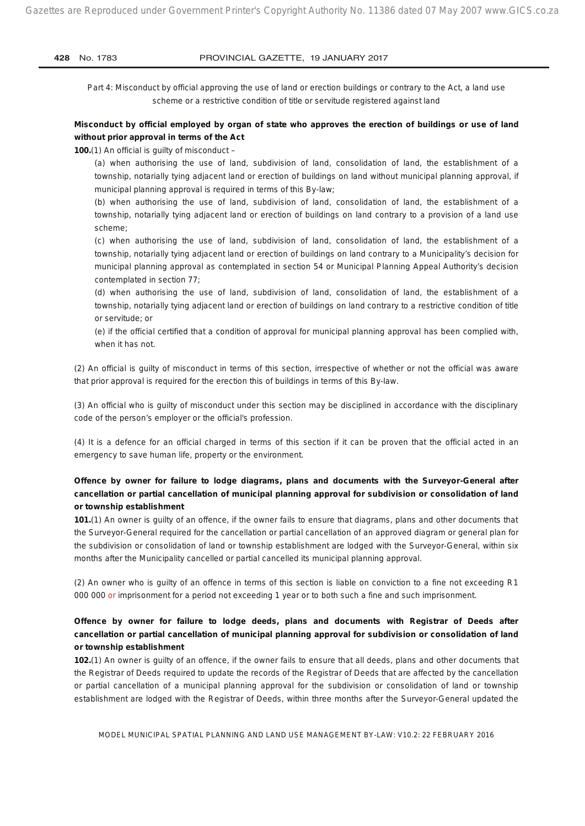*Part 4: Misconduct by official approving the use of land or erection buildings or contrary to the Act, a land use scheme or a restrictive condition of title or servitude registered against land*

## **Misconduct by official employed by organ of state who approves the erection of buildings or use of land without prior approval in terms of the Act**

**100.**(1) An official is guilty of misconduct –

(a) when authorising the use of land, subdivision of land, consolidation of land, the establishment of a township, notarially tying adjacent land or erection of buildings on land without municipal planning approval, if municipal planning approval is required in terms of this By-law;

(b) when authorising the use of land, subdivision of land, consolidation of land, the establishment of a township, notarially tying adjacent land or erection of buildings on land contrary to a provision of a land use scheme;

(c) when authorising the use of land, subdivision of land, consolidation of land, the establishment of a township, notarially tying adjacent land or erection of buildings on land contrary to a Municipality's decision for municipal planning approval as contemplated in section 54 or Municipal Planning Appeal Authority's decision contemplated in section 77;

(d) when authorising the use of land, subdivision of land, consolidation of land, the establishment of a township, notarially tying adjacent land or erection of buildings on land contrary to a restrictive condition of title or servitude; or

(e) if the official certified that a condition of approval for municipal planning approval has been complied with, when it has not.

(2) An official is guilty of misconduct in terms of this section, irrespective of whether or not the official was aware that prior approval is required for the erection this of buildings in terms of this By-law.

(3) An official who is guilty of misconduct under this section may be disciplined in accordance with the disciplinary code of the person's employer or the official's profession.

(4) It is a defence for an official charged in terms of this section if it can be proven that the official acted in an emergency to save human life, property or the environment.

## **Offence by owner for failure to lodge diagrams, plans and documents with the Surveyor-General after cancellation or partial cancellation of municipal planning approval for subdivision or consolidation of land or township establishment**

**101.**(1) An owner is guilty of an offence, if the owner fails to ensure that diagrams, plans and other documents that the Surveyor-General required for the cancellation or partial cancellation of an approved diagram or general plan for the subdivision or consolidation of land or township establishment are lodged with the Surveyor-General, within six months after the Municipality cancelled or partial cancelled its municipal planning approval.

(2) An owner who is guilty of an offence in terms of this section is liable on conviction to a fine not exceeding R1 000 000 or imprisonment for a period not exceeding 1 year or to both such a fine and such imprisonment.

## **Offence by owner for failure to lodge deeds, plans and documents with Registrar of Deeds after cancellation or partial cancellation of municipal planning approval for subdivision or consolidation of land or township establishment**

**102.**(1) An owner is guilty of an offence, if the owner fails to ensure that all deeds, plans and other documents that the Registrar of Deeds required to update the records of the Registrar of Deeds that are affected by the cancellation or partial cancellation of a municipal planning approval for the subdivision or consolidation of land or township establishment are lodged with the Registrar of Deeds, within three months after the Surveyor-General updated the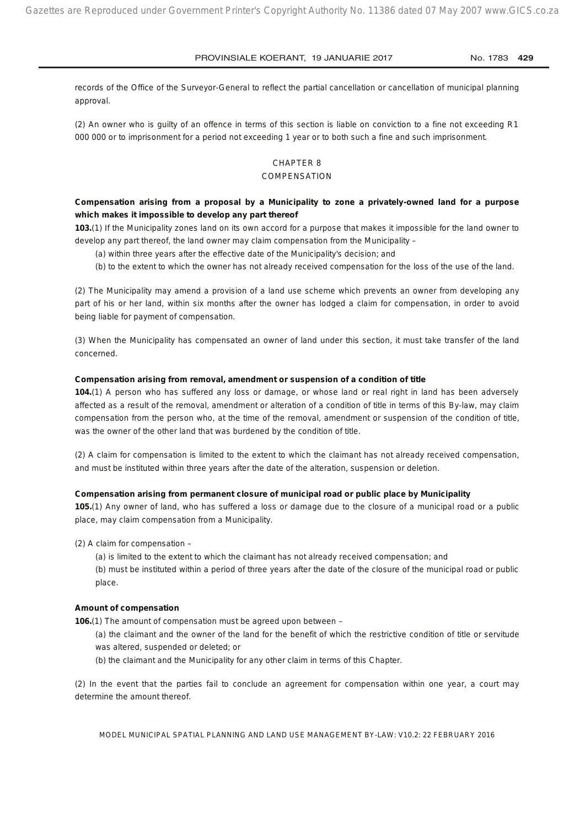records of the Office of the Surveyor-General to reflect the partial cancellation or cancellation of municipal planning approval.

(2) An owner who is guilty of an offence in terms of this section is liable on conviction to a fine not exceeding R1 000 000 or to imprisonment for a period not exceeding 1 year or to both such a fine and such imprisonment.

## CHAPTER 8

#### **COMPENSATION**

## **Compensation arising from a proposal by a Municipality to zone a privately-owned land for a purpose which makes it impossible to develop any part thereof**

**103.**(1) If the Municipality zones land on its own accord for a purpose that makes it impossible for the land owner to develop any part thereof, the land owner may claim compensation from the Municipality –

- (a) within three years after the effective date of the Municipality's decision; and
- (b) to the extent to which the owner has not already received compensation for the loss of the use of the land.

(2) The Municipality may amend a provision of a land use scheme which prevents an owner from developing any part of his or her land, within six months after the owner has lodged a claim for compensation, in order to avoid being liable for payment of compensation.

(3) When the Municipality has compensated an owner of land under this section, it must take transfer of the land concerned.

#### **Compensation arising from removal, amendment or suspension of a condition of title**

**104.**(1) A person who has suffered any loss or damage, or whose land or real right in land has been adversely affected as a result of the removal, amendment or alteration of a condition of title in terms of this By-law, may claim compensation from the person who, at the time of the removal, amendment or suspension of the condition of title, was the owner of the other land that was burdened by the condition of title.

(2) A claim for compensation is limited to the extent to which the claimant has not already received compensation, and must be instituted within three years after the date of the alteration, suspension or deletion.

#### **Compensation arising from permanent closure of municipal road or public place by Municipality**

**105.**(1) Any owner of land, who has suffered a loss or damage due to the closure of a municipal road or a public place, may claim compensation from a Municipality.

(2) A claim for compensation –

(a) is limited to the extent to which the claimant has not already received compensation; and (b) must be instituted within a period of three years after the date of the closure of the municipal road or public place.

#### **Amount of compensation**

**106.**(1) The amount of compensation must be agreed upon between –

(a) the claimant and the owner of the land for the benefit of which the restrictive condition of title or servitude was altered, suspended or deleted; or

(b) the claimant and the Municipality for any other claim in terms of this Chapter.

(2) In the event that the parties fail to conclude an agreement for compensation within one year, a court may determine the amount thereof.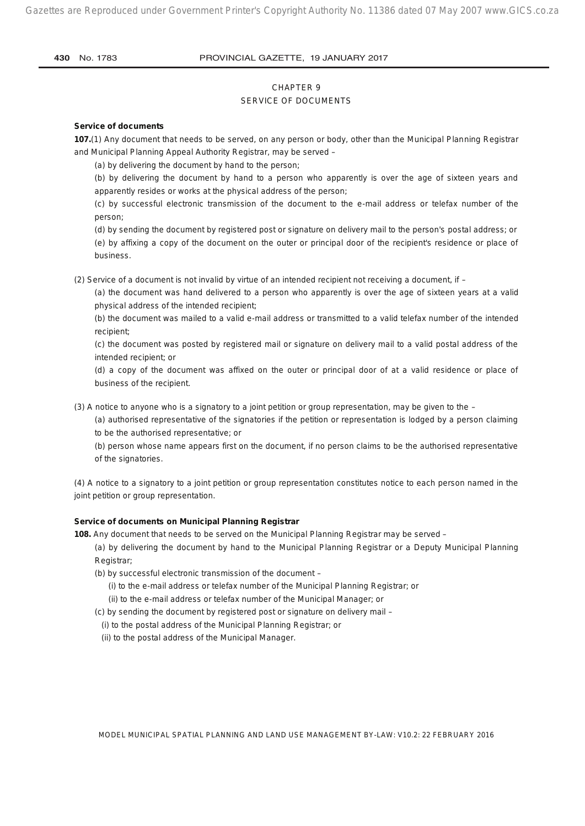## CHAPTER 9 SERVICE OF DOCUMENTS

#### **Service of documents**

**107.**(1) Any document that needs to be served, on any person or body, other than the Municipal Planning Registrar and Municipal Planning Appeal Authority Registrar, may be served –

(a) by delivering the document by hand to the person;

(b) by delivering the document by hand to a person who apparently is over the age of sixteen years and apparently resides or works at the physical address of the person;

(c) by successful electronic transmission of the document to the e-mail address or telefax number of the person;

(d) by sending the document by registered post or signature on delivery mail to the person's postal address; or (e) by affixing a copy of the document on the outer or principal door of the recipient's residence or place of business.

(2) Service of a document is not invalid by virtue of an intended recipient not receiving a document, if –

(a) the document was hand delivered to a person who apparently is over the age of sixteen years at a valid physical address of the intended recipient;

(b) the document was mailed to a valid e-mail address or transmitted to a valid telefax number of the intended recipient;

(c) the document was posted by registered mail or signature on delivery mail to a valid postal address of the intended recipient; or

(d) a copy of the document was affixed on the outer or principal door of at a valid residence or place of business of the recipient.

(3) A notice to anyone who is a signatory to a joint petition or group representation, may be given to the –

(a) authorised representative of the signatories if the petition or representation is lodged by a person claiming to be the authorised representative; or

(b) person whose name appears first on the document, if no person claims to be the authorised representative of the signatories.

(4) A notice to a signatory to a joint petition or group representation constitutes notice to each person named in the joint petition or group representation.

#### **Service of documents on Municipal Planning Registrar**

**108.** Any document that needs to be served on the Municipal Planning Registrar may be served –

(a) by delivering the document by hand to the Municipal Planning Registrar or a Deputy Municipal Planning Registrar;

- (b) by successful electronic transmission of the document
	- (i) to the e-mail address or telefax number of the Municipal Planning Registrar; or

(ii) to the e-mail address or telefax number of the Municipal Manager; or

(c) by sending the document by registered post or signature on delivery mail –

(i) to the postal address of the Municipal Planning Registrar; or

(ii) to the postal address of the Municipal Manager.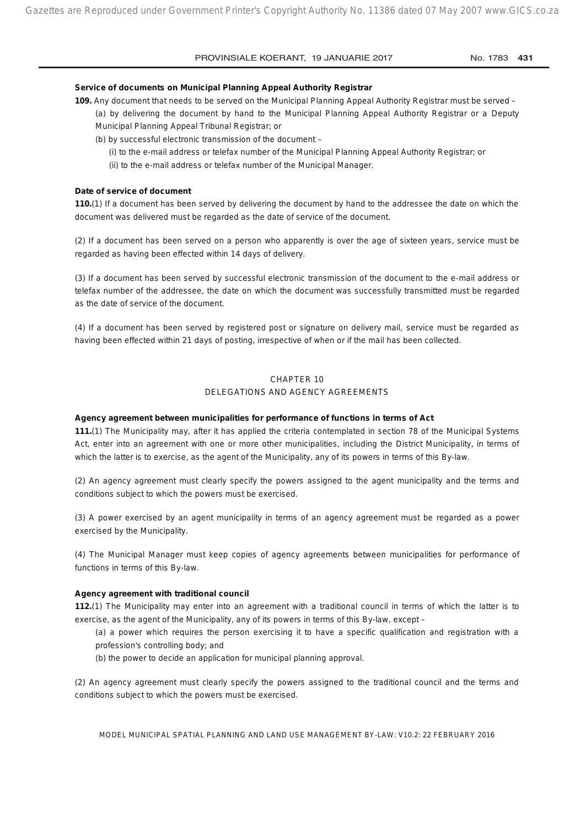#### **Service of documents on Municipal Planning Appeal Authority Registrar**

**109.** Any document that needs to be served on the Municipal Planning Appeal Authority Registrar must be served – (a) by delivering the document by hand to the Municipal Planning Appeal Authority Registrar or a Deputy Municipal Planning Appeal Tribunal Registrar; or

- (b) by successful electronic transmission of the document
	- (i) to the e-mail address or telefax number of the Municipal Planning Appeal Authority Registrar; or
	- (ii) to the e-mail address or telefax number of the Municipal Manager.

#### **Date of service of document**

**110.**(1) If a document has been served by delivering the document by hand to the addressee the date on which the document was delivered must be regarded as the date of service of the document.

(2) If a document has been served on a person who apparently is over the age of sixteen years, service must be regarded as having been effected within 14 days of delivery.

(3) If a document has been served by successful electronic transmission of the document to the e-mail address or telefax number of the addressee, the date on which the document was successfully transmitted must be regarded as the date of service of the document.

(4) If a document has been served by registered post or signature on delivery mail, service must be regarded as having been effected within 21 days of posting, irrespective of when or if the mail has been collected.

#### CHAPTER 10

### DELEGATIONS AND AGENCY AGREEMENTS

#### **Agency agreement between municipalities for performance of functions in terms of Act**

**111.**(1) The Municipality may, after it has applied the criteria contemplated in section 78 of the Municipal Systems Act, enter into an agreement with one or more other municipalities, including the District Municipality, in terms of which the latter is to exercise, as the agent of the Municipality, any of its powers in terms of this By-law.

(2) An agency agreement must clearly specify the powers assigned to the agent municipality and the terms and conditions subject to which the powers must be exercised.

(3) A power exercised by an agent municipality in terms of an agency agreement must be regarded as a power exercised by the Municipality.

(4) The Municipal Manager must keep copies of agency agreements between municipalities for performance of functions in terms of this By-law.

#### **Agency agreement with traditional council**

**112.**(1) The Municipality may enter into an agreement with a traditional council in terms of which the latter is to exercise, as the agent of the Municipality, any of its powers in terms of this By-law, except –

(a) a power which requires the person exercising it to have a specific qualification and registration with a profession's controlling body; and

(b) the power to decide an application for municipal planning approval.

(2) An agency agreement must clearly specify the powers assigned to the traditional council and the terms and conditions subject to which the powers must be exercised.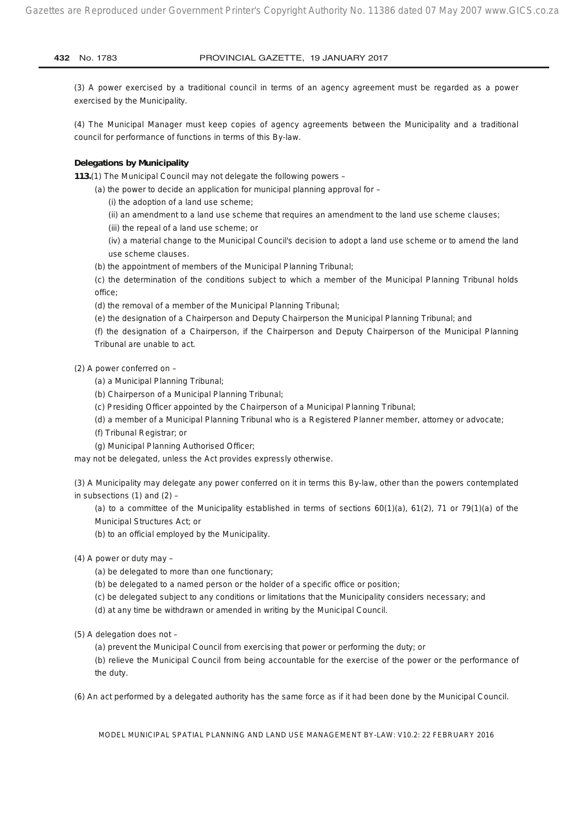(3) A power exercised by a traditional council in terms of an agency agreement must be regarded as a power exercised by the Municipality.

(4) The Municipal Manager must keep copies of agency agreements between the Municipality and a traditional council for performance of functions in terms of this By-law.

#### **Delegations by Municipality**

**113.**(1) The Municipal Council may not delegate the following powers –

(a) the power to decide an application for municipal planning approval for –

(i) the adoption of a land use scheme;

(ii) an amendment to a land use scheme that requires an amendment to the land use scheme clauses;

(iii) the repeal of a land use scheme; or

(iv) a material change to the Municipal Council's decision to adopt a land use scheme or to amend the land use scheme clauses.

(b) the appointment of members of the Municipal Planning Tribunal;

(c) the determination of the conditions subject to which a member of the Municipal Planning Tribunal holds office;

(d) the removal of a member of the Municipal Planning Tribunal;

(e) the designation of a Chairperson and Deputy Chairperson the Municipal Planning Tribunal; and

(f) the designation of a Chairperson, if the Chairperson and Deputy Chairperson of the Municipal Planning Tribunal are unable to act.

(2) A power conferred on –

(a) a Municipal Planning Tribunal;

(b) Chairperson of a Municipal Planning Tribunal;

(c) Presiding Officer appointed by the Chairperson of a Municipal Planning Tribunal;

(d) a member of a Municipal Planning Tribunal who is a Registered Planner member, attorney or advocate;

(f) Tribunal Registrar; or

(g) Municipal Planning Authorised Officer;

may not be delegated, unless the Act provides expressly otherwise.

(3) A Municipality may delegate any power conferred on it in terms this By-law, other than the powers contemplated in subsections  $(1)$  and  $(2)$  –

(a) to a committee of the Municipality established in terms of sections 60(1)(a), 61(2), 71 or 79(1)(a) of the Municipal Structures Act; or

(b) to an official employed by the Municipality.

(4) A power or duty may –

(a) be delegated to more than one functionary;

(b) be delegated to a named person or the holder of a specific office or position;

(c) be delegated subject to any conditions or limitations that the Municipality considers necessary; and

(d) at any time be withdrawn or amended in writing by the Municipal Council.

(5) A delegation does not –

(a) prevent the Municipal Council from exercising that power or performing the duty; or

(b) relieve the Municipal Council from being accountable for the exercise of the power or the performance of the duty.

(6) An act performed by a delegated authority has the same force as if it had been done by the Municipal Council.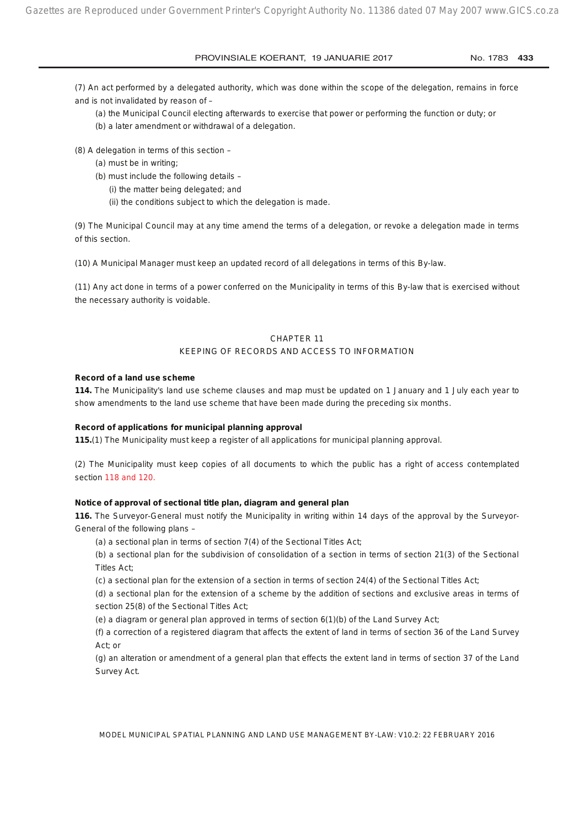(7) An act performed by a delegated authority, which was done within the scope of the delegation, remains in force and is not invalidated by reason of –

(a) the Municipal Council electing afterwards to exercise that power or performing the function or duty; or

(b) a later amendment or withdrawal of a delegation.

- (8) A delegation in terms of this section
	- (a) must be in writing;
	- (b) must include the following details
		- (i) the matter being delegated; and
		- (ii) the conditions subject to which the delegation is made.

(9) The Municipal Council may at any time amend the terms of a delegation, or revoke a delegation made in terms of this section.

(10) A Municipal Manager must keep an updated record of all delegations in terms of this By-law.

(11) Any act done in terms of a power conferred on the Municipality in terms of this By-law that is exercised without the necessary authority is voidable.

#### CHAPTER 11

#### KEEPING OF RECORDS AND ACCESS TO INFORMATION

#### **Record of a land use scheme**

**114.** The Municipality's land use scheme clauses and map must be updated on 1 January and 1 July each year to show amendments to the land use scheme that have been made during the preceding six months.

#### **Record of applications for municipal planning approval**

**115.**(1) The Municipality must keep a register of all applications for municipal planning approval.

(2) The Municipality must keep copies of all documents to which the public has a right of access contemplated section 118 and 120.

#### **Notice of approval of sectional title plan, diagram and general plan**

**116.** The Surveyor-General must notify the Municipality in writing within 14 days of the approval by the Surveyor-General of the following plans –

(a) a sectional plan in terms of section 7(4) of the Sectional Titles Act;

(b) a sectional plan for the subdivision of consolidation of a section in terms of section 21(3) of the Sectional Titles Act;

(c) a sectional plan for the extension of a section in terms of section 24(4) of the Sectional Titles Act;

(d) a sectional plan for the extension of a scheme by the addition of sections and exclusive areas in terms of section 25(8) of the Sectional Titles Act;

(e) a diagram or general plan approved in terms of section 6(1)(b) of the Land Survey Act;

(f) a correction of a registered diagram that affects the extent of land in terms of section 36 of the Land Survey Act; or

(g) an alteration or amendment of a general plan that effects the extent land in terms of section 37 of the Land Survey Act.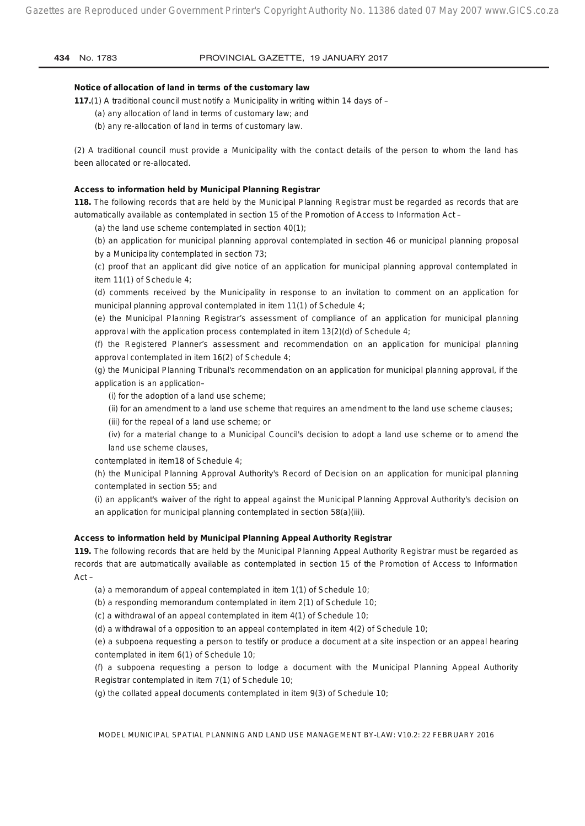#### **Notice of allocation of land in terms of the customary law**

**117.**(1) A traditional council must notify a Municipality in writing within 14 days of –

- (a) any allocation of land in terms of customary law; and
- (b) any re-allocation of land in terms of customary law.

(2) A traditional council must provide a Municipality with the contact details of the person to whom the land has been allocated or re-allocated.

#### **Access to information held by Municipal Planning Registrar**

**118.** The following records that are held by the Municipal Planning Registrar must be regarded as records that are automatically available as contemplated in section 15 of the Promotion of Access to Information Act –

(a) the land use scheme contemplated in section 40(1);

(b) an application for municipal planning approval contemplated in section 46 or municipal planning proposal by a Municipality contemplated in section 73;

(c) proof that an applicant did give notice of an application for municipal planning approval contemplated in item 11(1) of Schedule 4;

(d) comments received by the Municipality in response to an invitation to comment on an application for municipal planning approval contemplated in item 11(1) of Schedule 4;

(e) the Municipal Planning Registrar's assessment of compliance of an application for municipal planning approval with the application process contemplated in item 13(2)(d) of Schedule 4;

(f) the Registered Planner's assessment and recommendation on an application for municipal planning approval contemplated in item 16(2) of Schedule 4;

(g) the Municipal Planning Tribunal's recommendation on an application for municipal planning approval, if the application is an application–

(i) for the adoption of a land use scheme;

(ii) for an amendment to a land use scheme that requires an amendment to the land use scheme clauses;

(iii) for the repeal of a land use scheme; or

(iv) for a material change to a Municipal Council's decision to adopt a land use scheme or to amend the land use scheme clauses,

contemplated in item18 of Schedule 4;

(h) the Municipal Planning Approval Authority's Record of Decision on an application for municipal planning contemplated in section 55; and

(i) an applicant's waiver of the right to appeal against the Municipal Planning Approval Authority's decision on an application for municipal planning contemplated in section 58(a)(iii).

#### **Access to information held by Municipal Planning Appeal Authority Registrar**

**119.** The following records that are held by the Municipal Planning Appeal Authority Registrar must be regarded as records that are automatically available as contemplated in section 15 of the Promotion of Access to Information Act –

(a) a memorandum of appeal contemplated in item 1(1) of Schedule 10;

(b) a responding memorandum contemplated in item 2(1) of Schedule 10;

(c) a withdrawal of an appeal contemplated in item 4(1) of Schedule 10;

(d) a withdrawal of a opposition to an appeal contemplated in item 4(2) of Schedule 10;

(e) a subpoena requesting a person to testify or produce a document at a site inspection or an appeal hearing contemplated in item 6(1) of Schedule 10;

(f) a subpoena requesting a person to lodge a document with the Municipal Planning Appeal Authority Registrar contemplated in item 7(1) of Schedule 10;

(g) the collated appeal documents contemplated in item 9(3) of Schedule 10;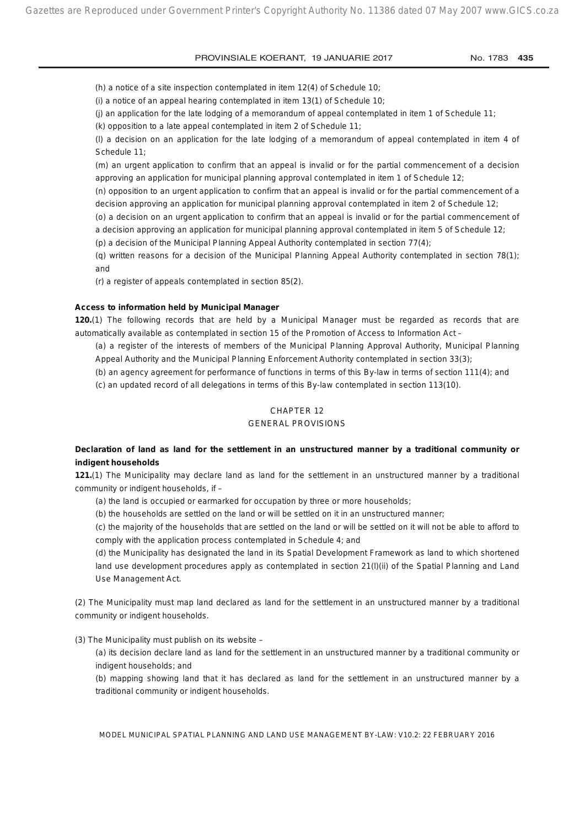(h) a notice of a site inspection contemplated in item 12(4) of Schedule 10;

(i) a notice of an appeal hearing contemplated in item 13(1) of Schedule 10;

(j) an application for the late lodging of a memorandum of appeal contemplated in item 1 of Schedule 11;

(k) opposition to a late appeal contemplated in item 2 of Schedule 11;

(l) a decision on an application for the late lodging of a memorandum of appeal contemplated in item 4 of Schedule 11;

(m) an urgent application to confirm that an appeal is invalid or for the partial commencement of a decision approving an application for municipal planning approval contemplated in item 1 of Schedule 12;

(n) opposition to an urgent application to confirm that an appeal is invalid or for the partial commencement of a decision approving an application for municipal planning approval contemplated in item 2 of Schedule 12;

(o) a decision on an urgent application to confirm that an appeal is invalid or for the partial commencement of a decision approving an application for municipal planning approval contemplated in item 5 of Schedule 12;

(p) a decision of the Municipal Planning Appeal Authority contemplated in section 77(4);

(q) written reasons for a decision of the Municipal Planning Appeal Authority contemplated in section 78(1); and

(r) a register of appeals contemplated in section 85(2).

## **Access to information held by Municipal Manager**

**120.**(1) The following records that are held by a Municipal Manager must be regarded as records that are automatically available as contemplated in section 15 of the Promotion of Access to Information Act –

(a) a register of the interests of members of the Municipal Planning Approval Authority, Municipal Planning Appeal Authority and the Municipal Planning Enforcement Authority contemplated in section 33(3);

(b) an agency agreement for performance of functions in terms of this By-law in terms of section 111(4); and

(c) an updated record of all delegations in terms of this By-law contemplated in section 113(10).

## CHAPTER 12

## GENERAL PROVISIONS

## **Declaration of land as land for the settlement in an unstructured manner by a traditional community or indigent households**

**121.**(1) The Municipality may declare land as land for the settlement in an unstructured manner by a traditional community or indigent households, if –

(a) the land is occupied or earmarked for occupation by three or more households;

(b) the households are settled on the land or will be settled on it in an unstructured manner;

(c) the majority of the households that are settled on the land or will be settled on it will not be able to afford to comply with the application process contemplated in Schedule 4; and

(d) the Municipality has designated the land in its Spatial Development Framework as land to which shortened land use development procedures apply as contemplated in section 21(l)(ii) of the Spatial Planning and Land Use Management Act.

(2) The Municipality must map land declared as land for the settlement in an unstructured manner by a traditional community or indigent households.

(3) The Municipality must publish on its website –

(a) its decision declare land as land for the settlement in an unstructured manner by a traditional community or indigent households; and

(b) mapping showing land that it has declared as land for the settlement in an unstructured manner by a traditional community or indigent households.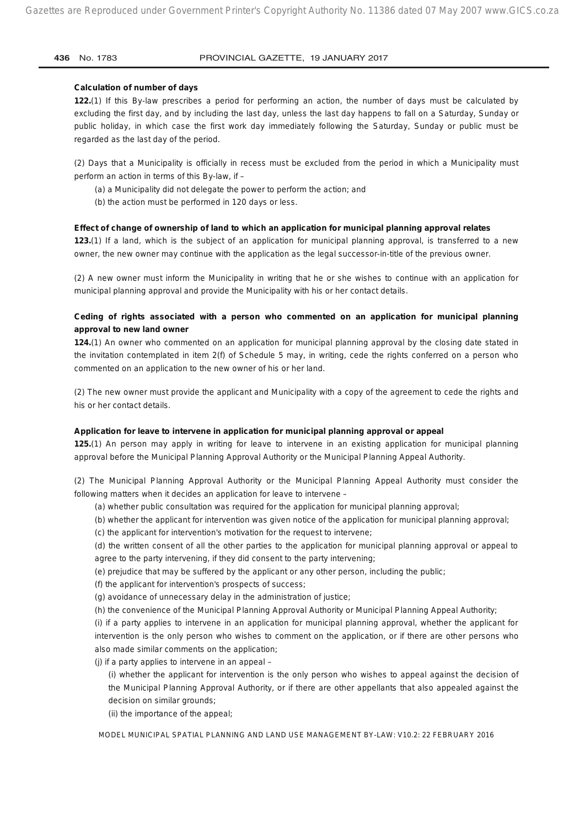#### **Calculation of number of days**

**122.**(1) If this By-law prescribes a period for performing an action, the number of days must be calculated by excluding the first day, and by including the last day, unless the last day happens to fall on a Saturday, Sunday or public holiday, in which case the first work day immediately following the Saturday, Sunday or public must be regarded as the last day of the period.

(2) Days that a Municipality is officially in recess must be excluded from the period in which a Municipality must perform an action in terms of this By-law, if –

- (a) a Municipality did not delegate the power to perform the action; and
- (b) the action must be performed in 120 days or less.

#### **Effect of change of ownership of land to which an application for municipal planning approval relates**

**123.**(1) If a land, which is the subject of an application for municipal planning approval, is transferred to a new owner, the new owner may continue with the application as the legal successor-in-title of the previous owner.

(2) A new owner must inform the Municipality in writing that he or she wishes to continue with an application for municipal planning approval and provide the Municipality with his or her contact details.

## **Ceding of rights associated with a person who commented on an application for municipal planning approval to new land owner**

**124.**(1) An owner who commented on an application for municipal planning approval by the closing date stated in the invitation contemplated in item 2(f) of Schedule 5 may, in writing, cede the rights conferred on a person who commented on an application to the new owner of his or her land.

(2) The new owner must provide the applicant and Municipality with a copy of the agreement to cede the rights and his or her contact details.

#### **Application for leave to intervene in application for municipal planning approval or appeal**

**125.**(1) An person may apply in writing for leave to intervene in an existing application for municipal planning approval before the Municipal Planning Approval Authority or the Municipal Planning Appeal Authority.

(2) The Municipal Planning Approval Authority or the Municipal Planning Appeal Authority must consider the following matters when it decides an application for leave to intervene –

- (a) whether public consultation was required for the application for municipal planning approval;
- (b) whether the applicant for intervention was given notice of the application for municipal planning approval;
- (c) the applicant for intervention's motivation for the request to intervene;

(d) the written consent of all the other parties to the application for municipal planning approval or appeal to agree to the party intervening, if they did consent to the party intervening;

- (e) prejudice that may be suffered by the applicant or any other person, including the public;
- (f) the applicant for intervention's prospects of success;
- (g) avoidance of unnecessary delay in the administration of justice;
- (h) the convenience of the Municipal Planning Approval Authority or Municipal Planning Appeal Authority;

(i) if a party applies to intervene in an application for municipal planning approval, whether the applicant for intervention is the only person who wishes to comment on the application, or if there are other persons who also made similar comments on the application;

- (j) if a party applies to intervene in an appeal
	- (i) whether the applicant for intervention is the only person who wishes to appeal against the decision of the Municipal Planning Approval Authority, or if there are other appellants that also appealed against the decision on similar grounds;
	- (ii) the importance of the appeal;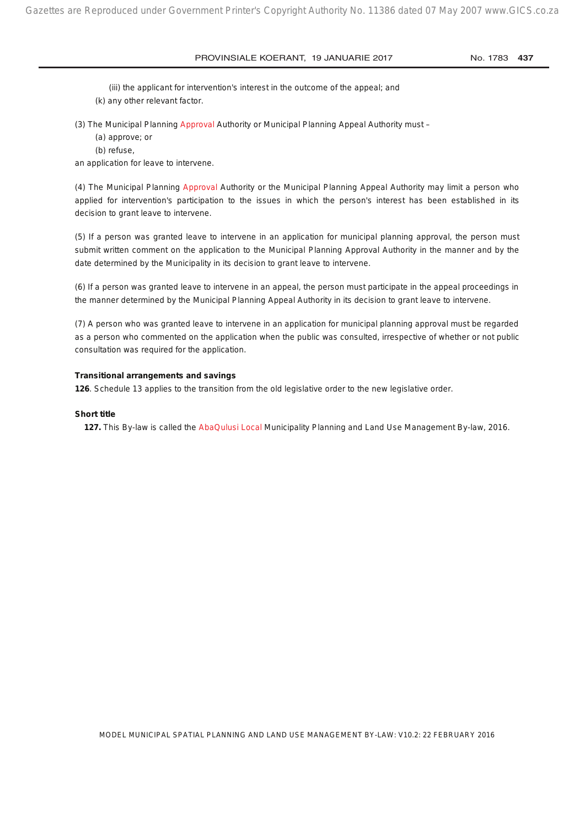(iii) the applicant for intervention's interest in the outcome of the appeal; and

(k) any other relevant factor.

- (3) The Municipal Planning Approval Authority or Municipal Planning Appeal Authority must -
	- (a) approve; or
	- (b) refuse,

an application for leave to intervene.

(4) The Municipal Planning Approval Authority or the Municipal Planning Appeal Authority may limit a person who applied for intervention's participation to the issues in which the person's interest has been established in its decision to grant leave to intervene.

(5) If a person was granted leave to intervene in an application for municipal planning approval, the person must submit written comment on the application to the Municipal Planning Approval Authority in the manner and by the date determined by the Municipality in its decision to grant leave to intervene.

(6) If a person was granted leave to intervene in an appeal, the person must participate in the appeal proceedings in the manner determined by the Municipal Planning Appeal Authority in its decision to grant leave to intervene.

(7) A person who was granted leave to intervene in an application for municipal planning approval must be regarded as a person who commented on the application when the public was consulted, irrespective of whether or not public consultation was required for the application.

#### **Transitional arrangements and savings**

**126**. Schedule 13 applies to the transition from the old legislative order to the new legislative order.

#### **Short title**

**127.** This By-law is called the AbaQulusi Local Municipality Planning and Land Use Management By-law, 2016.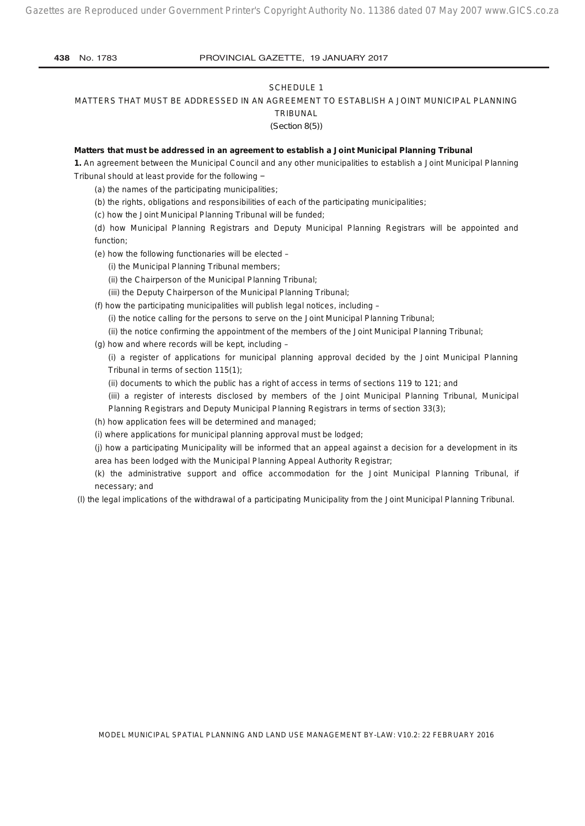#### SCHEDULE 1

#### MATTERS THAT MUST BE ADDRESSED IN AN AGREEMENT TO ESTABLISH A JOINT MUNICIPAL PLANNING

TRIBUNAL *(Section 8(5))*

### **Matters that must be addressed in an agreement to establish a Joint Municipal Planning Tribunal**

**1.** An agreement between the Municipal Council and any other municipalities to establish a Joint Municipal Planning Tribunal should at least provide for the following −

(a) the names of the participating municipalities;

(b) the rights, obligations and responsibilities of each of the participating municipalities;

(c) how the Joint Municipal Planning Tribunal will be funded;

(d) how Municipal Planning Registrars and Deputy Municipal Planning Registrars will be appointed and function;

(e) how the following functionaries will be elected –

(i) the Municipal Planning Tribunal members;

- (ii) the Chairperson of the Municipal Planning Tribunal;
- (iii) the Deputy Chairperson of the Municipal Planning Tribunal;

(f) how the participating municipalities will publish legal notices, including –

(i) the notice calling for the persons to serve on the Joint Municipal Planning Tribunal;

(ii) the notice confirming the appointment of the members of the Joint Municipal Planning Tribunal;

(g) how and where records will be kept, including –

(i) a register of applications for municipal planning approval decided by the Joint Municipal Planning Tribunal in terms of section 115(1);

(ii) documents to which the public has a right of access in terms of sections 119 to 121; and

(iii) a register of interests disclosed by members of the Joint Municipal Planning Tribunal, Municipal Planning Registrars and Deputy Municipal Planning Registrars in terms of section 33(3);

(h) how application fees will be determined and managed;

(i) where applications for municipal planning approval must be lodged;

(j) how a participating Municipality will be informed that an appeal against a decision for a development in its area has been lodged with the Municipal Planning Appeal Authority Registrar;

(k) the administrative support and office accommodation for the Joint Municipal Planning Tribunal, if necessary; and

(l) the legal implications of the withdrawal of a participating Municipality from the Joint Municipal Planning Tribunal.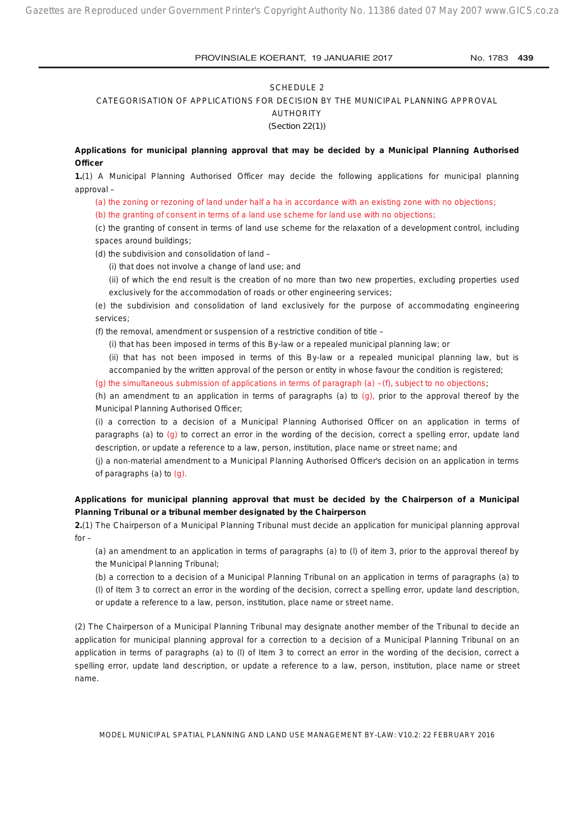#### SCHEDULE 2

CATEGORISATION OF APPLICATIONS FOR DECISION BY THE MUNICIPAL PLANNING APPROVAL

AUTHORITY

*(Section 22(1))*

**Applications for municipal planning approval that may be decided by a Municipal Planning Authorised Officer**

**1.**(1) A Municipal Planning Authorised Officer may decide the following applications for municipal planning approval –

(a) the zoning or rezoning of land under half a ha in accordance with an existing zone with no objections;

(b) the granting of consent in terms of a land use scheme for land use with no objections;

(c) the granting of consent in terms of land use scheme for the relaxation of a development control, including spaces around buildings;

(d) the subdivision and consolidation of land –

(i) that does not involve a change of land use; and

(ii) of which the end result is the creation of no more than two new properties, excluding properties used exclusively for the accommodation of roads or other engineering services;

(e) the subdivision and consolidation of land exclusively for the purpose of accommodating engineering services;

(f) the removal, amendment or suspension of a restrictive condition of title –

(i) that has been imposed in terms of this By-law or a repealed municipal planning law; or

(ii) that has not been imposed in terms of this By-law or a repealed municipal planning law, but is accompanied by the written approval of the person or entity in whose favour the condition is registered;

(g) the simultaneous submission of applications in terms of paragraph (a)  $-(f)$ , subject to no objections;

(h) an amendment to an application in terms of paragraphs (a) to  $(q)$ , prior to the approval thereof by the Municipal Planning Authorised Officer;

(i) a correction to a decision of a Municipal Planning Authorised Officer on an application in terms of paragraphs (a) to (g) to correct an error in the wording of the decision, correct a spelling error, update land description, or update a reference to a law, person, institution, place name or street name; and

(j) a non-material amendment to a Municipal Planning Authorised Officer's decision on an application in terms of paragraphs (a) to  $(g)$ .

## **Applications for municipal planning approval that must be decided by the Chairperson of a Municipal Planning Tribunal or a tribunal member designated by the Chairperson**

**2.**(1) The Chairperson of a Municipal Planning Tribunal must decide an application for municipal planning approval for –

(a) an amendment to an application in terms of paragraphs (a) to (l) of item 3, prior to the approval thereof by the Municipal Planning Tribunal;

(b) a correction to a decision of a Municipal Planning Tribunal on an application in terms of paragraphs (a) to (l) of Item 3 to correct an error in the wording of the decision, correct a spelling error, update land description, or update a reference to a law, person, institution, place name or street name.

(2) The Chairperson of a Municipal Planning Tribunal may designate another member of the Tribunal to decide an application for municipal planning approval for a correction to a decision of a Municipal Planning Tribunal on an application in terms of paragraphs (a) to (l) of Item 3 to correct an error in the wording of the decision, correct a spelling error, update land description, or update a reference to a law, person, institution, place name or street name.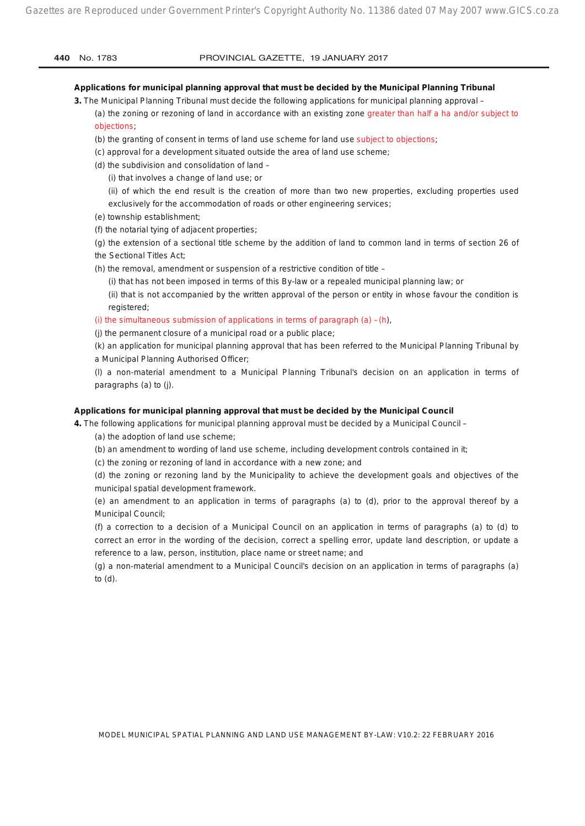#### **Applications for municipal planning approval that must be decided by the Municipal Planning Tribunal**

**3.** The Municipal Planning Tribunal must decide the following applications for municipal planning approval –

(a) the zoning or rezoning of land in accordance with an existing zone greater than half a ha and/or subject to objections;

(b) the granting of consent in terms of land use scheme for land use subject to objections;

(c) approval for a development situated outside the area of land use scheme;

(d) the subdivision and consolidation of land –

(i) that involves a change of land use; or

(ii) of which the end result is the creation of more than two new properties, excluding properties used exclusively for the accommodation of roads or other engineering services;

- (e) township establishment;
- (f) the notarial tying of adjacent properties;
- (g) the extension of a sectional title scheme by the addition of land to common land in terms of section 26 of the Sectional Titles Act;
- (h) the removal, amendment or suspension of a restrictive condition of title
	- (i) that has not been imposed in terms of this By-law or a repealed municipal planning law; or
	- (ii) that is not accompanied by the written approval of the person or entity in whose favour the condition is registered;
- (i) the simultaneous submission of applications in terms of paragraph  $(a) (h)$ ,
- (j) the permanent closure of a municipal road or a public place;

(k) an application for municipal planning approval that has been referred to the Municipal Planning Tribunal by a Municipal Planning Authorised Officer;

(l) a non-material amendment to a Municipal Planning Tribunal's decision on an application in terms of paragraphs (a) to (j).

#### **Applications for municipal planning approval that must be decided by the Municipal Council**

**4.** The following applications for municipal planning approval must be decided by a Municipal Council – (a) the adoption of land use scheme;

(b) an amendment to wording of land use scheme, including development controls contained in it;

(c) the zoning or rezoning of land in accordance with a new zone; and

(d) the zoning or rezoning land by the Municipality to achieve the development goals and objectives of the municipal spatial development framework.

(e) an amendment to an application in terms of paragraphs (a) to (d), prior to the approval thereof by a Municipal Council;

(f) a correction to a decision of a Municipal Council on an application in terms of paragraphs (a) to (d) to correct an error in the wording of the decision, correct a spelling error, update land description, or update a reference to a law, person, institution, place name or street name; and

(g) a non-material amendment to a Municipal Council's decision on an application in terms of paragraphs (a) to (d).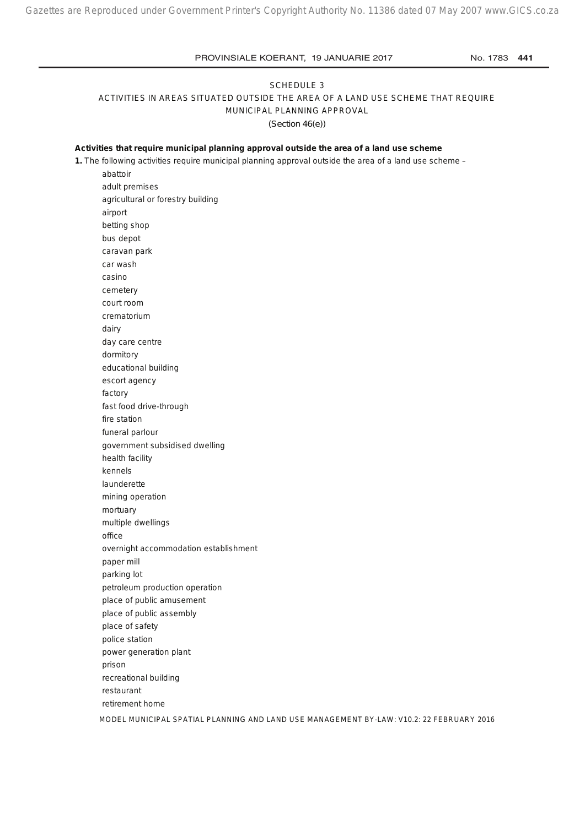## SCHEDULE 3 ACTIVITIES IN AREAS SITUATED OUTSIDE THE AREA OF A LAND USE SCHEME THAT REQUIRE MUNICIPAL PLANNING APPROVAL *(Section 46(e))*

#### **Activities that require municipal planning approval outside the area of a land use scheme**

**1.** The following activities require municipal planning approval outside the area of a land use scheme –

abattoir adult premises agricultural or forestry building airport betting shop bus depot caravan park car wash casino cemetery court room crematorium dairy day care centre dormitory educational building escort agency factory fast food drive-through fire station funeral parlour government subsidised dwelling health facility kennels launderette mining operation mortuary multiple dwellings office overnight accommodation establishment paper mill parking lot petroleum production operation place of public amusement place of public assembly place of safety police station power generation plant prison recreational building restaurant retirement home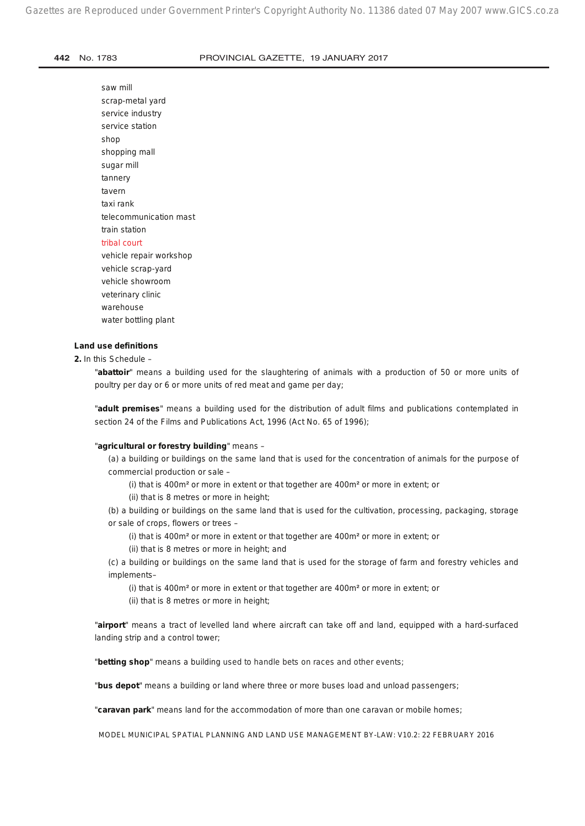saw mill scrap-metal yard service industry service station shop shopping mall sugar mill tannery tavern taxi rank telecommunication mast train station tribal court vehicle repair workshop vehicle scrap-yard vehicle showroom veterinary clinic warehouse

# **Land use definitions**

water bottling plant

## **2.** In this Schedule –

"**abattoir**" means a building used for the slaughtering of animals with a production of 50 or more units of poultry per day or 6 or more units of red meat and game per day;

"**adult premises**" means a building used for the distribution of adult films and publications contemplated in section 24 of the Films and Publications Act, 1996 (Act No. 65 of 1996);

### "**agricultural or forestry building**" means –

(a) a building or buildings on the same land that is used for the concentration of animals for the purpose of commercial production or sale –

(i) that is 400m² or more in extent or that together are 400m² or more in extent; or

(ii) that is 8 metres or more in height;

(b) a building or buildings on the same land that is used for the cultivation, processing, packaging, storage or sale of crops, flowers or trees –

(i) that is 400m² or more in extent or that together are 400m² or more in extent; or

(ii) that is 8 metres or more in height; and

(c) a building or buildings on the same land that is used for the storage of farm and forestry vehicles and implements–

(i) that is 400m² or more in extent or that together are 400m² or more in extent; or

(ii) that is 8 metres or more in height;

"**airport**" means a tract of levelled land where aircraft can take off and land, equipped with a hard-surfaced landing strip and a control tower;

"**betting shop**" means a building used to handle bets on races and other events;

"**bus depot**" means a building or land where three or more buses load and unload passengers;

"**caravan park**" means land for the accommodation of more than one caravan or mobile homes;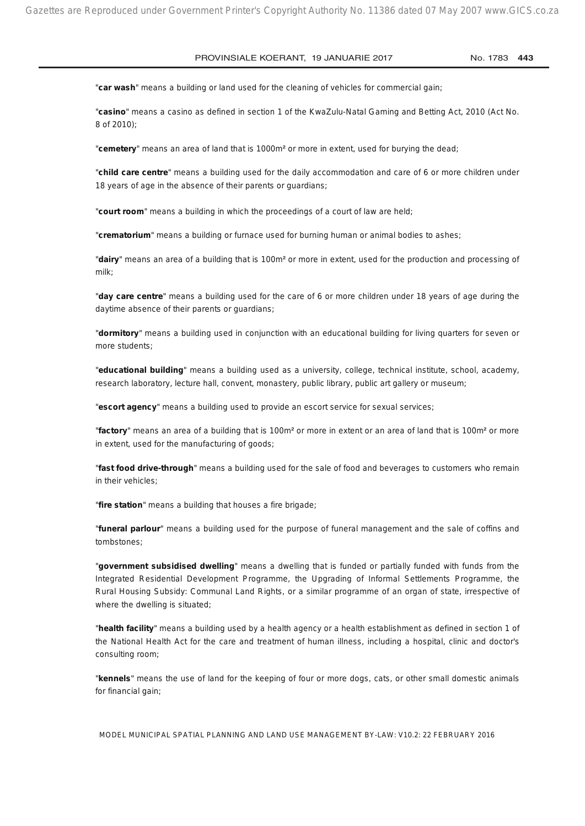"**car wash**" means a building or land used for the cleaning of vehicles for commercial gain;

"**casino**" means a casino as defined in section 1 of the KwaZulu-Natal Gaming and Betting Act, 2010 (Act No. 8 of 2010);

"**cemetery**" means an area of land that is 1000m² or more in extent, used for burying the dead;

"**child care centre**" means a building used for the daily accommodation and care of 6 or more children under 18 years of age in the absence of their parents or guardians;

"**court room**" means a building in which the proceedings of a court of law are held;

"**crematorium**" means a building or furnace used for burning human or animal bodies to ashes;

"**dairy**" means an area of a building that is 100m² or more in extent, used for the production and processing of milk;

"**day care centre**" means a building used for the care of 6 or more children under 18 years of age during the daytime absence of their parents or guardians;

"**dormitory**" means a building used in conjunction with an educational building for living quarters for seven or more students;

"**educational building**" means a building used as a university, college, technical institute, school, academy, research laboratory, lecture hall, convent, monastery, public library, public art gallery or museum;

"**escort agency**" means a building used to provide an escort service for sexual services;

"**factory**" means an area of a building that is 100m² or more in extent or an area of land that is 100m² or more in extent, used for the manufacturing of goods;

"**fast food drive-through**" means a building used for the sale of food and beverages to customers who remain in their vehicles;

"**fire station**" means a building that houses a fire brigade;

"**funeral parlour**" means a building used for the purpose of funeral management and the sale of coffins and tombstones;

"**government subsidised dwelling**" means a dwelling that is funded or partially funded with funds from the Integrated Residential Development Programme, the Upgrading of Informal Settlements Programme, the Rural Housing Subsidy: Communal Land Rights, or a similar programme of an organ of state, irrespective of where the dwelling is situated;

"**health facility**" means a building used by a health agency or a health establishment as defined in section 1 of the National Health Act for the care and treatment of human illness, including a hospital, clinic and doctor's consulting room;

"**kennels**" means the use of land for the keeping of four or more dogs, cats, or other small domestic animals for financial gain;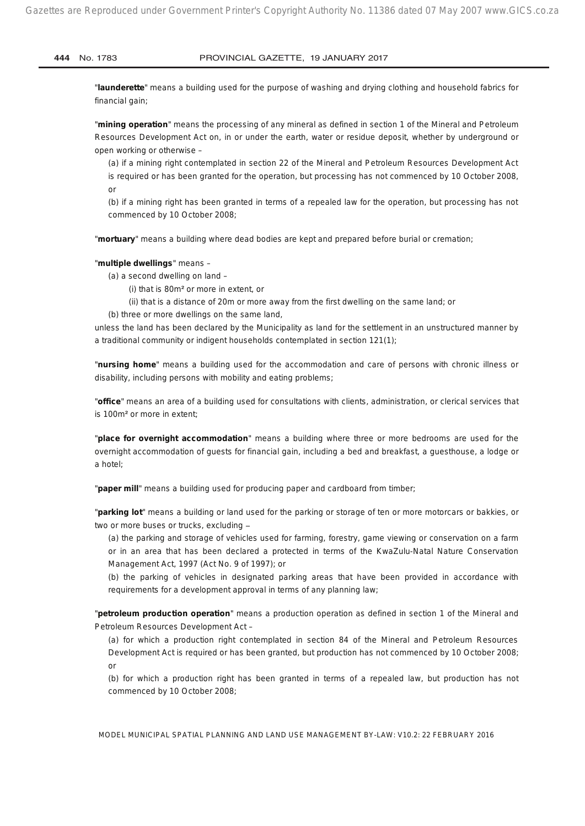"**launderette**" means a building used for the purpose of washing and drying clothing and household fabrics for financial gain;

"**mining operation**" means the processing of any mineral as defined in section 1 of the Mineral and Petroleum Resources Development Act on, in or under the earth, water or residue deposit, whether by underground or open working or otherwise –

(a) if a mining right contemplated in section 22 of the Mineral and Petroleum Resources Development Act is required or has been granted for the operation, but processing has not commenced by 10 October 2008, or

(b) if a mining right has been granted in terms of a repealed law for the operation, but processing has not commenced by 10 October 2008;

"**mortuary**" means a building where dead bodies are kept and prepared before burial or cremation;

#### "**multiple dwellings**" means –

- (a) a second dwelling on land
	- (i) that is 80m² or more in extent, or
	- (ii) that is a distance of 20m or more away from the first dwelling on the same land; or
- (b) three or more dwellings on the same land,

unless the land has been declared by the Municipality as land for the settlement in an unstructured manner by a traditional community or indigent households contemplated in section 121(1);

"**nursing home**" means a building used for the accommodation and care of persons with chronic illness or disability, including persons with mobility and eating problems;

"**office**" means an area of a building used for consultations with clients, administration, or clerical services that is 100m² or more in extent;

"**place for overnight accommodation**" means a building where three or more bedrooms are used for the overnight accommodation of guests for financial gain, including a bed and breakfast, a guesthouse, a lodge or a hotel;

"**paper mill**" means a building used for producing paper and cardboard from timber;

"**parking lot**" means a building or land used for the parking or storage of ten or more motorcars or bakkies, or two or more buses or trucks, excluding -

(a) the parking and storage of vehicles used for farming, forestry, game viewing or conservation on a farm or in an area that has been declared a protected in terms of the KwaZulu-Natal Nature Conservation Management Act, 1997 (Act No. 9 of 1997); or

(b) the parking of vehicles in designated parking areas that have been provided in accordance with requirements for a development approval in terms of any planning law;

"**petroleum production operation**" means a production operation as defined in section 1 of the Mineral and Petroleum Resources Development Act –

(a) for which a production right contemplated in section 84 of the Mineral and Petroleum Resources Development Act is required or has been granted, but production has not commenced by 10 October 2008; or

(b) for which a production right has been granted in terms of a repealed law, but production has not commenced by 10 October 2008;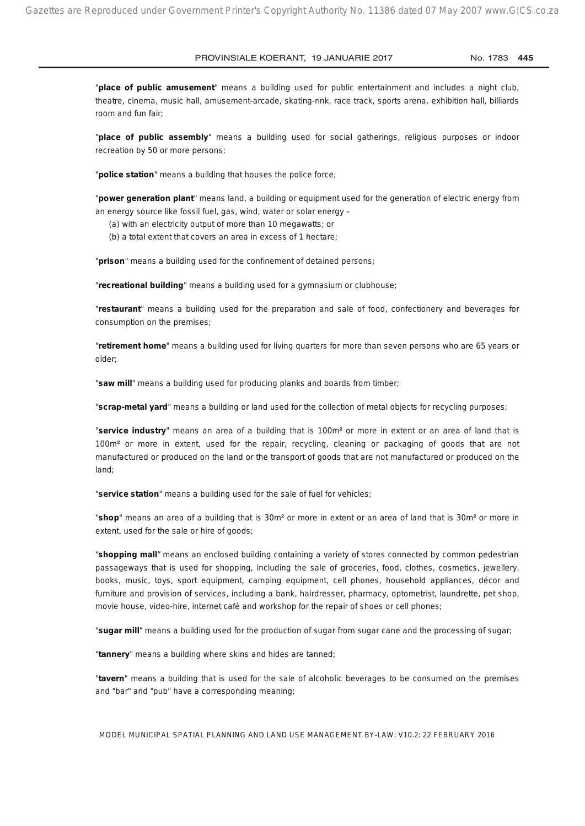"**place of public amusement**" means a building used for public entertainment and includes a night club, theatre, cinema, music hall, amusement-arcade, skating-rink, race track, sports arena, exhibition hall, billiards room and fun fair;

"**place of public assembly**" means a building used for social gatherings, religious purposes or indoor recreation by 50 or more persons;

"**police station**" means a building that houses the police force;

"**power generation plant**" means land, a building or equipment used for the generation of electric energy from an energy source like fossil fuel, gas, wind, water or solar energy –

(a) with an electricity output of more than 10 megawatts; or

(b) a total extent that covers an area in excess of 1 hectare;

"**prison**" means a building used for the confinement of detained persons;

"**recreational building**" means a building used for a gymnasium or clubhouse;

"**restaurant**" means a building used for the preparation and sale of food, confectionery and beverages for consumption on the premises;

"**retirement home**" means a building used for living quarters for more than seven persons who are 65 years or older;

"**saw mill**" means a building used for producing planks and boards from timber;

"**scrap-metal yard**" means a building or land used for the collection of metal objects for recycling purposes;

"**service industry**" means an area of a building that is 100m² or more in extent or an area of land that is 100m² or more in extent, used for the repair, recycling, cleaning or packaging of goods that are not manufactured or produced on the land or the transport of goods that are not manufactured or produced on the land;

"**service station**" means a building used for the sale of fuel for vehicles;

"**shop**" means an area of a building that is 30m² or more in extent or an area of land that is 30m² or more in extent, used for the sale or hire of goods;

"**shopping mall**" means an enclosed building containing a variety of stores connected by common pedestrian passageways that is used for shopping, including the sale of groceries, food, clothes, cosmetics, jewellery, books, music, toys, sport equipment, camping equipment, cell phones, household appliances, décor and furniture and provision of services, including a bank, hairdresser, pharmacy, optometrist, laundrette, pet shop, movie house, video-hire, internet café and workshop for the repair of shoes or cell phones;

"**sugar mill**" means a building used for the production of sugar from sugar cane and the processing of sugar;

"**tannery**" means a building where skins and hides are tanned;

"**tavern**" means a building that is used for the sale of alcoholic beverages to be consumed on the premises and "bar" and "pub" have a corresponding meaning;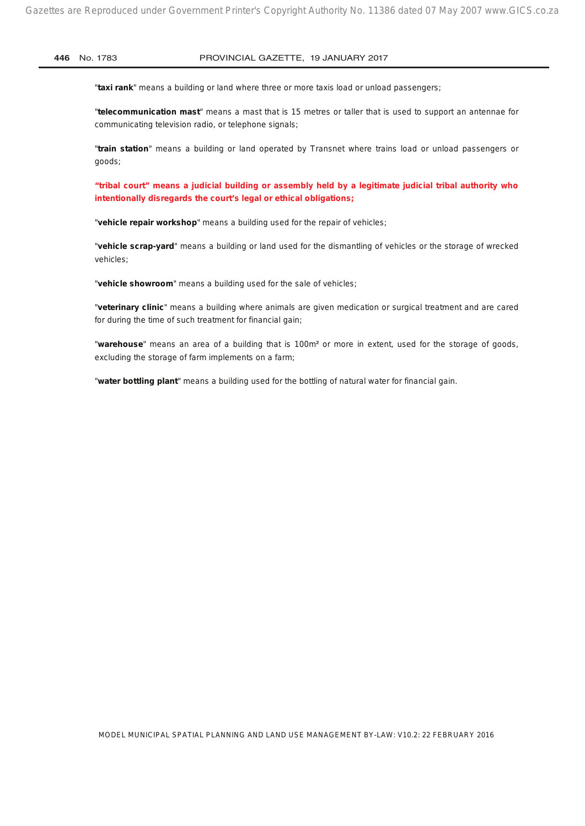"**taxi rank**" means a building or land where three or more taxis load or unload passengers;

"**telecommunication mast**" means a mast that is 15 metres or taller that is used to support an antennae for communicating television radio, or telephone signals;

"**train station**" means a building or land operated by Transnet where trains load or unload passengers or goods;

**"tribal court" means a judicial building or assembly held by a legitimate judicial tribal authority who intentionally disregards the court's legal or ethical obligations;**

"**vehicle repair workshop**" means a building used for the repair of vehicles;

"**vehicle scrap-yard**" means a building or land used for the dismantling of vehicles or the storage of wrecked vehicles;

"**vehicle showroom**" means a building used for the sale of vehicles;

"**veterinary clinic**" means a building where animals are given medication or surgical treatment and are cared for during the time of such treatment for financial gain;

"**warehouse**" means an area of a building that is 100m² or more in extent, used for the storage of goods, excluding the storage of farm implements on a farm;

"**water bottling plant**" means a building used for the bottling of natural water for financial gain.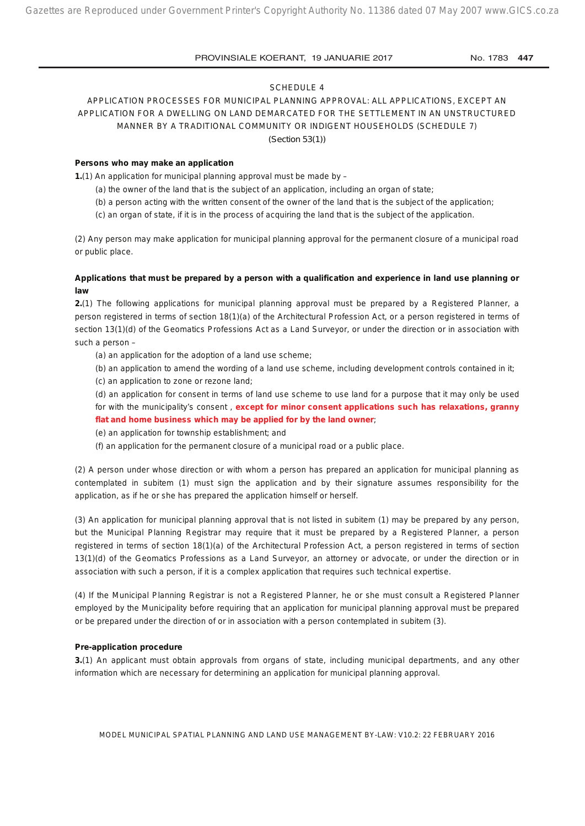#### SCHEDULE 4

## APPLICATION PROCESSES FOR MUNICIPAL PLANNING APPROVAL: ALL APPLICATIONS, EXCEPT AN APPLICATION FOR A DWELLING ON LAND DEMARCATED FOR THE SETTLEMENT IN AN UNSTRUCTURED MANNER BY A TRADITIONAL COMMUNITY OR INDIGENT HOUSEHOLDS (SCHEDULE 7) *(Section 53(1))*

#### **Persons who may make an application**

**1.**(1) An application for municipal planning approval must be made by –

- (a) the owner of the land that is the subject of an application, including an organ of state;
- (b) a person acting with the written consent of the owner of the land that is the subject of the application;
- (c) an organ of state, if it is in the process of acquiring the land that is the subject of the application.

(2) Any person may make application for municipal planning approval for the permanent closure of a municipal road or public place.

## **Applications that must be prepared by a person with a qualification and experience in land use planning or law**

**2.**(1) The following applications for municipal planning approval must be prepared by a Registered Planner, a person registered in terms of section 18(1)(a) of the Architectural Profession Act, or a person registered in terms of section 13(1)(d) of the Geomatics Professions Act as a Land Surveyor, or under the direction or in association with such a person –

- (a) an application for the adoption of a land use scheme;
- (b) an application to amend the wording of a land use scheme, including development controls contained in it;
- (c) an application to zone or rezone land;

(d) an application for consent in terms of land use scheme to use land for a purpose that it may only be used for with the municipality's consent , **except for minor consent applications such has relaxations, granny flat and home business which may be applied for by the land owner**;

- (e) an application for township establishment; and
- (f) an application for the permanent closure of a municipal road or a public place.

(2) A person under whose direction or with whom a person has prepared an application for municipal planning as contemplated in subitem (1) must sign the application and by their signature assumes responsibility for the application, as if he or she has prepared the application himself or herself.

(3) An application for municipal planning approval that is not listed in subitem (1) may be prepared by any person, but the Municipal Planning Registrar may require that it must be prepared by a Registered Planner, a person registered in terms of section 18(1)(a) of the Architectural Profession Act, a person registered in terms of section 13(1)(d) of the Geomatics Professions as a Land Surveyor, an attorney or advocate, or under the direction or in association with such a person, if it is a complex application that requires such technical expertise.

(4) If the Municipal Planning Registrar is not a Registered Planner, he or she must consult a Registered Planner employed by the Municipality before requiring that an application for municipal planning approval must be prepared or be prepared under the direction of or in association with a person contemplated in subitem (3).

#### **Pre-application procedure**

**3.**(1) An applicant must obtain approvals from organs of state, including municipal departments, and any other information which are necessary for determining an application for municipal planning approval.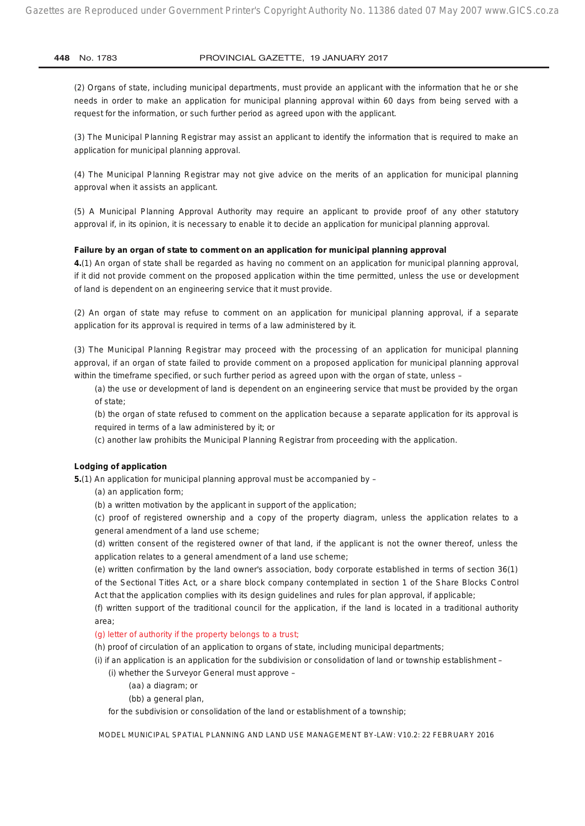(2) Organs of state, including municipal departments, must provide an applicant with the information that he or she needs in order to make an application for municipal planning approval within 60 days from being served with a request for the information, or such further period as agreed upon with the applicant.

(3) The Municipal Planning Registrar may assist an applicant to identify the information that is required to make an application for municipal planning approval.

(4) The Municipal Planning Registrar may not give advice on the merits of an application for municipal planning approval when it assists an applicant.

(5) A Municipal Planning Approval Authority may require an applicant to provide proof of any other statutory approval if, in its opinion, it is necessary to enable it to decide an application for municipal planning approval.

#### **Failure by an organ of state to comment on an application for municipal planning approval**

**4.**(1) An organ of state shall be regarded as having no comment on an application for municipal planning approval, if it did not provide comment on the proposed application within the time permitted, unless the use or development of land is dependent on an engineering service that it must provide.

(2) An organ of state may refuse to comment on an application for municipal planning approval, if a separate application for its approval is required in terms of a law administered by it.

(3) The Municipal Planning Registrar may proceed with the processing of an application for municipal planning approval, if an organ of state failed to provide comment on a proposed application for municipal planning approval within the timeframe specified, or such further period as agreed upon with the organ of state, unless –

(a) the use or development of land is dependent on an engineering service that must be provided by the organ of state;

(b) the organ of state refused to comment on the application because a separate application for its approval is required in terms of a law administered by it; or

(c) another law prohibits the Municipal Planning Registrar from proceeding with the application.

#### **Lodging of application**

**5.**(1) An application for municipal planning approval must be accompanied by –

(a) an application form;

(b) a written motivation by the applicant in support of the application;

(c) proof of registered ownership and a copy of the property diagram, unless the application relates to a general amendment of a land use scheme;

(d) written consent of the registered owner of that land, if the applicant is not the owner thereof, unless the application relates to a general amendment of a land use scheme;

(e) written confirmation by the land owner's association, body corporate established in terms of section 36(1) of the Sectional Titles Act, or a share block company contemplated in section 1 of the Share Blocks Control Act that the application complies with its design guidelines and rules for plan approval, if applicable;

(f) written support of the traditional council for the application, if the land is located in a traditional authority area;

#### (g) letter of authority if the property belongs to a trust;

(h) proof of circulation of an application to organs of state, including municipal departments;

- (i) if an application is an application for the subdivision or consolidation of land or township establishment
	- (i) whether the Surveyor General must approve
		- (aa) a diagram; or
		- (bb) a general plan,

for the subdivision or consolidation of the land or establishment of a township;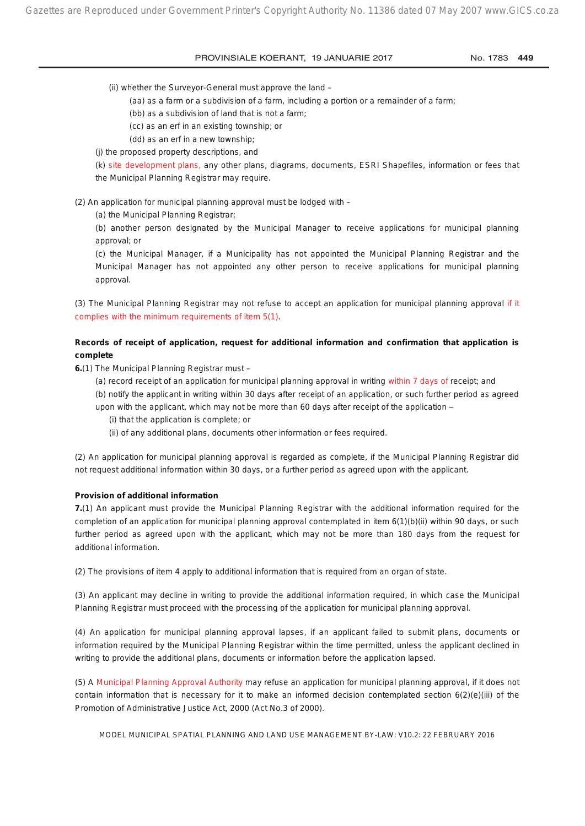(ii) whether the Surveyor-General must approve the land –

- (aa) as a farm or a subdivision of a farm, including a portion or a remainder of a farm;
- (bb) as a subdivision of land that is not a farm;
- (cc) as an erf in an existing township; or
- (dd) as an erf in a new township;
- (j) the proposed property descriptions, and

(k) site development plans, any other plans, diagrams, documents, ESRI Shapefiles, information or fees that the Municipal Planning Registrar may require.

(2) An application for municipal planning approval must be lodged with –

(a) the Municipal Planning Registrar;

(b) another person designated by the Municipal Manager to receive applications for municipal planning approval; or

(c) the Municipal Manager, if a Municipality has not appointed the Municipal Planning Registrar and the Municipal Manager has not appointed any other person to receive applications for municipal planning approval.

(3) The Municipal Planning Registrar may not refuse to accept an application for municipal planning approval if it complies with the minimum requirements of item 5(1).

## **Records of receipt of application, request for additional information and confirmation that application is complete**

- **6.**(1) The Municipal Planning Registrar must
	- (a) record receipt of an application for municipal planning approval in writing within 7 days of receipt; and
	- (b) notify the applicant in writing within 30 days after receipt of an application, or such further period as agreed upon with the applicant, which may not be more than 60 days after receipt of the application -
		- (i) that the application is complete; or
		- (ii) of any additional plans, documents other information or fees required.

(2) An application for municipal planning approval is regarded as complete, if the Municipal Planning Registrar did not request additional information within 30 days, or a further period as agreed upon with the applicant.

#### **Provision of additional information**

**7.**(1) An applicant must provide the Municipal Planning Registrar with the additional information required for the completion of an application for municipal planning approval contemplated in item 6(1)(b)(ii) within 90 days, or such further period as agreed upon with the applicant, which may not be more than 180 days from the request for additional information.

(2) The provisions of item 4 apply to additional information that is required from an organ of state.

(3) An applicant may decline in writing to provide the additional information required, in which case the Municipal Planning Registrar must proceed with the processing of the application for municipal planning approval.

(4) An application for municipal planning approval lapses, if an applicant failed to submit plans, documents or information required by the Municipal Planning Registrar within the time permitted, unless the applicant declined in writing to provide the additional plans, documents or information before the application lapsed.

(5) A Municipal Planning Approval Authority may refuse an application for municipal planning approval, if it does not contain information that is necessary for it to make an informed decision contemplated section 6(2)(e)(iii) of the Promotion of Administrative Justice Act, 2000 (Act No.3 of 2000).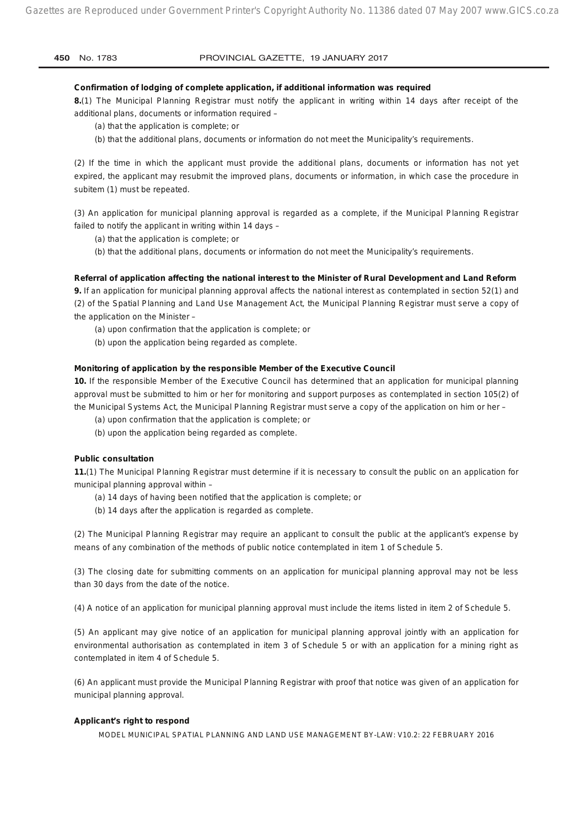#### **Confirmation of lodging of complete application, if additional information was required**

**8.**(1) The Municipal Planning Registrar must notify the applicant in writing within 14 days after receipt of the additional plans, documents or information required –

(a) that the application is complete; or

(b) that the additional plans, documents or information do not meet the Municipality's requirements.

(2) If the time in which the applicant must provide the additional plans, documents or information has not yet expired, the applicant may resubmit the improved plans, documents or information, in which case the procedure in subitem (1) must be repeated.

(3) An application for municipal planning approval is regarded as a complete, if the Municipal Planning Registrar failed to notify the applicant in writing within 14 days –

(a) that the application is complete; or

(b) that the additional plans, documents or information do not meet the Municipality's requirements.

#### **Referral of application affecting the national interest to the Minister of Rural Development and Land Reform**

**9.** If an application for municipal planning approval affects the national interest as contemplated in section 52(1) and (2) of the Spatial Planning and Land Use Management Act, the Municipal Planning Registrar must serve a copy of the application on the Minister –

- (a) upon confirmation that the application is complete; or
- (b) upon the application being regarded as complete.

#### **Monitoring of application by the responsible Member of the Executive Council**

**10.** If the responsible Member of the Executive Council has determined that an application for municipal planning approval must be submitted to him or her for monitoring and support purposes as contemplated in section 105(2) of the Municipal Systems Act, the Municipal Planning Registrar must serve a copy of the application on him or her –

- (a) upon confirmation that the application is complete; or
- (b) upon the application being regarded as complete.

#### **Public consultation**

**11.**(1) The Municipal Planning Registrar must determine if it is necessary to consult the public on an application for municipal planning approval within –

- (a) 14 days of having been notified that the application is complete; or
- (b) 14 days after the application is regarded as complete.

(2) The Municipal Planning Registrar may require an applicant to consult the public at the applicant's expense by means of any combination of the methods of public notice contemplated in item 1 of Schedule 5.

(3) The closing date for submitting comments on an application for municipal planning approval may not be less than 30 days from the date of the notice.

(4) A notice of an application for municipal planning approval must include the items listed in item 2 of Schedule 5.

(5) An applicant may give notice of an application for municipal planning approval jointly with an application for environmental authorisation as contemplated in item 3 of Schedule 5 or with an application for a mining right as contemplated in item 4 of Schedule 5.

(6) An applicant must provide the Municipal Planning Registrar with proof that notice was given of an application for municipal planning approval.

#### **Applicant's right to respond**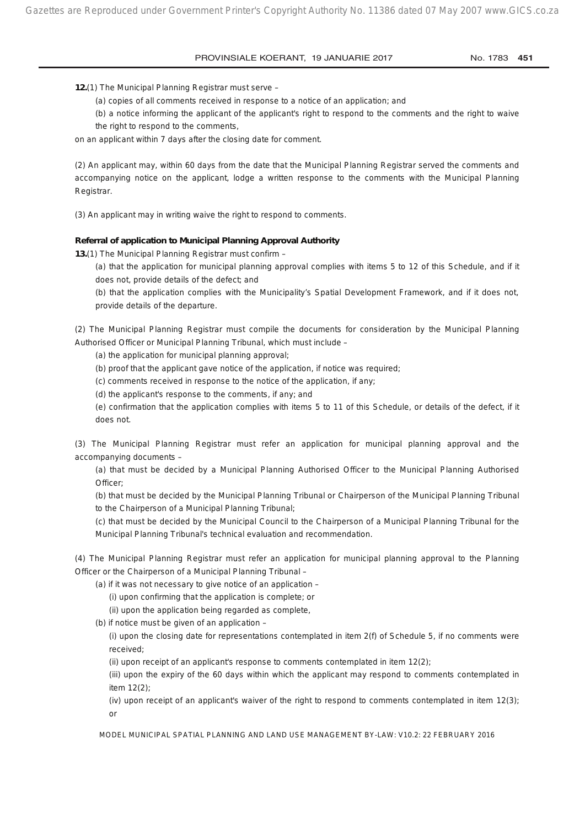**12.**(1) The Municipal Planning Registrar must serve –

(a) copies of all comments received in response to a notice of an application; and

(b) a notice informing the applicant of the applicant's right to respond to the comments and the right to waive the right to respond to the comments,

on an applicant within 7 days after the closing date for comment.

(2) An applicant may, within 60 days from the date that the Municipal Planning Registrar served the comments and accompanying notice on the applicant, lodge a written response to the comments with the Municipal Planning Registrar.

(3) An applicant may in writing waive the right to respond to comments.

### **Referral of application to Municipal Planning Approval Authority**

**13.**(1) The Municipal Planning Registrar must confirm –

(a) that the application for municipal planning approval complies with items 5 to 12 of this Schedule, and if it does not, provide details of the defect; and

(b) that the application complies with the Municipality's Spatial Development Framework, and if it does not, provide details of the departure.

(2) The Municipal Planning Registrar must compile the documents for consideration by the Municipal Planning Authorised Officer or Municipal Planning Tribunal, which must include –

(a) the application for municipal planning approval;

(b) proof that the applicant gave notice of the application, if notice was required;

(c) comments received in response to the notice of the application, if any;

(d) the applicant's response to the comments, if any; and

(e) confirmation that the application complies with items 5 to 11 of this Schedule, or details of the defect, if it does not.

(3) The Municipal Planning Registrar must refer an application for municipal planning approval and the accompanying documents –

(a) that must be decided by a Municipal Planning Authorised Officer to the Municipal Planning Authorised Officer:

(b) that must be decided by the Municipal Planning Tribunal or Chairperson of the Municipal Planning Tribunal to the Chairperson of a Municipal Planning Tribunal;

(c) that must be decided by the Municipal Council to the Chairperson of a Municipal Planning Tribunal for the Municipal Planning Tribunal's technical evaluation and recommendation.

(4) The Municipal Planning Registrar must refer an application for municipal planning approval to the Planning Officer or the Chairperson of a Municipal Planning Tribunal –

(a) if it was not necessary to give notice of an application –

(i) upon confirming that the application is complete; or

(ii) upon the application being regarded as complete,

(b) if notice must be given of an application –

(i) upon the closing date for representations contemplated in item 2(f) of Schedule 5, if no comments were received;

(ii) upon receipt of an applicant's response to comments contemplated in item 12(2);

(iii) upon the expiry of the 60 days within which the applicant may respond to comments contemplated in item 12(2);

(iv) upon receipt of an applicant's waiver of the right to respond to comments contemplated in item 12(3); or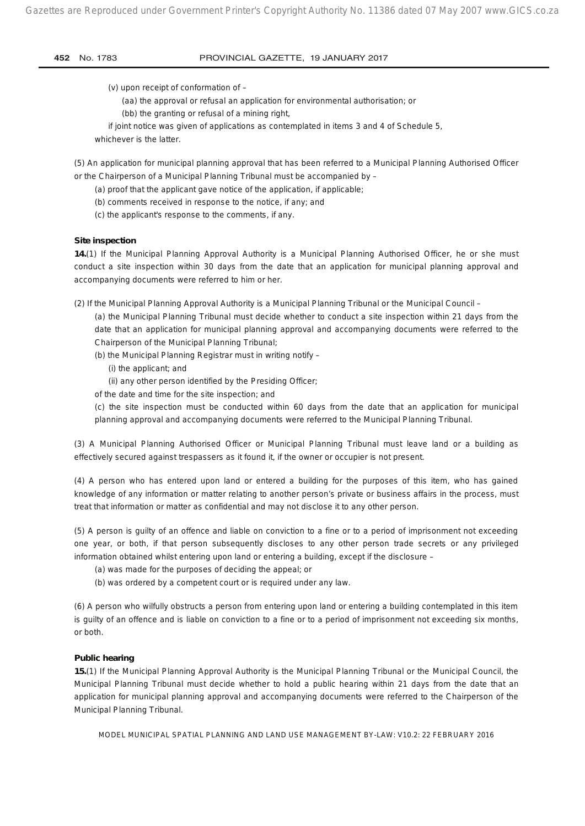(v) upon receipt of conformation of –

- (aa) the approval or refusal an application for environmental authorisation; or
- (bb) the granting or refusal of a mining right,

if joint notice was given of applications as contemplated in items 3 and 4 of Schedule 5,

whichever is the latter.

(5) An application for municipal planning approval that has been referred to a Municipal Planning Authorised Officer or the Chairperson of a Municipal Planning Tribunal must be accompanied by –

- (a) proof that the applicant gave notice of the application, if applicable;
- (b) comments received in response to the notice, if any; and
- (c) the applicant's response to the comments, if any.

## **Site inspection**

**14.**(1) If the Municipal Planning Approval Authority is a Municipal Planning Authorised Officer, he or she must conduct a site inspection within 30 days from the date that an application for municipal planning approval and accompanying documents were referred to him or her.

(2) If the Municipal Planning Approval Authority is a Municipal Planning Tribunal or the Municipal Council –

(a) the Municipal Planning Tribunal must decide whether to conduct a site inspection within 21 days from the date that an application for municipal planning approval and accompanying documents were referred to the Chairperson of the Municipal Planning Tribunal;

- (b) the Municipal Planning Registrar must in writing notify
	- (i) the applicant; and
	- (ii) any other person identified by the Presiding Officer;
- of the date and time for the site inspection; and

(c) the site inspection must be conducted within 60 days from the date that an application for municipal planning approval and accompanying documents were referred to the Municipal Planning Tribunal.

(3) A Municipal Planning Authorised Officer or Municipal Planning Tribunal must leave land or a building as effectively secured against trespassers as it found it, if the owner or occupier is not present.

(4) A person who has entered upon land or entered a building for the purposes of this item, who has gained knowledge of any information or matter relating to another person's private or business affairs in the process, must treat that information or matter as confidential and may not disclose it to any other person.

(5) A person is guilty of an offence and liable on conviction to a fine or to a period of imprisonment not exceeding one year, or both, if that person subsequently discloses to any other person trade secrets or any privileged information obtained whilst entering upon land or entering a building, except if the disclosure –

- (a) was made for the purposes of deciding the appeal; or
- (b) was ordered by a competent court or is required under any law.

(6) A person who wilfully obstructs a person from entering upon land or entering a building contemplated in this item is guilty of an offence and is liable on conviction to a fine or to a period of imprisonment not exceeding six months, or both.

## **Public hearing**

**15.**(1) If the Municipal Planning Approval Authority is the Municipal Planning Tribunal or the Municipal Council, the Municipal Planning Tribunal must decide whether to hold a public hearing within 21 days from the date that an application for municipal planning approval and accompanying documents were referred to the Chairperson of the Municipal Planning Tribunal.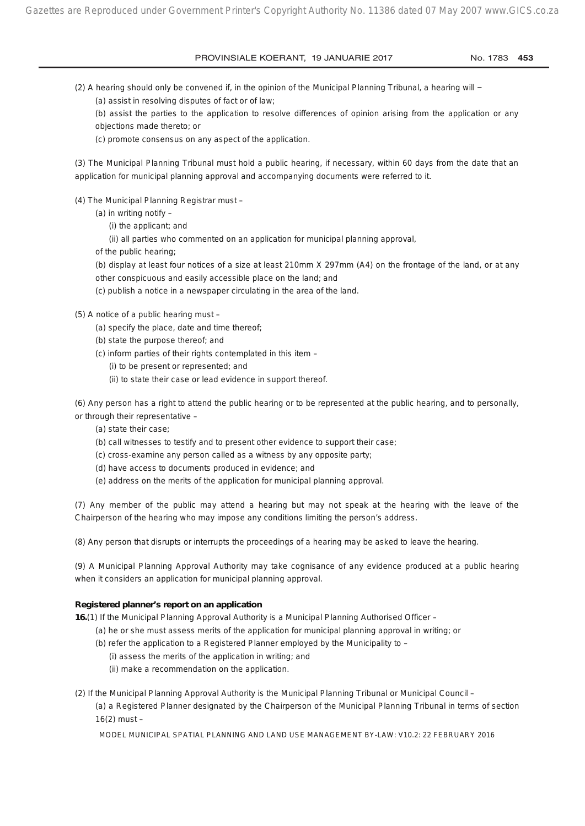(2) A hearing should only be convened if, in the opinion of the Municipal Planning Tribunal, a hearing will −

(a) assist in resolving disputes of fact or of law;

(b) assist the parties to the application to resolve differences of opinion arising from the application or any objections made thereto; or

(c) promote consensus on any aspect of the application.

(3) The Municipal Planning Tribunal must hold a public hearing, if necessary, within 60 days from the date that an application for municipal planning approval and accompanying documents were referred to it.

- (4) The Municipal Planning Registrar must
	- (a) in writing notify  $-$ 
		- (i) the applicant; and

(ii) all parties who commented on an application for municipal planning approval,

of the public hearing;

(b) display at least four notices of a size at least 210mm X 297mm (A4) on the frontage of the land, or at any other conspicuous and easily accessible place on the land; and

(c) publish a notice in a newspaper circulating in the area of the land.

(5) A notice of a public hearing must –

- (a) specify the place, date and time thereof;
- (b) state the purpose thereof; and
- (c) inform parties of their rights contemplated in this item
	- (i) to be present or represented; and
	- (ii) to state their case or lead evidence in support thereof.

(6) Any person has a right to attend the public hearing or to be represented at the public hearing, and to personally, or through their representative –

- (a) state their case;
- (b) call witnesses to testify and to present other evidence to support their case;
- (c) cross-examine any person called as a witness by any opposite party;
- (d) have access to documents produced in evidence; and
- (e) address on the merits of the application for municipal planning approval.

(7) Any member of the public may attend a hearing but may not speak at the hearing with the leave of the Chairperson of the hearing who may impose any conditions limiting the person's address.

(8) Any person that disrupts or interrupts the proceedings of a hearing may be asked to leave the hearing.

(9) A Municipal Planning Approval Authority may take cognisance of any evidence produced at a public hearing when it considers an application for municipal planning approval.

## **Registered planner's report on an application**

**16.**(1) If the Municipal Planning Approval Authority is a Municipal Planning Authorised Officer –

- (a) he or she must assess merits of the application for municipal planning approval in writing; or
- (b) refer the application to a Registered Planner employed by the Municipality to
	- (i) assess the merits of the application in writing; and
	- (ii) make a recommendation on the application.
- (2) If the Municipal Planning Approval Authority is the Municipal Planning Tribunal or Municipal Council (a) a Registered Planner designated by the Chairperson of the Municipal Planning Tribunal in terms of section 16(2) must –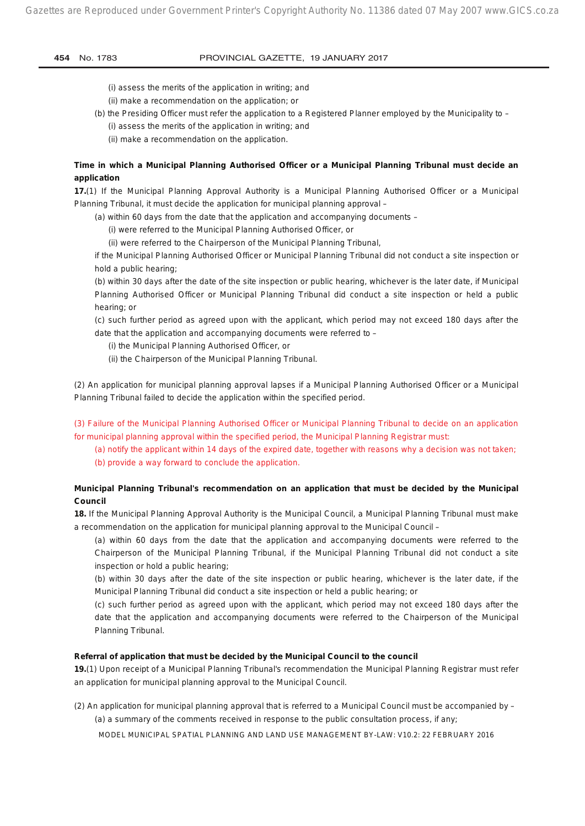- (i) assess the merits of the application in writing; and
- (ii) make a recommendation on the application; or
- (b) the Presiding Officer must refer the application to a Registered Planner employed by the Municipality to (i) assess the merits of the application in writing; and
	- (ii) make a recommendation on the application.

## **Time in which a Municipal Planning Authorised Officer or a Municipal Planning Tribunal must decide an application**

**17.**(1) If the Municipal Planning Approval Authority is a Municipal Planning Authorised Officer or a Municipal Planning Tribunal, it must decide the application for municipal planning approval –

- (a) within 60 days from the date that the application and accompanying documents
	- (i) were referred to the Municipal Planning Authorised Officer, or
	- (ii) were referred to the Chairperson of the Municipal Planning Tribunal,

if the Municipal Planning Authorised Officer or Municipal Planning Tribunal did not conduct a site inspection or hold a public hearing;

(b) within 30 days after the date of the site inspection or public hearing, whichever is the later date, if Municipal Planning Authorised Officer or Municipal Planning Tribunal did conduct a site inspection or held a public hearing; or

(c) such further period as agreed upon with the applicant, which period may not exceed 180 days after the date that the application and accompanying documents were referred to –

(i) the Municipal Planning Authorised Officer, or

(ii) the Chairperson of the Municipal Planning Tribunal.

(2) An application for municipal planning approval lapses if a Municipal Planning Authorised Officer or a Municipal Planning Tribunal failed to decide the application within the specified period.

(3) Failure of the Municipal Planning Authorised Officer or Municipal Planning Tribunal to decide on an application for municipal planning approval within the specified period, the Municipal Planning Registrar must:

(a) notify the applicant within 14 days of the expired date, together with reasons why a decision was not taken; (b) provide a way forward to conclude the application.

## **Municipal Planning Tribunal's recommendation on an application that must be decided by the Municipal Council**

**18.** If the Municipal Planning Approval Authority is the Municipal Council, a Municipal Planning Tribunal must make a recommendation on the application for municipal planning approval to the Municipal Council –

(a) within 60 days from the date that the application and accompanying documents were referred to the Chairperson of the Municipal Planning Tribunal, if the Municipal Planning Tribunal did not conduct a site inspection or hold a public hearing;

(b) within 30 days after the date of the site inspection or public hearing, whichever is the later date, if the Municipal Planning Tribunal did conduct a site inspection or held a public hearing; or

(c) such further period as agreed upon with the applicant, which period may not exceed 180 days after the date that the application and accompanying documents were referred to the Chairperson of the Municipal Planning Tribunal.

#### **Referral of application that must be decided by the Municipal Council to the council**

**19.**(1) Upon receipt of a Municipal Planning Tribunal's recommendation the Municipal Planning Registrar must refer an application for municipal planning approval to the Municipal Council.

(2) An application for municipal planning approval that is referred to a Municipal Council must be accompanied by – (a) a summary of the comments received in response to the public consultation process, if any;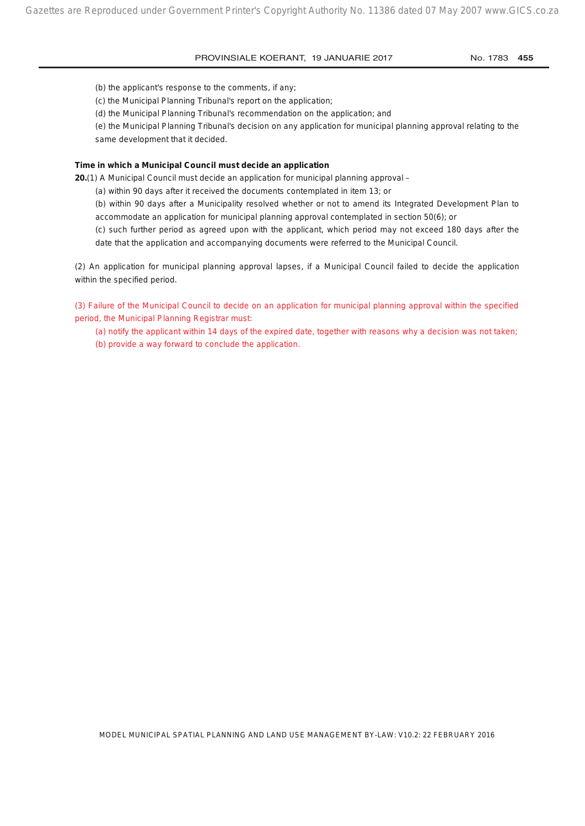(b) the applicant's response to the comments, if any;

(c) the Municipal Planning Tribunal's report on the application;

(d) the Municipal Planning Tribunal's recommendation on the application; and

(e) the Municipal Planning Tribunal's decision on any application for municipal planning approval relating to the same development that it decided.

#### **Time in which a Municipal Council must decide an application**

**20.**(1) A Municipal Council must decide an application for municipal planning approval –

(a) within 90 days after it received the documents contemplated in item 13; or

(b) within 90 days after a Municipality resolved whether or not to amend its Integrated Development Plan to accommodate an application for municipal planning approval contemplated in section 50(6); or

(c) such further period as agreed upon with the applicant, which period may not exceed 180 days after the date that the application and accompanying documents were referred to the Municipal Council.

(2) An application for municipal planning approval lapses, if a Municipal Council failed to decide the application within the specified period.

(3) Failure of the Municipal Council to decide on an application for municipal planning approval within the specified period, the Municipal Planning Registrar must:

(a) notify the applicant within 14 days of the expired date, together with reasons why a decision was not taken; (b) provide a way forward to conclude the application.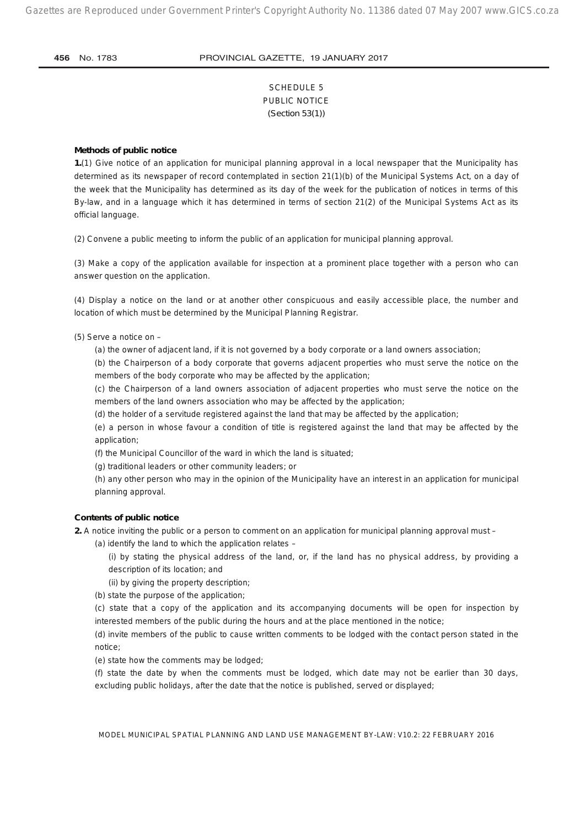## SCHEDULE 5 PUBLIC NOTICE *(Section 53(1))*

#### **Methods of public notice**

**1.**(1) Give notice of an application for municipal planning approval in a local newspaper that the Municipality has determined as its newspaper of record contemplated in section 21(1)(b) of the Municipal Systems Act, on a day of the week that the Municipality has determined as its day of the week for the publication of notices in terms of this By-law, and in a language which it has determined in terms of section 21(2) of the Municipal Systems Act as its official language.

(2) Convene a public meeting to inform the public of an application for municipal planning approval.

(3) Make a copy of the application available for inspection at a prominent place together with a person who can answer question on the application.

(4) Display a notice on the land or at another other conspicuous and easily accessible place, the number and location of which must be determined by the Municipal Planning Registrar.

(5) Serve a notice on –

(a) the owner of adjacent land, if it is not governed by a body corporate or a land owners association;

(b) the Chairperson of a body corporate that governs adjacent properties who must serve the notice on the members of the body corporate who may be affected by the application;

(c) the Chairperson of a land owners association of adjacent properties who must serve the notice on the members of the land owners association who may be affected by the application;

(d) the holder of a servitude registered against the land that may be affected by the application;

(e) a person in whose favour a condition of title is registered against the land that may be affected by the application;

(f) the Municipal Councillor of the ward in which the land is situated;

(g) traditional leaders or other community leaders; or

(h) any other person who may in the opinion of the Municipality have an interest in an application for municipal planning approval.

#### **Contents of public notice**

**2.** A notice inviting the public or a person to comment on an application for municipal planning approval must –

(a) identify the land to which the application relates –

(i) by stating the physical address of the land, or, if the land has no physical address, by providing a description of its location; and

(ii) by giving the property description;

(b) state the purpose of the application;

(c) state that a copy of the application and its accompanying documents will be open for inspection by interested members of the public during the hours and at the place mentioned in the notice;

(d) invite members of the public to cause written comments to be lodged with the contact person stated in the notice;

(e) state how the comments may be lodged;

(f) state the date by when the comments must be lodged, which date may not be earlier than 30 days, excluding public holidays, after the date that the notice is published, served or displayed;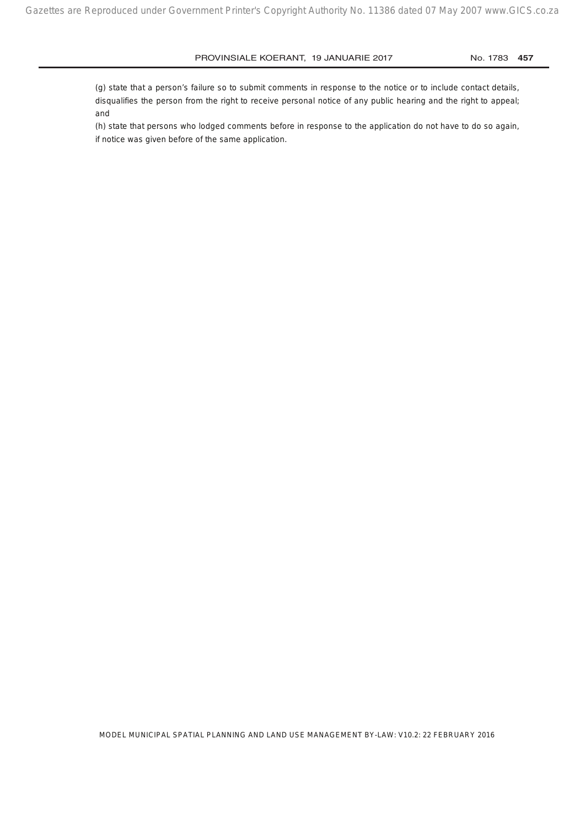(g) state that a person's failure so to submit comments in response to the notice or to include contact details, disqualifies the person from the right to receive personal notice of any public hearing and the right to appeal; and

(h) state that persons who lodged comments before in response to the application do not have to do so again, if notice was given before of the same application.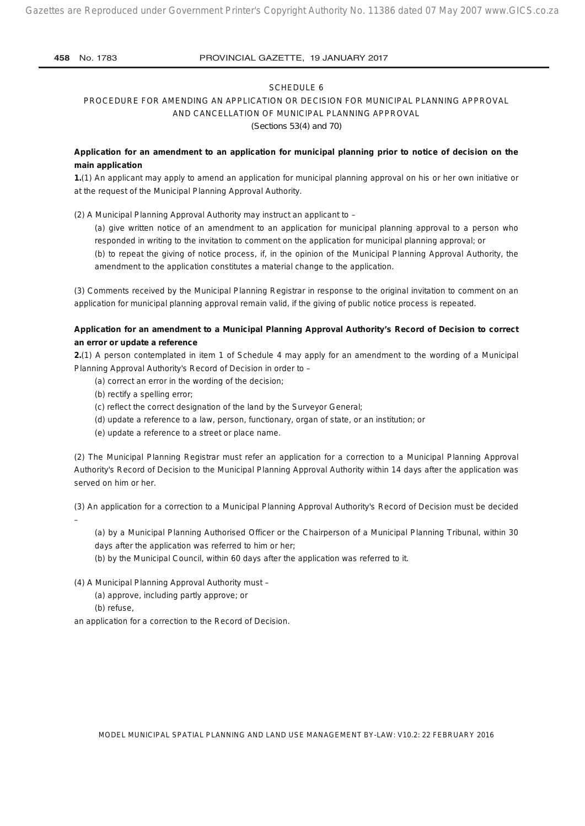#### SCHEDULE 6

# PROCEDURE FOR AMENDING AN APPLICATION OR DECISION FOR MUNICIPAL PLANNING APPROVAL AND CANCELLATION OF MUNICIPAL PLANNING APPROVAL

*(Sections 53(4) and 70)* 

## **Application for an amendment to an application for municipal planning prior to notice of decision on the main application**

**1.**(1) An applicant may apply to amend an application for municipal planning approval on his or her own initiative or at the request of the Municipal Planning Approval Authority.

(2) A Municipal Planning Approval Authority may instruct an applicant to –

(a) give written notice of an amendment to an application for municipal planning approval to a person who responded in writing to the invitation to comment on the application for municipal planning approval; or

(b) to repeat the giving of notice process, if, in the opinion of the Municipal Planning Approval Authority, the amendment to the application constitutes a material change to the application.

(3) Comments received by the Municipal Planning Registrar in response to the original invitation to comment on an application for municipal planning approval remain valid, if the giving of public notice process is repeated.

## **Application for an amendment to a Municipal Planning Approval Authority's Record of Decision to correct an error or update a reference**

**2.**(1) A person contemplated in item 1 of Schedule 4 may apply for an amendment to the wording of a Municipal Planning Approval Authority's Record of Decision in order to –

- (a) correct an error in the wording of the decision;
- (b) rectify a spelling error;
- (c) reflect the correct designation of the land by the Surveyor General;
- (d) update a reference to a law, person, functionary, organ of state, or an institution; or
- (e) update a reference to a street or place name.

(2) The Municipal Planning Registrar must refer an application for a correction to a Municipal Planning Approval Authority's Record of Decision to the Municipal Planning Approval Authority within 14 days after the application was served on him or her.

(3) An application for a correction to a Municipal Planning Approval Authority's Record of Decision must be decided –

(a) by a Municipal Planning Authorised Officer or the Chairperson of a Municipal Planning Tribunal, within 30 days after the application was referred to him or her;

(b) by the Municipal Council, within 60 days after the application was referred to it.

(4) A Municipal Planning Approval Authority must –

- (a) approve, including partly approve; or
- (b) refuse,

an application for a correction to the Record of Decision.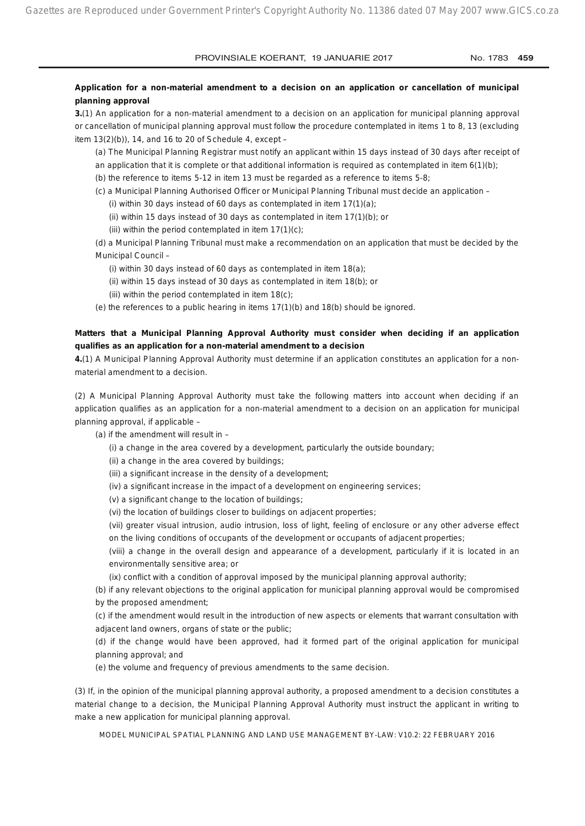## **Application for a non-material amendment to a decision on an application or cancellation of municipal planning approval**

**3.**(1) An application for a non-material amendment to a decision on an application for municipal planning approval or cancellation of municipal planning approval must follow the procedure contemplated in items 1 to 8, 13 (excluding item  $13(2)(b)$ , 14, and 16 to 20 of Schedule 4, except –

(a) The Municipal Planning Registrar must notify an applicant within 15 days instead of 30 days after receipt of an application that it is complete or that additional information is required as contemplated in item 6(1)(b);

(b) the reference to items 5-12 in item 13 must be regarded as a reference to items 5-8;

- (c) a Municipal Planning Authorised Officer or Municipal Planning Tribunal must decide an application
	- (i) within 30 days instead of 60 days as contemplated in item  $17(1)(a)$ ;
	- (ii) within 15 days instead of 30 days as contemplated in item 17(1)(b); or
	- (iii) within the period contemplated in item  $17(1)(c)$ ;

(d) a Municipal Planning Tribunal must make a recommendation on an application that must be decided by the Municipal Council –

- (i) within 30 days instead of 60 days as contemplated in item 18(a);
- (ii) within 15 days instead of 30 days as contemplated in item 18(b); or
- (iii) within the period contemplated in item 18(c);
- (e) the references to a public hearing in items  $17(1)(b)$  and  $18(b)$  should be ignored.

## **Matters that a Municipal Planning Approval Authority must consider when deciding if an application qualifies as an application for a non-material amendment to a decision**

**4.**(1) A Municipal Planning Approval Authority must determine if an application constitutes an application for a nonmaterial amendment to a decision.

(2) A Municipal Planning Approval Authority must take the following matters into account when deciding if an application qualifies as an application for a non-material amendment to a decision on an application for municipal planning approval, if applicable –

- (a) if the amendment will result in  $-$ 
	- (i) a change in the area covered by a development, particularly the outside boundary;
	- (ii) a change in the area covered by buildings;
	- (iii) a significant increase in the density of a development;
	- (iv) a significant increase in the impact of a development on engineering services;
	- (v) a significant change to the location of buildings;
	- (vi) the location of buildings closer to buildings on adjacent properties;

(vii) greater visual intrusion, audio intrusion, loss of light, feeling of enclosure or any other adverse effect on the living conditions of occupants of the development or occupants of adjacent properties;

(viii) a change in the overall design and appearance of a development, particularly if it is located in an environmentally sensitive area; or

(ix) conflict with a condition of approval imposed by the municipal planning approval authority;

(b) if any relevant objections to the original application for municipal planning approval would be compromised by the proposed amendment;

(c) if the amendment would result in the introduction of new aspects or elements that warrant consultation with adjacent land owners, organs of state or the public;

(d) if the change would have been approved, had it formed part of the original application for municipal planning approval; and

(e) the volume and frequency of previous amendments to the same decision.

(3) If, in the opinion of the municipal planning approval authority, a proposed amendment to a decision constitutes a material change to a decision, the Municipal Planning Approval Authority must instruct the applicant in writing to make a new application for municipal planning approval.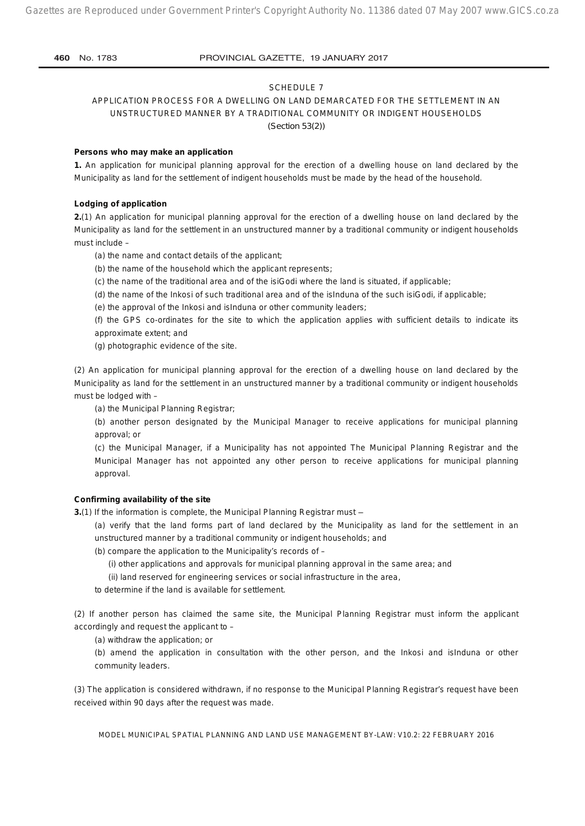#### SCHEDULE 7

APPLICATION PROCESS FOR A DWELLING ON LAND DEMARCATED FOR THE SETTLEMENT IN AN UNSTRUCTURED MANNER BY A TRADITIONAL COMMUNITY OR INDIGENT HOUSEHOLDS *(Section 53(2))*

#### **Persons who may make an application**

**1.** An application for municipal planning approval for the erection of a dwelling house on land declared by the Municipality as land for the settlement of indigent households must be made by the head of the household.

#### **Lodging of application**

**2.**(1) An application for municipal planning approval for the erection of a dwelling house on land declared by the Municipality as land for the settlement in an unstructured manner by a traditional community or indigent households must include –

(a) the name and contact details of the applicant;

(b) the name of the household which the applicant represents;

(c) the name of the traditional area and of the isiGodi where the land is situated, if applicable;

(d) the name of the Inkosi of such traditional area and of the isInduna of the such isiGodi, if applicable;

(e) the approval of the Inkosi and isInduna or other community leaders;

(f) the GPS co-ordinates for the site to which the application applies with sufficient details to indicate its approximate extent; and

(g) photographic evidence of the site.

(2) An application for municipal planning approval for the erection of a dwelling house on land declared by the Municipality as land for the settlement in an unstructured manner by a traditional community or indigent households must be lodged with –

(a) the Municipal Planning Registrar;

(b) another person designated by the Municipal Manager to receive applications for municipal planning approval; or

(c) the Municipal Manager, if a Municipality has not appointed The Municipal Planning Registrar and the Municipal Manager has not appointed any other person to receive applications for municipal planning approval.

## **Confirming availability of the site**

**3.**(1) If the information is complete, the Municipal Planning Registrar must –

(a) verify that the land forms part of land declared by the Municipality as land for the settlement in an unstructured manner by a traditional community or indigent households; and

(b) compare the application to the Municipality's records of –

(i) other applications and approvals for municipal planning approval in the same area; and

(ii) land reserved for engineering services or social infrastructure in the area,

to determine if the land is available for settlement.

(2) If another person has claimed the same site, the Municipal Planning Registrar must inform the applicant accordingly and request the applicant to –

(a) withdraw the application; or

(b) amend the application in consultation with the other person, and the Inkosi and isInduna or other community leaders.

(3) The application is considered withdrawn, if no response to the Municipal Planning Registrar's request have been received within 90 days after the request was made.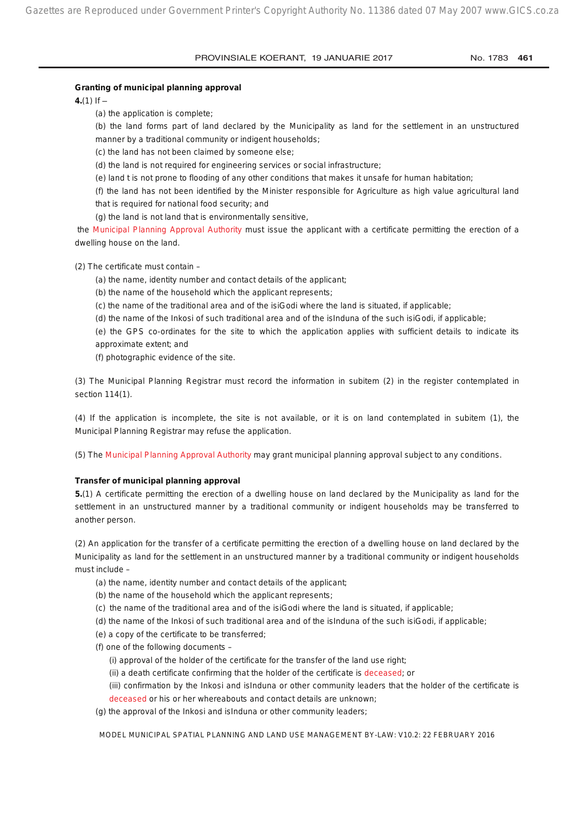## **Granting of municipal planning approval**

**4.**(1) If  $-$ 

(a) the application is complete;

(b) the land forms part of land declared by the Municipality as land for the settlement in an unstructured manner by a traditional community or indigent households;

(c) the land has not been claimed by someone else;

(d) the land is not required for engineering services or social infrastructure;

(e) land t is not prone to flooding of any other conditions that makes it unsafe for human habitation;

(f) the land has not been identified by the Minister responsible for Agriculture as high value agricultural land that is required for national food security; and

(g) the land is not land that is environmentally sensitive,

the Municipal Planning Approval Authority must issue the applicant with a certificate permitting the erection of a dwelling house on the land.

(2) The certificate must contain –

(a) the name, identity number and contact details of the applicant;

(b) the name of the household which the applicant represents;

(c) the name of the traditional area and of the isiGodi where the land is situated, if applicable;

(d) the name of the Inkosi of such traditional area and of the isInduna of the such isiGodi, if applicable;

(e) the GPS co-ordinates for the site to which the application applies with sufficient details to indicate its approximate extent; and

(f) photographic evidence of the site.

(3) The Municipal Planning Registrar must record the information in subitem (2) in the register contemplated in section 114(1).

(4) If the application is incomplete, the site is not available, or it is on land contemplated in subitem (1), the Municipal Planning Registrar may refuse the application.

(5) The Municipal Planning Approval Authority may grant municipal planning approval subject to any conditions.

#### **Transfer of municipal planning approval**

**5.**(1) A certificate permitting the erection of a dwelling house on land declared by the Municipality as land for the settlement in an unstructured manner by a traditional community or indigent households may be transferred to another person.

(2) An application for the transfer of a certificate permitting the erection of a dwelling house on land declared by the Municipality as land for the settlement in an unstructured manner by a traditional community or indigent households must include –

(a) the name, identity number and contact details of the applicant;

- (b) the name of the household which the applicant represents;
- (c) the name of the traditional area and of the isiGodi where the land is situated, if applicable;
- (d) the name of the Inkosi of such traditional area and of the isInduna of the such isiGodi, if applicable;
- (e) a copy of the certificate to be transferred;
- (f) one of the following documents
	- (i) approval of the holder of the certificate for the transfer of the land use right;
	- (ii) a death certificate confirming that the holder of the certificate is deceased; or

(iii) confirmation by the Inkosi and isInduna or other community leaders that the holder of the certificate is

deceased or his or her whereabouts and contact details are unknown; (g) the approval of the Inkosi and isInduna or other community leaders;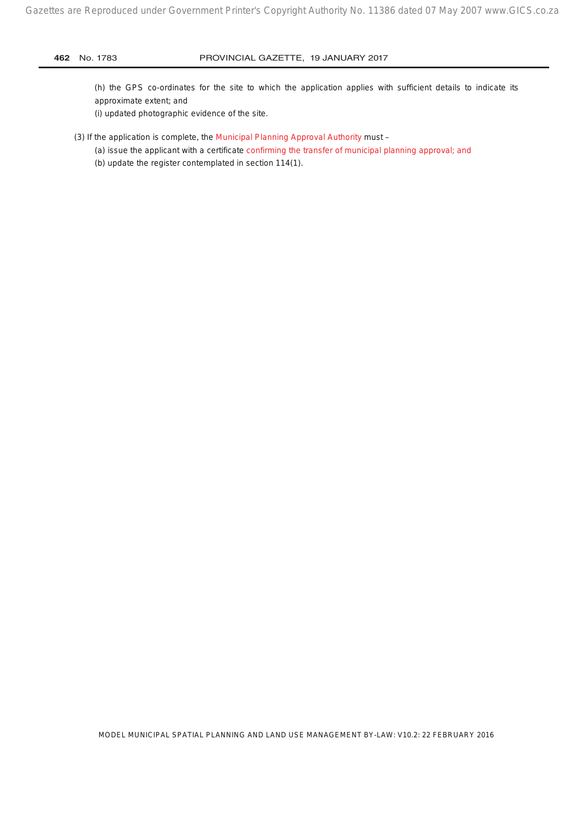(h) the GPS co-ordinates for the site to which the application applies with sufficient details to indicate its approximate extent; and

(i) updated photographic evidence of the site.

#### (3) If the application is complete, the Municipal Planning Approval Authority must –

- (a) issue the applicant with a certificate confirming the transfer of municipal planning approval; and
- (b) update the register contemplated in section 114(1).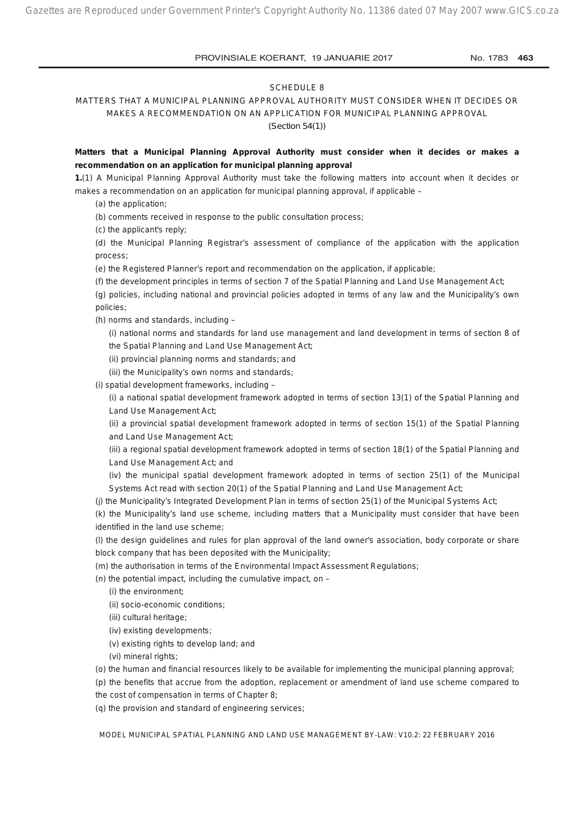#### SCHEDULE 8

MATTERS THAT A MUNICIPAL PLANNING APPROVAL AUTHORITY MUST CONSIDER WHEN IT DECIDES OR MAKES A RECOMMENDATION ON AN APPLICATION FOR MUNICIPAL PLANNING APPROVAL

*(Section 54(1))*

**Matters that a Municipal Planning Approval Authority must consider when it decides or makes a recommendation on an application for municipal planning approval**

**1.**(1) A Municipal Planning Approval Authority must take the following matters into account when it decides or makes a recommendation on an application for municipal planning approval, if applicable –

(a) the application;

(b) comments received in response to the public consultation process;

(c) the applicant's reply;

(d) the Municipal Planning Registrar's assessment of compliance of the application with the application process;

(e) the Registered Planner's report and recommendation on the application, if applicable;

(f) the development principles in terms of section 7 of the Spatial Planning and Land Use Management Act;

(g) policies, including national and provincial policies adopted in terms of any law and the Municipality's own policies;

(h) norms and standards, including –

(i) national norms and standards for land use management and land development in terms of section 8 of the Spatial Planning and Land Use Management Act;

(ii) provincial planning norms and standards; and

(iii) the Municipality's own norms and standards;

(i) spatial development frameworks, including –

(i) a national spatial development framework adopted in terms of section 13(1) of the Spatial Planning and Land Use Management Act;

(ii) a provincial spatial development framework adopted in terms of section 15(1) of the Spatial Planning and Land Use Management Act;

(iii) a regional spatial development framework adopted in terms of section 18(1) of the Spatial Planning and Land Use Management Act; and

(iv) the municipal spatial development framework adopted in terms of section 25(1) of the Municipal Systems Act read with section 20(1) of the Spatial Planning and Land Use Management Act;

(j) the Municipality's Integrated Development Plan in terms of section 25(1) of the Municipal Systems Act;

(k) the Municipality's land use scheme, including matters that a Municipality must consider that have been identified in the land use scheme;

(l) the design guidelines and rules for plan approval of the land owner's association, body corporate or share block company that has been deposited with the Municipality;

(m) the authorisation in terms of the Environmental Impact Assessment Regulations;

(n) the potential impact, including the cumulative impact, on  $-$ 

(i) the environment;

(ii) socio-economic conditions;

- (iii) cultural heritage;
- (iv) existing developments;
- (v) existing rights to develop land; and
- (vi) mineral rights;

(o) the human and financial resources likely to be available for implementing the municipal planning approval;

(p) the benefits that accrue from the adoption, replacement or amendment of land use scheme compared to the cost of compensation in terms of Chapter 8;

(q) the provision and standard of engineering services;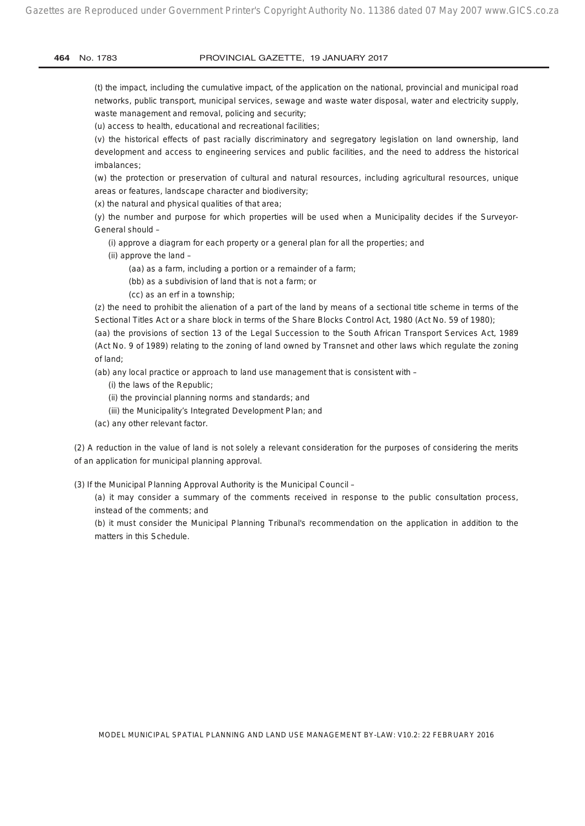Gazettes are Reproduced under Government Printer's Copyright Authority No. 11386 dated 07 May 2007 www.GICS.co.za

#### **464** No. 1783 PROVINCIAL GAZETTE, 19 JANUARY 2017

(t) the impact, including the cumulative impact, of the application on the national, provincial and municipal road networks, public transport, municipal services, sewage and waste water disposal, water and electricity supply, waste management and removal, policing and security;

(u) access to health, educational and recreational facilities;

(v) the historical effects of past racially discriminatory and segregatory legislation on land ownership, land development and access to engineering services and public facilities, and the need to address the historical imbalances;

(w) the protection or preservation of cultural and natural resources, including agricultural resources, unique areas or features, landscape character and biodiversity;

(x) the natural and physical qualities of that area;

(y) the number and purpose for which properties will be used when a Municipality decides if the Surveyor-General should –

(i) approve a diagram for each property or a general plan for all the properties; and

- (ii) approve the land
	- (aa) as a farm, including a portion or a remainder of a farm;
	- (bb) as a subdivision of land that is not a farm; or
	- (cc) as an erf in a township;

(z) the need to prohibit the alienation of a part of the land by means of a sectional title scheme in terms of the Sectional Titles Act or a share block in terms of the Share Blocks Control Act, 1980 (Act No. 59 of 1980);

(aa) the provisions of section 13 of the Legal Succession to the South African Transport Services Act, 1989 (Act No. 9 of 1989) relating to the zoning of land owned by Transnet and other laws which regulate the zoning of land;

(ab) any local practice or approach to land use management that is consistent with –

(i) the laws of the Republic;

- (ii) the provincial planning norms and standards; and
- (iii) the Municipality's Integrated Development Plan; and
- (ac) any other relevant factor.

(2) A reduction in the value of land is not solely a relevant consideration for the purposes of considering the merits of an application for municipal planning approval.

(3) If the Municipal Planning Approval Authority is the Municipal Council –

(a) it may consider a summary of the comments received in response to the public consultation process, instead of the comments; and

(b) it must consider the Municipal Planning Tribunal's recommendation on the application in addition to the matters in this Schedule.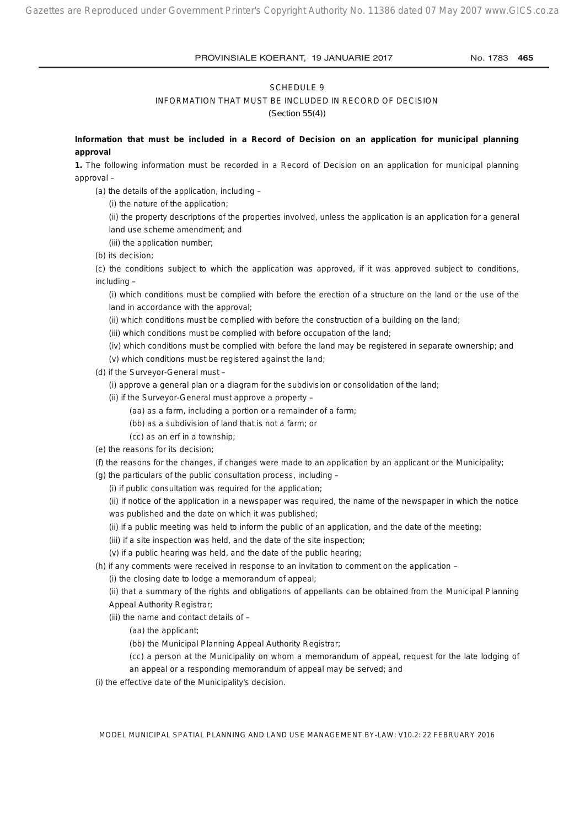#### SCHEDULE 9

INFORMATION THAT MUST BE INCLUDED IN RECORD OF DECISION

*(Section 55(4))*

**Information that must be included in a Record of Decision on an application for municipal planning approval**

**1.** The following information must be recorded in a Record of Decision on an application for municipal planning approval –

(a) the details of the application, including –

(i) the nature of the application;

(ii) the property descriptions of the properties involved, unless the application is an application for a general land use scheme amendment; and

(iii) the application number;

(b) its decision;

(c) the conditions subject to which the application was approved, if it was approved subject to conditions, including –

(i) which conditions must be complied with before the erection of a structure on the land or the use of the land in accordance with the approval;

(ii) which conditions must be complied with before the construction of a building on the land;

(iii) which conditions must be complied with before occupation of the land;

(iv) which conditions must be complied with before the land may be registered in separate ownership; and

(v) which conditions must be registered against the land;

(d) if the Surveyor-General must –

(i) approve a general plan or a diagram for the subdivision or consolidation of the land;

- (ii) if the Surveyor-General must approve a property
	- (aa) as a farm, including a portion or a remainder of a farm;

(bb) as a subdivision of land that is not a farm; or

(cc) as an erf in a township;

(e) the reasons for its decision;

(f) the reasons for the changes, if changes were made to an application by an applicant or the Municipality;

(g) the particulars of the public consultation process, including –

(i) if public consultation was required for the application;

(ii) if notice of the application in a newspaper was required, the name of the newspaper in which the notice was published and the date on which it was published;

(ii) if a public meeting was held to inform the public of an application, and the date of the meeting;

(iii) if a site inspection was held, and the date of the site inspection;

(v) if a public hearing was held, and the date of the public hearing;

(h) if any comments were received in response to an invitation to comment on the application –

(i) the closing date to lodge a memorandum of appeal;

(ii) that a summary of the rights and obligations of appellants can be obtained from the Municipal Planning Appeal Authority Registrar;

(iii) the name and contact details of –

(aa) the applicant;

(bb) the Municipal Planning Appeal Authority Registrar;

(cc) a person at the Municipality on whom a memorandum of appeal, request for the late lodging of

an appeal or a responding memorandum of appeal may be served; and

(i) the effective date of the Municipality's decision.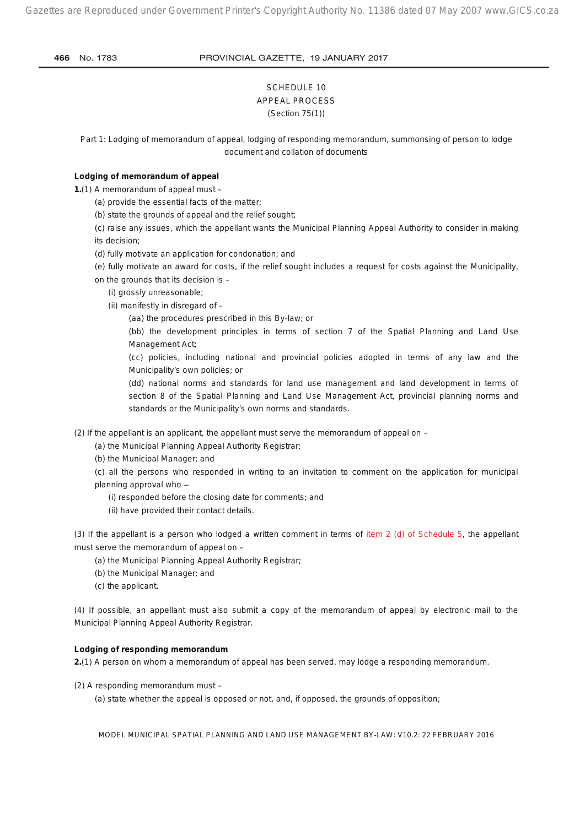## SCHEDULE 10 APPEAL PROCESS *(Section 75(1))*

*Part 1: Lodging of memorandum of appeal, lodging of responding memorandum, summonsing of person to lodge document and collation of documents*

## **Lodging of memorandum of appeal**

**1.**(1) A memorandum of appeal must –

(a) provide the essential facts of the matter;

(b) state the grounds of appeal and the relief sought;

(c) raise any issues, which the appellant wants the Municipal Planning Appeal Authority to consider in making its decision;

(d) fully motivate an application for condonation; and

(e) fully motivate an award for costs, if the relief sought includes a request for costs against the Municipality, on the grounds that its decision is –

- (i) grossly unreasonable;
- (ii) manifestly in disregard of
	- (aa) the procedures prescribed in this By-law; or

(bb) the development principles in terms of section 7 of the Spatial Planning and Land Use Management Act;

(cc) policies, including national and provincial policies adopted in terms of any law and the Municipality's own policies; or

(dd) national norms and standards for land use management and land development in terms of section 8 of the Spatial Planning and Land Use Management Act, provincial planning norms and standards or the Municipality's own norms and standards.

(2) If the appellant is an applicant, the appellant must serve the memorandum of appeal on –

(a) the Municipal Planning Appeal Authority Registrar;

(b) the Municipal Manager; and

(c) all the persons who responded in writing to an invitation to comment on the application for municipal planning approval who -

- (i) responded before the closing date for comments; and
- (ii) have provided their contact details.

(3) If the appellant is a person who lodged a written comment in terms of item 2 (d) of Schedule 5, the appellant must serve the memorandum of appeal on –

- (a) the Municipal Planning Appeal Authority Registrar;
- (b) the Municipal Manager; and
- (c) the applicant.

(4) If possible, an appellant must also submit a copy of the memorandum of appeal by electronic mail to the Municipal Planning Appeal Authority Registrar.

## **Lodging of responding memorandum**

**2.**(1) A person on whom a memorandum of appeal has been served, may lodge a responding memorandum.

(2) A responding memorandum must –

(a) state whether the appeal is opposed or not, and, if opposed, the grounds of opposition;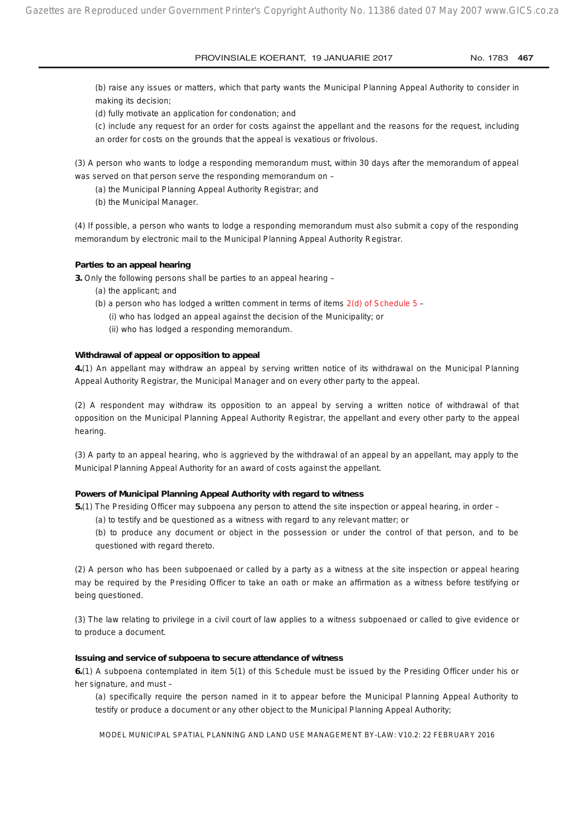(b) raise any issues or matters, which that party wants the Municipal Planning Appeal Authority to consider in making its decision;

(d) fully motivate an application for condonation; and

(c) include any request for an order for costs against the appellant and the reasons for the request, including an order for costs on the grounds that the appeal is vexatious or frivolous.

(3) A person who wants to lodge a responding memorandum must, within 30 days after the memorandum of appeal was served on that person serve the responding memorandum on –

(a) the Municipal Planning Appeal Authority Registrar; and

(b) the Municipal Manager.

(4) If possible, a person who wants to lodge a responding memorandum must also submit a copy of the responding memorandum by electronic mail to the Municipal Planning Appeal Authority Registrar.

#### **Parties to an appeal hearing**

**3.** Only the following persons shall be parties to an appeal hearing –

- (a) the applicant; and
- (b) a person who has lodged a written comment in terms of items  $2(d)$  of Schedule 5
	- (i) who has lodged an appeal against the decision of the Municipality; or
	- (ii) who has lodged a responding memorandum.

#### **Withdrawal of appeal or opposition to appeal**

**4.**(1) An appellant may withdraw an appeal by serving written notice of its withdrawal on the Municipal Planning Appeal Authority Registrar, the Municipal Manager and on every other party to the appeal.

(2) A respondent may withdraw its opposition to an appeal by serving a written notice of withdrawal of that opposition on the Municipal Planning Appeal Authority Registrar, the appellant and every other party to the appeal hearing.

(3) A party to an appeal hearing, who is aggrieved by the withdrawal of an appeal by an appellant, may apply to the Municipal Planning Appeal Authority for an award of costs against the appellant.

#### **Powers of Municipal Planning Appeal Authority with regard to witness**

**5.**(1) The Presiding Officer may subpoena any person to attend the site inspection or appeal hearing, in order –

(a) to testify and be questioned as a witness with regard to any relevant matter; or

(b) to produce any document or object in the possession or under the control of that person, and to be questioned with regard thereto.

(2) A person who has been subpoenaed or called by a party as a witness at the site inspection or appeal hearing may be required by the Presiding Officer to take an oath or make an affirmation as a witness before testifying or being questioned.

(3) The law relating to privilege in a civil court of law applies to a witness subpoenaed or called to give evidence or to produce a document.

#### **Issuing and service of subpoena to secure attendance of witness**

**6.**(1) A subpoena contemplated in item 5(1) of this Schedule must be issued by the Presiding Officer under his or her signature, and must –

(a) specifically require the person named in it to appear before the Municipal Planning Appeal Authority to testify or produce a document or any other object to the Municipal Planning Appeal Authority;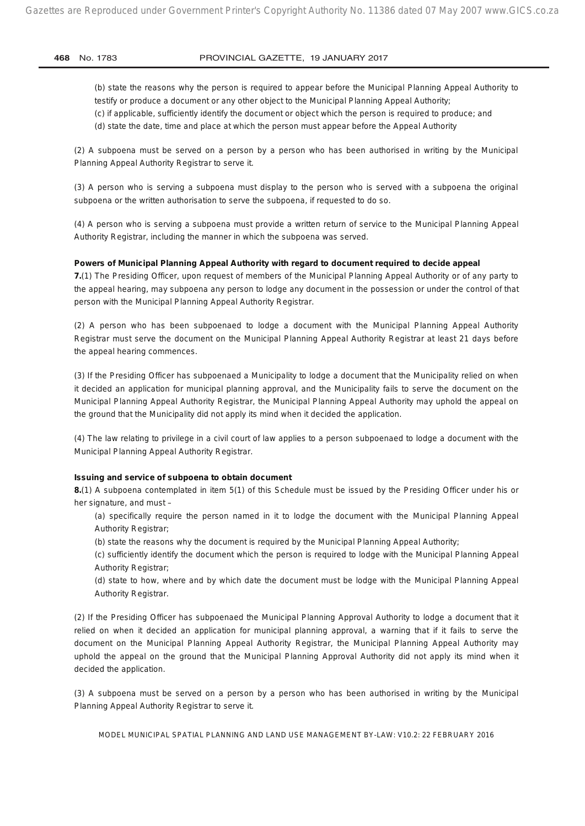(b) state the reasons why the person is required to appear before the Municipal Planning Appeal Authority to testify or produce a document or any other object to the Municipal Planning Appeal Authority; (c) if applicable, sufficiently identify the document or object which the person is required to produce; and (d) state the date, time and place at which the person must appear before the Appeal Authority

(2) A subpoena must be served on a person by a person who has been authorised in writing by the Municipal Planning Appeal Authority Registrar to serve it.

(3) A person who is serving a subpoena must display to the person who is served with a subpoena the original subpoena or the written authorisation to serve the subpoena, if requested to do so.

(4) A person who is serving a subpoena must provide a written return of service to the Municipal Planning Appeal Authority Registrar, including the manner in which the subpoena was served.

#### **Powers of Municipal Planning Appeal Authority with regard to document required to decide appeal**

**7.**(1) The Presiding Officer, upon request of members of the Municipal Planning Appeal Authority or of any party to the appeal hearing, may subpoena any person to lodge any document in the possession or under the control of that person with the Municipal Planning Appeal Authority Registrar.

(2) A person who has been subpoenaed to lodge a document with the Municipal Planning Appeal Authority Registrar must serve the document on the Municipal Planning Appeal Authority Registrar at least 21 days before the appeal hearing commences.

(3) If the Presiding Officer has subpoenaed a Municipality to lodge a document that the Municipality relied on when it decided an application for municipal planning approval, and the Municipality fails to serve the document on the Municipal Planning Appeal Authority Registrar, the Municipal Planning Appeal Authority may uphold the appeal on the ground that the Municipality did not apply its mind when it decided the application.

(4) The law relating to privilege in a civil court of law applies to a person subpoenaed to lodge a document with the Municipal Planning Appeal Authority Registrar.

#### **Issuing and service of subpoena to obtain document**

**8.**(1) A subpoena contemplated in item 5(1) of this Schedule must be issued by the Presiding Officer under his or her signature, and must –

(a) specifically require the person named in it to lodge the document with the Municipal Planning Appeal Authority Registrar;

(b) state the reasons why the document is required by the Municipal Planning Appeal Authority;

(c) sufficiently identify the document which the person is required to lodge with the Municipal Planning Appeal Authority Registrar;

(d) state to how, where and by which date the document must be lodge with the Municipal Planning Appeal Authority Registrar.

(2) If the Presiding Officer has subpoenaed the Municipal Planning Approval Authority to lodge a document that it relied on when it decided an application for municipal planning approval, a warning that if it fails to serve the document on the Municipal Planning Appeal Authority Registrar, the Municipal Planning Appeal Authority may uphold the appeal on the ground that the Municipal Planning Approval Authority did not apply its mind when it decided the application.

(3) A subpoena must be served on a person by a person who has been authorised in writing by the Municipal Planning Appeal Authority Registrar to serve it.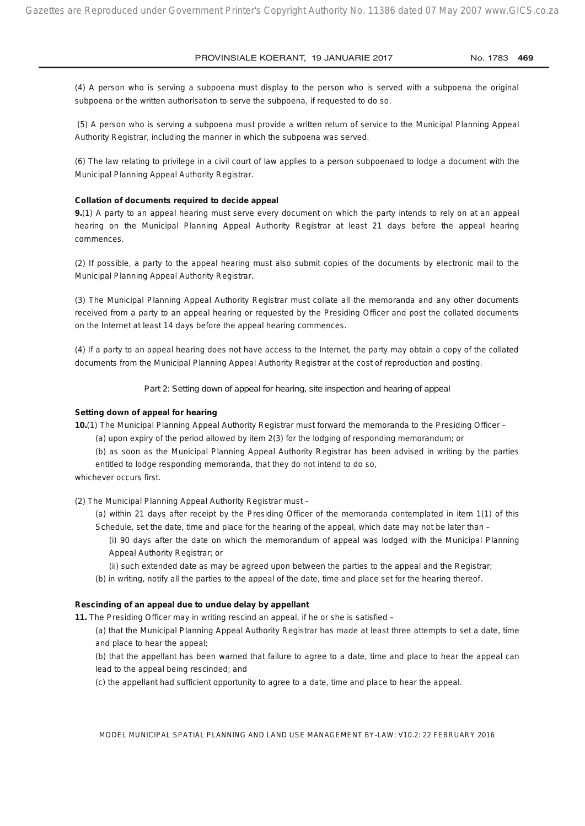(4) A person who is serving a subpoena must display to the person who is served with a subpoena the original subpoena or the written authorisation to serve the subpoena, if requested to do so.

 (5) A person who is serving a subpoena must provide a written return of service to the Municipal Planning Appeal Authority Registrar, including the manner in which the subpoena was served.

(6) The law relating to privilege in a civil court of law applies to a person subpoenaed to lodge a document with the Municipal Planning Appeal Authority Registrar.

#### **Collation of documents required to decide appeal**

**9.**(1) A party to an appeal hearing must serve every document on which the party intends to rely on at an appeal hearing on the Municipal Planning Appeal Authority Registrar at least 21 days before the appeal hearing commences.

(2) If possible, a party to the appeal hearing must also submit copies of the documents by electronic mail to the Municipal Planning Appeal Authority Registrar.

(3) The Municipal Planning Appeal Authority Registrar must collate all the memoranda and any other documents received from a party to an appeal hearing or requested by the Presiding Officer and post the collated documents on the Internet at least 14 days before the appeal hearing commences.

(4) If a party to an appeal hearing does not have access to the Internet, the party may obtain a copy of the collated documents from the Municipal Planning Appeal Authority Registrar at the cost of reproduction and posting.

*Part 2: Setting down of appeal for hearing, site inspection and hearing of appeal*

#### **Setting down of appeal for hearing**

**10.**(1) The Municipal Planning Appeal Authority Registrar must forward the memoranda to the Presiding Officer –

(a) upon expiry of the period allowed by item 2(3) for the lodging of responding memorandum; or

(b) as soon as the Municipal Planning Appeal Authority Registrar has been advised in writing by the parties entitled to lodge responding memoranda, that they do not intend to do so,

whichever occurs first.

(2) The Municipal Planning Appeal Authority Registrar must –

(a) within 21 days after receipt by the Presiding Officer of the memoranda contemplated in item 1(1) of this Schedule, set the date, time and place for the hearing of the appeal, which date may not be later than –

(i) 90 days after the date on which the memorandum of appeal was lodged with the Municipal Planning Appeal Authority Registrar; or

(ii) such extended date as may be agreed upon between the parties to the appeal and the Registrar;

(b) in writing, notify all the parties to the appeal of the date, time and place set for the hearing thereof.

#### **Rescinding of an appeal due to undue delay by appellant**

**11.** The Presiding Officer may in writing rescind an appeal, if he or she is satisfied –

(a) that the Municipal Planning Appeal Authority Registrar has made at least three attempts to set a date, time and place to hear the appeal;

(b) that the appellant has been warned that failure to agree to a date, time and place to hear the appeal can lead to the appeal being rescinded; and

(c) the appellant had sufficient opportunity to agree to a date, time and place to hear the appeal.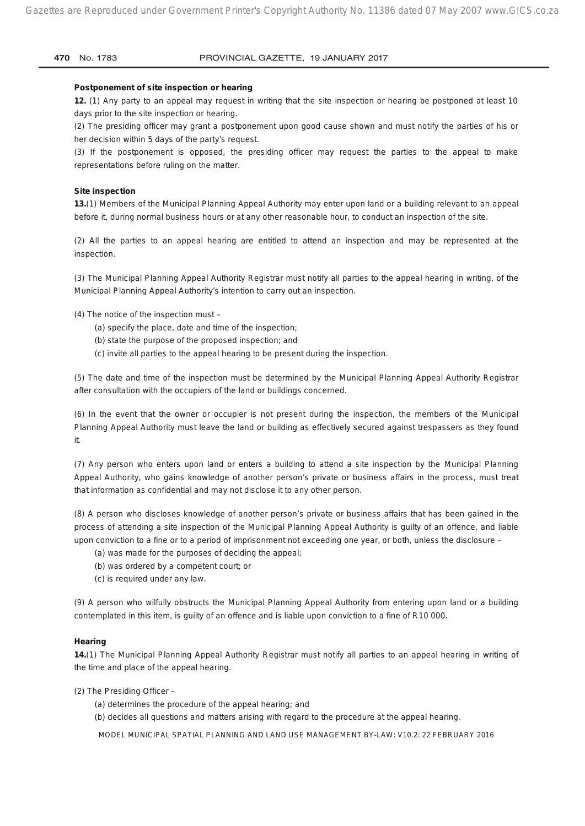#### **Postponement of site inspection or hearing**

**12.** (1) Any party to an appeal may request in writing that the site inspection or hearing be postponed at least 10 days prior to the site inspection or hearing.

(2) The presiding officer may grant a postponement upon good cause shown and must notify the parties of his or her decision within 5 days of the party's request.

(3) If the postponement is opposed, the presiding officer may request the parties to the appeal to make representations before ruling on the matter.

#### **Site inspection**

**13.**(1) Members of the Municipal Planning Appeal Authority may enter upon land or a building relevant to an appeal before it, during normal business hours or at any other reasonable hour, to conduct an inspection of the site.

(2) All the parties to an appeal hearing are entitled to attend an inspection and may be represented at the inspection.

(3) The Municipal Planning Appeal Authority Registrar must notify all parties to the appeal hearing in writing, of the Municipal Planning Appeal Authority's intention to carry out an inspection.

(4) The notice of the inspection must –

- (a) specify the place, date and time of the inspection;
- (b) state the purpose of the proposed inspection; and
- (c) invite all parties to the appeal hearing to be present during the inspection.

(5) The date and time of the inspection must be determined by the Municipal Planning Appeal Authority Registrar after consultation with the occupiers of the land or buildings concerned.

(6) In the event that the owner or occupier is not present during the inspection, the members of the Municipal Planning Appeal Authority must leave the land or building as effectively secured against trespassers as they found it.

(7) Any person who enters upon land or enters a building to attend a site inspection by the Municipal Planning Appeal Authority, who gains knowledge of another person's private or business affairs in the process, must treat that information as confidential and may not disclose it to any other person.

(8) A person who discloses knowledge of another person's private or business affairs that has been gained in the process of attending a site inspection of the Municipal Planning Appeal Authority is guilty of an offence, and liable upon conviction to a fine or to a period of imprisonment not exceeding one year, or both, unless the disclosure –

- (a) was made for the purposes of deciding the appeal;
- (b) was ordered by a competent court; or
- (c) is required under any law.

(9) A person who wilfully obstructs the Municipal Planning Appeal Authority from entering upon land or a building contemplated in this item, is guilty of an offence and is liable upon conviction to a fine of R10 000.

## **Hearing**

**14.**(1) The Municipal Planning Appeal Authority Registrar must notify all parties to an appeal hearing in writing of the time and place of the appeal hearing.

(2) The Presiding Officer –

- (a) determines the procedure of the appeal hearing; and
- (b) decides all questions and matters arising with regard to the procedure at the appeal hearing.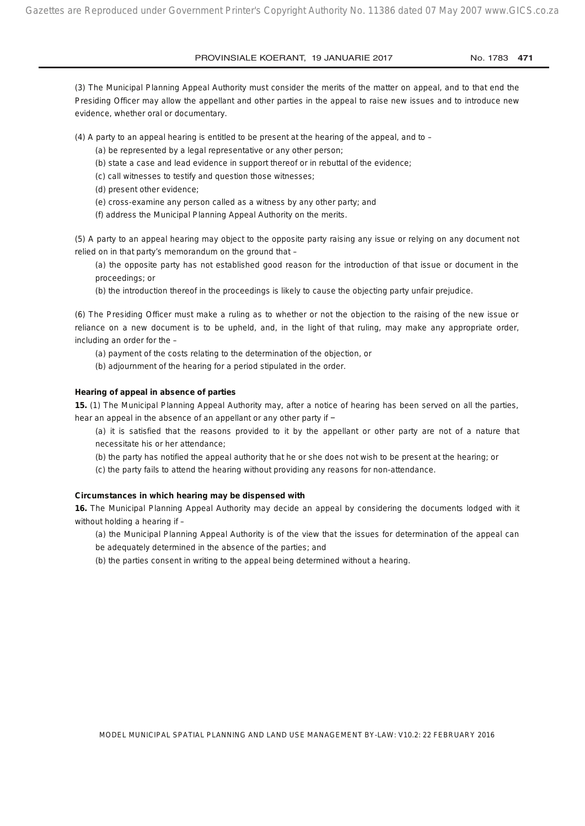(3) The Municipal Planning Appeal Authority must consider the merits of the matter on appeal, and to that end the Presiding Officer may allow the appellant and other parties in the appeal to raise new issues and to introduce new evidence, whether oral or documentary.

(4) A party to an appeal hearing is entitled to be present at the hearing of the appeal, and to –

- (a) be represented by a legal representative or any other person;
- (b) state a case and lead evidence in support thereof or in rebuttal of the evidence;
- (c) call witnesses to testify and question those witnesses;
- (d) present other evidence;
- (e) cross-examine any person called as a witness by any other party; and
- (f) address the Municipal Planning Appeal Authority on the merits.

(5) A party to an appeal hearing may object to the opposite party raising any issue or relying on any document not relied on in that party's memorandum on the ground that –

(a) the opposite party has not established good reason for the introduction of that issue or document in the proceedings; or

(b) the introduction thereof in the proceedings is likely to cause the objecting party unfair prejudice.

(6) The Presiding Officer must make a ruling as to whether or not the objection to the raising of the new issue or reliance on a new document is to be upheld, and, in the light of that ruling, may make any appropriate order, including an order for the –

(a) payment of the costs relating to the determination of the objection, or

(b) adjournment of the hearing for a period stipulated in the order.

#### **Hearing of appeal in absence of parties**

**15.** (1) The Municipal Planning Appeal Authority may, after a notice of hearing has been served on all the parties, hear an appeal in the absence of an appellant or any other party if −

(a) it is satisfied that the reasons provided to it by the appellant or other party are not of a nature that necessitate his or her attendance;

(b) the party has notified the appeal authority that he or she does not wish to be present at the hearing; or

(c) the party fails to attend the hearing without providing any reasons for non-attendance.

#### **Circumstances in which hearing may be dispensed with**

**16.** The Municipal Planning Appeal Authority may decide an appeal by considering the documents lodged with it without holding a hearing if -

(a) the Municipal Planning Appeal Authority is of the view that the issues for determination of the appeal can be adequately determined in the absence of the parties; and

(b) the parties consent in writing to the appeal being determined without a hearing.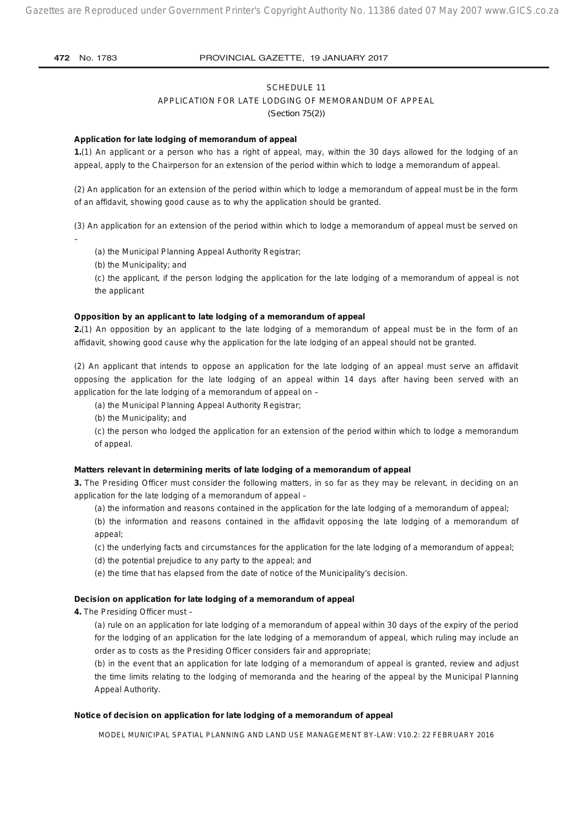#### SCHEDULE 11

#### APPLICATION FOR LATE LODGING OF MEMORANDUM OF APPEAL

*(Section 75(2))*

#### **Application for late lodging of memorandum of appeal**

**1.**(1) An applicant or a person who has a right of appeal, may, within the 30 days allowed for the lodging of an appeal, apply to the Chairperson for an extension of the period within which to lodge a memorandum of appeal.

(2) An application for an extension of the period within which to lodge a memorandum of appeal must be in the form of an affidavit, showing good cause as to why the application should be granted.

(3) An application for an extension of the period within which to lodge a memorandum of appeal must be served on –

(a) the Municipal Planning Appeal Authority Registrar;

(b) the Municipality; and

(c) the applicant, if the person lodging the application for the late lodging of a memorandum of appeal is not the applicant

#### **Opposition by an applicant to late lodging of a memorandum of appeal**

**2.**(1) An opposition by an applicant to the late lodging of a memorandum of appeal must be in the form of an affidavit, showing good cause why the application for the late lodging of an appeal should not be granted.

(2) An applicant that intends to oppose an application for the late lodging of an appeal must serve an affidavit opposing the application for the late lodging of an appeal within 14 days after having been served with an application for the late lodging of a memorandum of appeal on –

(a) the Municipal Planning Appeal Authority Registrar;

(b) the Municipality; and

(c) the person who lodged the application for an extension of the period within which to lodge a memorandum of appeal.

#### **Matters relevant in determining merits of late lodging of a memorandum of appeal**

**3.** The Presiding Officer must consider the following matters, in so far as they may be relevant, in deciding on an application for the late lodging of a memorandum of appeal –

(a) the information and reasons contained in the application for the late lodging of a memorandum of appeal;

(b) the information and reasons contained in the affidavit opposing the late lodging of a memorandum of appeal;

(c) the underlying facts and circumstances for the application for the late lodging of a memorandum of appeal;

(d) the potential prejudice to any party to the appeal; and

(e) the time that has elapsed from the date of notice of the Municipality's decision.

#### **Decision on application for late lodging of a memorandum of appeal**

**4.** The Presiding Officer must –

(a) rule on an application for late lodging of a memorandum of appeal within 30 days of the expiry of the period for the lodging of an application for the late lodging of a memorandum of appeal, which ruling may include an order as to costs as the Presiding Officer considers fair and appropriate;

(b) in the event that an application for late lodging of a memorandum of appeal is granted, review and adjust the time limits relating to the lodging of memoranda and the hearing of the appeal by the Municipal Planning Appeal Authority.

#### **Notice of decision on application for late lodging of a memorandum of appeal**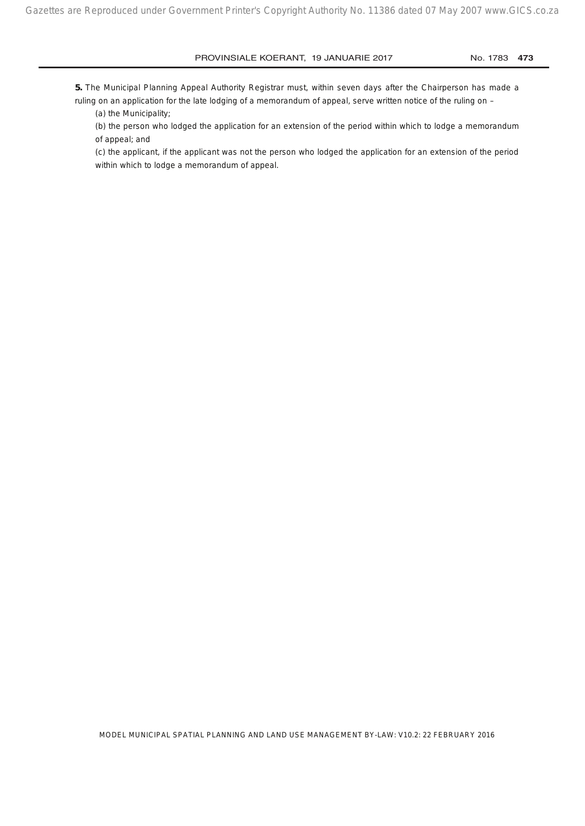**5.** The Municipal Planning Appeal Authority Registrar must, within seven days after the Chairperson has made a

ruling on an application for the late lodging of a memorandum of appeal, serve written notice of the ruling on -(a) the Municipality;

(b) the person who lodged the application for an extension of the period within which to lodge a memorandum of appeal; and

(c) the applicant, if the applicant was not the person who lodged the application for an extension of the period within which to lodge a memorandum of appeal.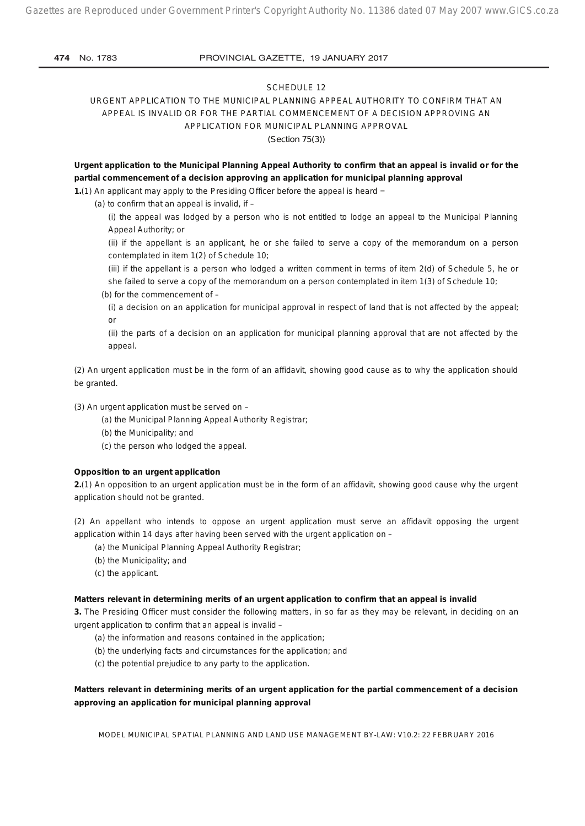## SCHEDULE 12

URGENT APPLICATION TO THE MUNICIPAL PLANNING APPEAL AUTHORITY TO CONFIRM THAT AN APPEAL IS INVALID OR FOR THE PARTIAL COMMENCEMENT OF A DECISION APPROVING AN APPLICATION FOR MUNICIPAL PLANNING APPROVAL

*(Section 75(3))*

**Urgent application to the Municipal Planning Appeal Authority to confirm that an appeal is invalid or for the partial commencement of a decision approving an application for municipal planning approval**

**1.**(1) An applicant may apply to the Presiding Officer before the appeal is heard −

(a) to confirm that an appeal is invalid, if  $-$ 

(i) the appeal was lodged by a person who is not entitled to lodge an appeal to the Municipal Planning Appeal Authority; or

(ii) if the appellant is an applicant, he or she failed to serve a copy of the memorandum on a person contemplated in item 1(2) of Schedule 10;

(iii) if the appellant is a person who lodged a written comment in terms of item 2(d) of Schedule 5, he or she failed to serve a copy of the memorandum on a person contemplated in item 1(3) of Schedule 10;

- (b) for the commencement of
	- (i) a decision on an application for municipal approval in respect of land that is not affected by the appeal; or

(ii) the parts of a decision on an application for municipal planning approval that are not affected by the appeal.

(2) An urgent application must be in the form of an affidavit, showing good cause as to why the application should be granted.

(3) An urgent application must be served on –

(a) the Municipal Planning Appeal Authority Registrar;

- (b) the Municipality; and
- (c) the person who lodged the appeal.

#### **Opposition to an urgent application**

**2.**(1) An opposition to an urgent application must be in the form of an affidavit, showing good cause why the urgent application should not be granted.

(2) An appellant who intends to oppose an urgent application must serve an affidavit opposing the urgent application within 14 days after having been served with the urgent application on –

- (a) the Municipal Planning Appeal Authority Registrar;
- (b) the Municipality; and
- (c) the applicant.

#### **Matters relevant in determining merits of an urgent application to confirm that an appeal is invalid**

**3.** The Presiding Officer must consider the following matters, in so far as they may be relevant, in deciding on an urgent application to confirm that an appeal is invalid –

- (a) the information and reasons contained in the application;
- (b) the underlying facts and circumstances for the application; and
- (c) the potential prejudice to any party to the application.

## **Matters relevant in determining merits of an urgent application for the partial commencement of a decision approving an application for municipal planning approval**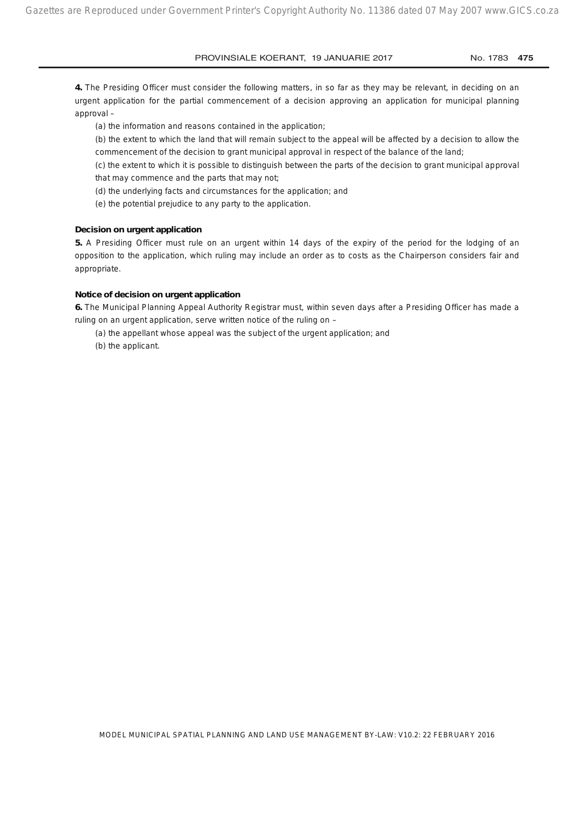**4.** The Presiding Officer must consider the following matters, in so far as they may be relevant, in deciding on an urgent application for the partial commencement of a decision approving an application for municipal planning approval –

(a) the information and reasons contained in the application;

(b) the extent to which the land that will remain subject to the appeal will be affected by a decision to allow the commencement of the decision to grant municipal approval in respect of the balance of the land;

(c) the extent to which it is possible to distinguish between the parts of the decision to grant municipal approval that may commence and the parts that may not;

(d) the underlying facts and circumstances for the application; and

(e) the potential prejudice to any party to the application.

## **Decision on urgent application**

**5.** A Presiding Officer must rule on an urgent within 14 days of the expiry of the period for the lodging of an opposition to the application, which ruling may include an order as to costs as the Chairperson considers fair and appropriate.

#### **Notice of decision on urgent application**

**6.** The Municipal Planning Appeal Authority Registrar must, within seven days after a Presiding Officer has made a ruling on an urgent application, serve written notice of the ruling on –

- (a) the appellant whose appeal was the subject of the urgent application; and
- (b) the applicant.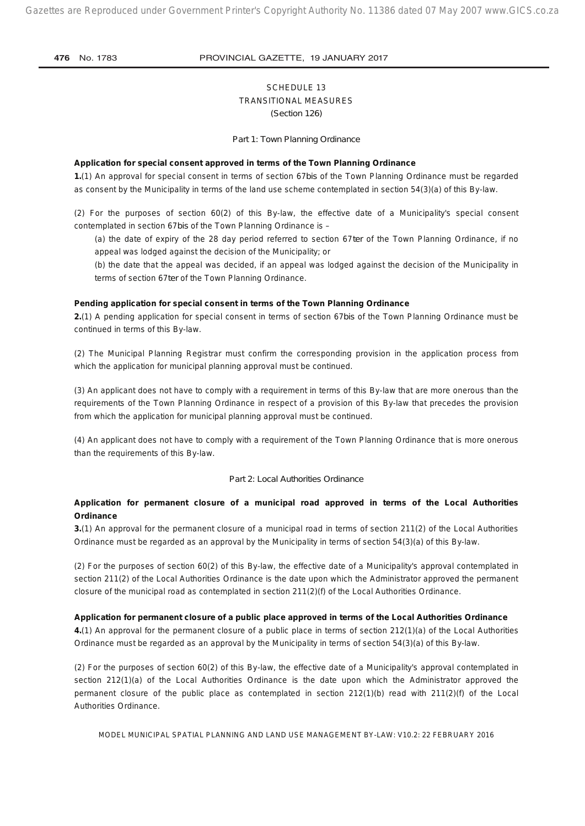## SCHEDULE 13 TRANSITIONAL MEASURES *(Section 126)*

*Part 1: Town Planning Ordinance*

#### **Application for special consent approved in terms of the Town Planning Ordinance**

**1.**(1) An approval for special consent in terms of section 67*bis* of the Town Planning Ordinance must be regarded as consent by the Municipality in terms of the land use scheme contemplated in section 54(3)(a) of this By-law.

(2) For the purposes of section 60(2) of this By-law, the effective date of a Municipality's special consent contemplated in section 67*bis* of the Town Planning Ordinance is –

(a) the date of expiry of the 28 day period referred to section 67*ter* of the Town Planning Ordinance, if no appeal was lodged against the decision of the Municipality; or

(b) the date that the appeal was decided, if an appeal was lodged against the decision of the Municipality in terms of section 67*ter* of the Town Planning Ordinance.

#### **Pending application for special consent in terms of the Town Planning Ordinance**

**2.**(1) A pending application for special consent in terms of section 67*bis* of the Town Planning Ordinance must be continued in terms of this By-law.

(2) The Municipal Planning Registrar must confirm the corresponding provision in the application process from which the application for municipal planning approval must be continued.

(3) An applicant does not have to comply with a requirement in terms of this By-law that are more onerous than the requirements of the Town Planning Ordinance in respect of a provision of this By-law that precedes the provision from which the application for municipal planning approval must be continued.

(4) An applicant does not have to comply with a requirement of the Town Planning Ordinance that is more onerous than the requirements of this By-law.

#### *Part 2: Local Authorities Ordinance*

## **Application for permanent closure of a municipal road approved in terms of the Local Authorities Ordinance**

**3.**(1) An approval for the permanent closure of a municipal road in terms of section 211(2) of the Local Authorities Ordinance must be regarded as an approval by the Municipality in terms of section 54(3)(a) of this By-law.

(2) For the purposes of section 60(2) of this By-law, the effective date of a Municipality's approval contemplated in section 211(2) of the Local Authorities Ordinance is the date upon which the Administrator approved the permanent closure of the municipal road as contemplated in section 211(2)(f) of the Local Authorities Ordinance.

#### **Application for permanent closure of a public place approved in terms of the Local Authorities Ordinance**

**4.**(1) An approval for the permanent closure of a public place in terms of section 212(1)(a) of the Local Authorities Ordinance must be regarded as an approval by the Municipality in terms of section 54(3)(a) of this By-law.

(2) For the purposes of section 60(2) of this By-law, the effective date of a Municipality's approval contemplated in section 212(1)(a) of the Local Authorities Ordinance is the date upon which the Administrator approved the permanent closure of the public place as contemplated in section 212(1)(b) read with 211(2)(f) of the Local Authorities Ordinance.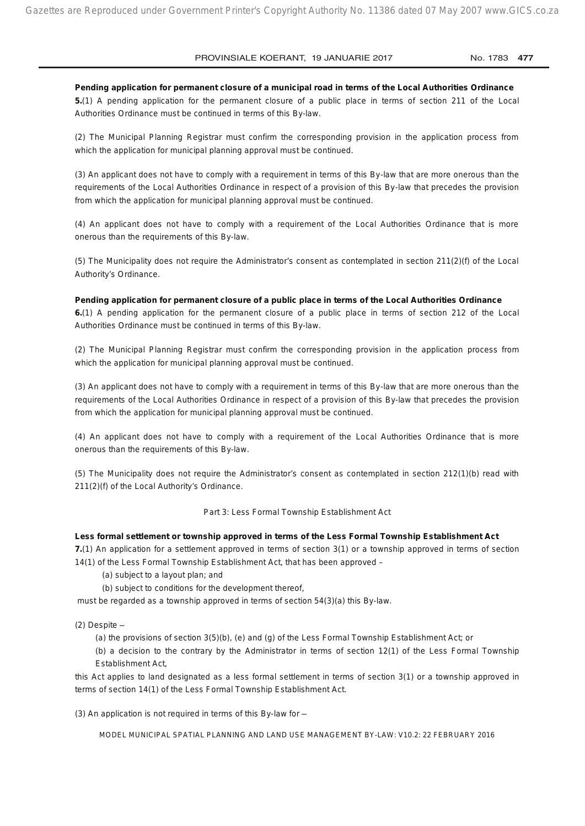**Pending application for permanent closure of a municipal road in terms of the Local Authorities Ordinance 5.**(1) A pending application for the permanent closure of a public place in terms of section 211 of the Local Authorities Ordinance must be continued in terms of this By-law.

(2) The Municipal Planning Registrar must confirm the corresponding provision in the application process from which the application for municipal planning approval must be continued.

(3) An applicant does not have to comply with a requirement in terms of this By-law that are more onerous than the requirements of the Local Authorities Ordinance in respect of a provision of this By-law that precedes the provision from which the application for municipal planning approval must be continued.

(4) An applicant does not have to comply with a requirement of the Local Authorities Ordinance that is more onerous than the requirements of this By-law.

(5) The Municipality does not require the Administrator's consent as contemplated in section 211(2)(f) of the Local Authority's Ordinance.

#### **Pending application for permanent closure of a public place in terms of the Local Authorities Ordinance**

**6.**(1) A pending application for the permanent closure of a public place in terms of section 212 of the Local Authorities Ordinance must be continued in terms of this By-law.

(2) The Municipal Planning Registrar must confirm the corresponding provision in the application process from which the application for municipal planning approval must be continued.

(3) An applicant does not have to comply with a requirement in terms of this By-law that are more onerous than the requirements of the Local Authorities Ordinance in respect of a provision of this By-law that precedes the provision from which the application for municipal planning approval must be continued.

(4) An applicant does not have to comply with a requirement of the Local Authorities Ordinance that is more onerous than the requirements of this By-law.

(5) The Municipality does not require the Administrator's consent as contemplated in section 212(1)(b) read with 211(2)(f) of the Local Authority's Ordinance.

#### *Part 3: Less Formal Township Establishment Act*

#### **Less formal settlement or township approved in terms of the Less Formal Township Establishment Act**

**7.**(1) An application for a settlement approved in terms of section 3(1) or a township approved in terms of section 14(1) of the Less Formal Township Establishment Act, that has been approved –

- (a) subject to a layout plan; and
- (b) subject to conditions for the development thereof,

must be regarded as a township approved in terms of section 54(3)(a) this By-law.

- $(2)$  Despite  $-$ 
	- (a) the provisions of section 3(5)(b), (e) and (g) of the Less Formal Township Establishment Act; or

(b) a decision to the contrary by the Administrator in terms of section 12(1) of the Less Formal Township Establishment Act,

this Act applies to land designated as a less formal settlement in terms of section 3(1) or a township approved in terms of section 14(1) of the Less Formal Township Establishment Act.

(3) An application is not required in terms of this By-law for  $-$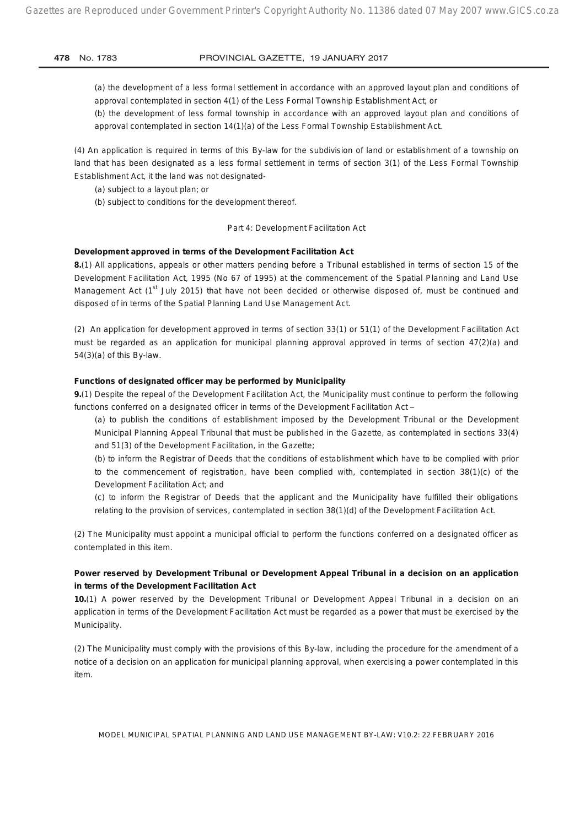(a) the development of a less formal settlement in accordance with an approved layout plan and conditions of approval contemplated in section 4(1) of the Less Formal Township Establishment Act; or

(b) the development of less formal township in accordance with an approved layout plan and conditions of approval contemplated in section 14(1)(a) of the Less Formal Township Establishment Act.

(4) An application is required in terms of this By-law for the subdivision of land or establishment of a township on land that has been designated as a less formal settlement in terms of section 3(1) of the Less Formal Township Establishment Act, it the land was not designated-

(a) subject to a layout plan; or

(b) subject to conditions for the development thereof.

#### *Part 4: Development Facilitation Act*

#### **Development approved in terms of the Development Facilitation Act**

**8.**(1) All applications, appeals or other matters pending before a Tribunal established in terms of section 15 of the Development Facilitation Act, 1995 (No 67 of 1995) at the commencement of the Spatial Planning and Land Use Management Act ( $1<sup>st</sup>$  July 2015) that have not been decided or otherwise disposed of, must be continued and disposed of in terms of the Spatial Planning Land Use Management Act.

(2) An application for development approved in terms of section 33(1) or 51(1) of the Development Facilitation Act must be regarded as an application for municipal planning approval approved in terms of section 47(2)(a) and 54(3)(a) of this By-law.

### **Functions of designated officer may be performed by Municipality**

**9.**(1) Despite the repeal of the Development Facilitation Act, the Municipality must continue to perform the following functions conferred on a designated officer in terms of the Development Facilitation Act -

(a) to publish the conditions of establishment imposed by the Development Tribunal or the Development Municipal Planning Appeal Tribunal that must be published in the Gazette, as contemplated in sections 33(4) and 51(3) of the Development Facilitation, in the Gazette;

(b) to inform the Registrar of Deeds that the conditions of establishment which have to be complied with prior to the commencement of registration, have been complied with, contemplated in section 38(1)(c) of the Development Facilitation Act; and

(c) to inform the Registrar of Deeds that the applicant and the Municipality have fulfilled their obligations relating to the provision of services, contemplated in section 38(1)(d) of the Development Facilitation Act.

(2) The Municipality must appoint a municipal official to perform the functions conferred on a designated officer as contemplated in this item.

## **Power reserved by Development Tribunal or Development Appeal Tribunal in a decision on an application in terms of the Development Facilitation Act**

**10.**(1) A power reserved by the Development Tribunal or Development Appeal Tribunal in a decision on an application in terms of the Development Facilitation Act must be regarded as a power that must be exercised by the Municipality.

(2) The Municipality must comply with the provisions of this By-law, including the procedure for the amendment of a notice of a decision on an application for municipal planning approval, when exercising a power contemplated in this item.